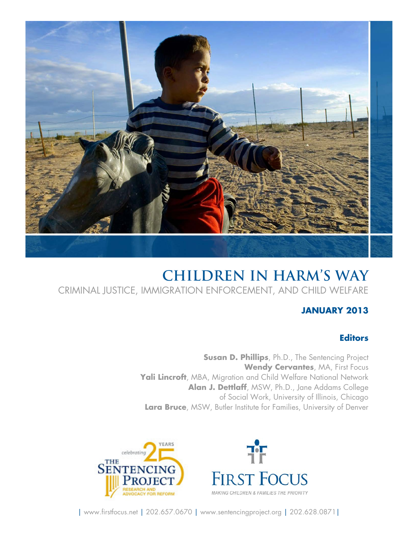

# **CHILDREN IN HARM'S WAY** CRIMINAL JUSTICE, IMMIGRATION ENFORCEMENT, AND CHILD WELFARE

## **JANUARY 2013**

## **Editors**

**Susan D. Phillips**, Ph.D., The Sentencing Project **Wendy Cervantes**, MA, First Focus **Yali Lincroft**, MBA, Migration and Child Welfare National Network **Alan J. Dettlaff**, MSW, Ph.D., Jane Addams College of Social Work, University of Illinois, Chicago Lara Bruce, MSW, Butler Institute for Families, University of Denver





| www.firstfocus.net | 202.657.0670 | www.sentencingproject.org | 202.628.0871|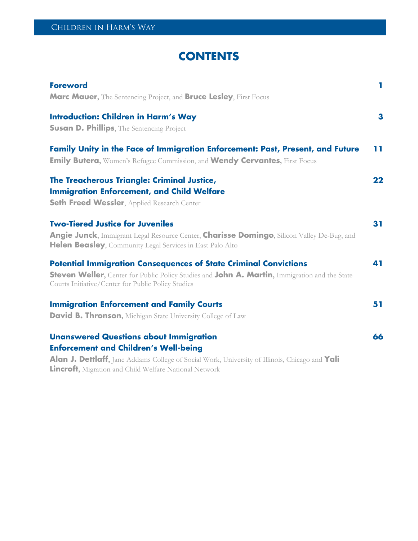# **CONTENTS**

<span id="page-1-0"></span>

| <b>Foreword</b><br><b>Marc Mauer,</b> The Sentencing Project, and <b>Bruce Lesley</b> , First Focus                                                                                                                                   | T                       |
|---------------------------------------------------------------------------------------------------------------------------------------------------------------------------------------------------------------------------------------|-------------------------|
| <b>Introduction: Children in Harm's Way</b><br><b>Susan D. Phillips</b> , The Sentencing Project                                                                                                                                      | $\overline{\mathbf{3}}$ |
| Family Unity in the Face of Immigration Enforcement: Past, Present, and Future<br><b>Emily Butera, Women's Refugee Commission, and Wendy Cervantes, First Focus</b>                                                                   | 11                      |
| The Treacherous Triangle: Criminal Justice,<br><b>Immigration Enforcement, and Child Welfare</b><br>Seth Freed Wessler, Applied Research Center                                                                                       | 22                      |
| <b>Two-Tiered Justice for Juveniles</b><br>Angie Junck, Immigrant Legal Resource Center, Charisse Domingo, Silicon Valley De-Bug, and<br><b>Helen Beasley, Community Legal Services in East Palo Alto</b>                             | 31                      |
| <b>Potential Immigration Consequences of State Criminal Convictions</b><br><b>Steven Weller,</b> Center for Public Policy Studies and John A. Martin, Immigration and the State<br>Courts Initiative/Center for Public Policy Studies | 41                      |
| <b>Immigration Enforcement and Family Courts</b><br><b>David B. Thronson</b> , Michigan State University College of Law                                                                                                               | 51                      |
| <b>Unanswered Questions about Immigration</b><br><b>Enforcement and Children's Well-being</b><br>Alan J. Dettlaff, Jane Addams College of Social Work, University of Illinois, Chicago and Yali                                       | 66                      |

**Lincroft,** Migration and Child Welfare National Network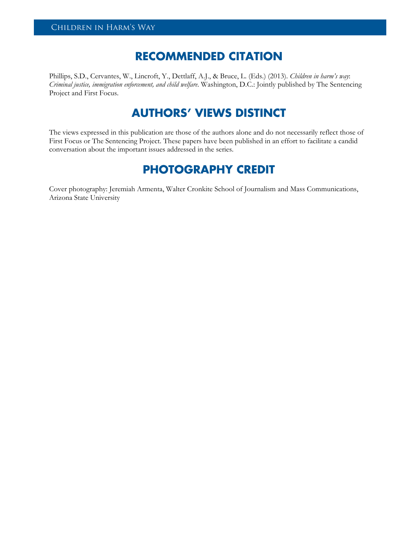# **RECOMMENDED CITATION**

Phillips, S.D., Cervantes, W., Lincroft, Y., Dettlaff, A.J., & Bruce, L. (Eds.) (2013). *Children in harm's way*: *Criminal justice, immigration enforcement, and child welfare*. Washington, D.C.: Jointly published by The Sentencing Project and First Focus.

## **AUTHORS' VIEWS DISTINCT**

The views expressed in this publication are those of the authors alone and do not necessarily reflect those of First Focus or The Sentencing Project. These papers have been published in an effort to facilitate a candid conversation about the important issues addressed in the series.

## **PHOTOGRAPHY CREDIT**

Cover photography: Jeremiah Armenta, Walter Cronkite School of Journalism and Mass Communications, Arizona State University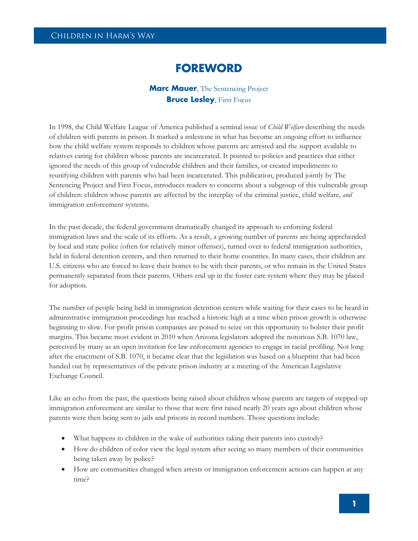## **FOREWORD**

#### **Marc Mauer**, The Sentencing Project **Bruce Lesley**, First Focus

<span id="page-3-0"></span>In 1998, the Child Welfare League of America published a seminal issue of *Child Welfare* describing the needs of children with parents in prison. It marked a milestone in what has become an ongoing effort to influence how the child welfare system responds to children whose parents are arrested and the support available to relatives caring for children whose parents are incarcerated. It pointed to policies and practices that either ignored the needs of this group of vulnerable children and their families, or created impediments to reunifying children with parents who had been incarcerated. This publication, produced jointly by The Sentencing Project and First Focus, introduces readers to concerns about a subgroup of this vulnerable group of children: children whose parents are affected by the interplay of the criminal justice, child welfare, *and* immigration enforcement systems.

In the past decade, the federal government dramatically changed its approach to enforcing federal immigration laws and the scale of its efforts. As a result, a growing number of parents are being apprehended by local and state police (often for relatively minor offenses), turned over to federal immigration authorities, held in federal detention centers, and then returned to their home countries. In many cases, their children are U.S. citizens who are forced to leave their homes to be with their parents, or who remain in the United States permanently separated from their parents. Others end up in the foster care system where they may be placed for adoption.

The number of people being held in immigration detention centers while waiting for their cases to be heard in administrative immigration proceedings has reached a historic high at a time when prison growth is otherwise beginning to slow. For-profit prison companies are poised to seize on this opportunity to bolster their profit margins. This became most evident in 2010 when Arizona legislators adopted the notorious S.B. 1070 law, perceived by many as an open invitation for law enforcement agencies to engage in racial profiling. Not long after the enactment of S.B. 1070, it became clear that the legislation was based on a blueprint that had been handed out by representatives of the private prison industry at a meeting of the American Legislative Exchange Council.

Like an echo from the past, the questions being raised about children whose parents are targets of stepped-up immigration enforcement are similar to those that were first raised nearly 20 years ago about children whose parents were then being sent to jails and prisons in record numbers. Those questions include:

- What happens to children in the wake of authorities taking their parents into custody?
- How do children of color view the legal system after seeing so many members of their communities being taken away by police?
- How are communities changed when arrests or immigration enforcement actions can happen at any time?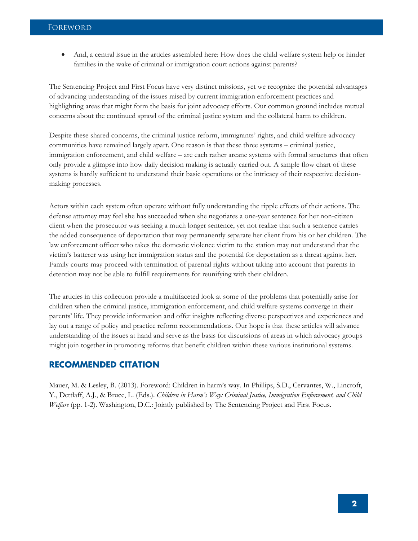• And, a central issue in the articles assembled here: How does the child welfare system help or hinder families in the wake of criminal or immigration court actions against parents?

The Sentencing Project and First Focus have very distinct missions, yet we recognize the potential advantages of advancing understanding of the issues raised by current immigration enforcement practices and highlighting areas that might form the basis for joint advocacy efforts. Our common ground includes mutual concerns about the continued sprawl of the criminal justice system and the collateral harm to children.

Despite these shared concerns, the criminal justice reform, immigrants' rights, and child welfare advocacy communities have remained largely apart. One reason is that these three systems – criminal justice, immigration enforcement, and child welfare – are each rather arcane systems with formal structures that often only provide a glimpse into how daily decision making is actually carried out. A simple flow chart of these systems is hardly sufficient to understand their basic operations or the intricacy of their respective decisionmaking processes.

Actors within each system often operate without fully understanding the ripple effects of their actions. The defense attorney may feel she has succeeded when she negotiates a one-year sentence for her non-citizen client when the prosecutor was seeking a much longer sentence, yet not realize that such a sentence carries the added consequence of deportation that may permanently separate her client from his or her children. The law enforcement officer who takes the domestic violence victim to the station may not understand that the victim's batterer was using her immigration status and the potential for deportation as a threat against her. Family courts may proceed with termination of parental rights without taking into account that parents in detention may not be able to fulfill requirements for reunifying with their children.

The articles in this collection provide a multifaceted look at some of the problems that potentially arise for children when the criminal justice, immigration enforcement, and child welfare systems converge in their parents' life. They provide information and offer insights reflecting diverse perspectives and experiences and lay out a range of policy and practice reform recommendations. Our hope is that these articles will advance understanding of the issues at hand and serve as the basis for discussions of areas in which advocacy groups might join together in promoting reforms that benefit children within these various institutional systems.

#### **RECOMMENDED CITATION**

Mauer, M. & Lesley, B. (2013). Foreword: Children in harm's way. In Phillips, S.D., Cervantes, W., Lincroft, Y., Dettlaff, A.J., & Bruce, L. (Eds.). *Children in Harm's Way: Criminal Justice, Immigration Enforcement, and Child Welfare* (pp. 1-2). Washington, D.C.: Jointly published by The Sentencing Project and First Focus.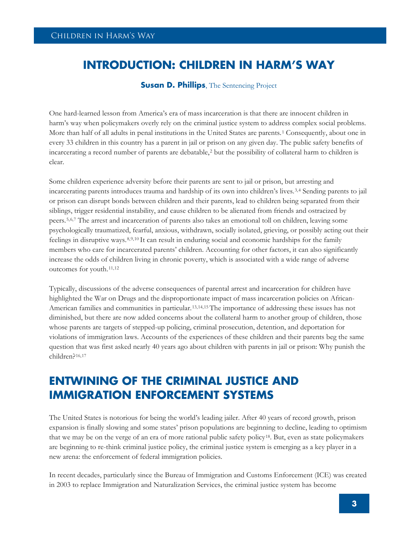## <span id="page-5-0"></span>**INTRODUCTION: CHILDREN IN HARM'S WAY**

**Susan D. Phillips**, The Sentencing Project

One hard-learned lesson from America's era of mass incarceration is that there are innocent children in harm's way when policymakers overly rely on the criminal justice system to address complex social problems. More than half of all adults in penal institutions in the United States are parents.<sup>[1](#page-12-0)</sup> Consequently, about one in every 33 children in this country has a parent in jail or prison on any given day. The public safety benefits of incarcerating a record number of parents are debatable,[2](#page-12-1) but the possibility of collateral harm to children is clear.

Some children experience adversity before their parents are sent to jail or prison, but arresting and incarcerating parents introduces trauma and hardship of its own into children's lives.[3](#page-12-2),[4](#page-12-3) Sending parents to jail or prison can disrupt bonds between children and their parents, lead to children being separated from their siblings, trigger residential instability, and cause children to be alienated from friends and ostracized by peers.[5,](#page-12-4)[6](#page-12-5),[7](#page-12-6) The arrest and incarceration of parents also takes an emotional toll on children, leaving some psychologically traumatized, fearful, anxious, withdrawn, socially isolated, grieving, or possibly acting out their feelings in disruptive ways.[8](#page-12-7),[9,](#page-12-8)[10](#page-12-9) It can result in enduring social and economic hardships for the family members who care for incarcerated parents' children. Accounting for other factors, it can also significantly increase the odds of children living in chronic poverty, which is associated with a wide range of adverse outcomes for youth.[11,](#page-12-10)[12](#page-12-11)

Typically, discussions of the adverse consequences of parental arrest and incarceration for children have highlighted the War on Drugs and the disproportionate impact of mass incarceration policies on African-American families and communities in particular.[13](#page-12-12),[14,](#page-12-13)[15](#page-12-14) The importance of addressing these issues has not diminished, but there are now added concerns about the collateral harm to another group of children, those whose parents are targets of stepped-up policing, criminal prosecution, detention, and deportation for violations of immigration laws. Accounts of the experiences of these children and their parents beg the same question that was first asked nearly 40 years ago about children with parents in jail or prison: Why punish the children?[16,](#page-12-15)[17](#page-12-16)

# **ENTWINING OF THE CRIMINAL JUSTICE AND IMMIGRATION ENFORCEMENT SYSTEMS**

The United States is notorious for being the world's leading jailer. After 40 years of record growth, prison expansion is finally slowing and some states' prison populations are beginning to decline, leading to optimism that we may be on the verge of an era of more rational public safety policy[18.](#page-12-17) But, even as state policymakers are beginning to re-think criminal justice policy, the criminal justice system is emerging as a key player in a new arena: the enforcement of federal immigration policies.

In recent decades, particularly since the Bureau of Immigration and Customs Enforcement (ICE) was created in 2003 to replace Immigration and Naturalization Services, the criminal justice system has become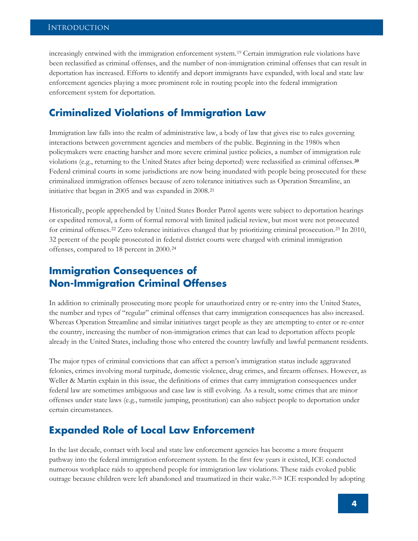increasingly entwined with the immigration enforcement system.[19](#page-13-1) Certain immigration rule violations have been reclassified as criminal offenses, and the number of non-immigration criminal offenses that can result in deportation has increased. Efforts to identify and deport immigrants have expanded, with local and state law enforcement agencies playing a more prominent role in routing people into the federal immigration enforcement system for deportation.

#### **Criminalized Violations of Immigration Law**

Immigration law falls into the realm of administrative law, a body of law that gives rise to rules governing interactions between government agencies and members of the public. Beginning in the 1980s when policymakers were enacting harsher and more severe criminal justice policies, a number of immigration rule violations (e.g., returning to the United States after being deported) were reclassified as criminal offenses.**[20](#page-13-2)** Federal criminal courts in some jurisdictions are now being inundated with people being prosecuted for these criminalized immigration offenses because of zero tolerance initiatives such as Operation Streamline, an initiative that began in 2005 and was expanded in 2008.[21](#page-13-3)

Historically, people apprehended by United States Border Patrol agents were subject to deportation hearings or expedited removal, a form of formal removal with limited judicial review, but most were not prosecuted for criminal offenses.[22](#page-13-4) Zero tolerance initiatives changed that by prioritizing criminal prosecution.[23](#page-13-5) In 2010, 32 percent of the people prosecuted in federal district courts were charged with criminal immigration offenses, compared to 18 percent in 2000.[24](#page-13-6)

### **Immigration Consequences of Non-Immigration Criminal Offenses**

In addition to criminally prosecuting more people for unauthorized entry or re-entry into the United States, the number and types of "regular" criminal offenses that carry immigration consequences has also increased. Whereas Operation Streamline and similar initiatives target people as they are attempting to enter or re-enter the country, increasing the number of non-immigration crimes that can lead to deportation affects people already in the United States, including those who entered the country lawfully and lawful permanent residents.

The major types of criminal convictions that can affect a person's immigration status include aggravated felonies, crimes involving moral turpitude, domestic violence, drug crimes, and firearm offenses. However, as Weller & Martin explain in this issue, the definitions of crimes that carry immigration consequences under federal law are sometimes ambiguous and case law is still evolving. As a result, some crimes that are minor offenses under state laws (e.g., turnstile jumping, prostitution) can also subject people to deportation under certain circumstances.

#### **Expanded Role of Local Law Enforcement**

In the last decade, contact with local and state law enforcement agencies has become a more frequent pathway into the federal immigration enforcement system. In the first few years it existed, ICE conducted numerous workplace raids to apprehend people for immigration law violations. These raids evoked public outrage because children were left abandoned and traumatized in their wake.[25,](#page-13-7)[26](#page-13-8) ICE responded by adopting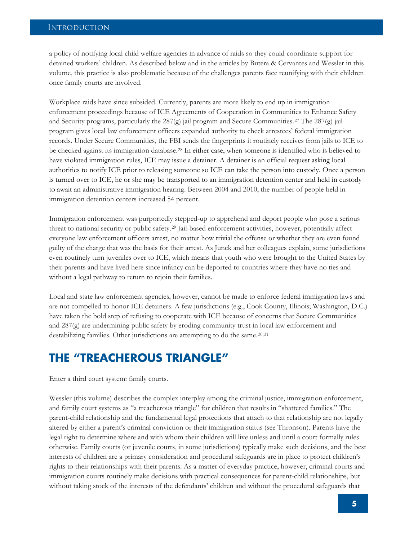a policy of notifying local child welfare agencies in advance of raids so they could coordinate support for detained workers' children. As described below and in the articles by Butera & Cervantes and Wessler in this volume, this practice is also problematic because of the challenges parents face reunifying with their children once family courts are involved.

Workplace raids have since subsided. Currently, parents are more likely to end up in immigration enforcement proceedings because of ICE Agreements of Cooperation in Communities to Enhance Safety and Security programs, particularly the  $287(g)$  jail program and Secure Communities.<sup>[27](#page-14-0)</sup> The  $287(g)$  jail program gives local law enforcement officers expanded authority to check arrestees' federal immigration records. Under Secure Communities, the FBI sends the fingerprints it routinely receives from jails to ICE to be checked against its immigration database.[28](#page-14-1) In either case, when someone is identified who is believed to have violated immigration rules, ICE may issue a detainer. A detainer is an official request asking local authorities to notify ICE prior to releasing someone so ICE can take the person into custody. Once a person is turned over to ICE, he or she may be transported to an immigration detention center and held in custody to await an administrative immigration hearing. Between 2004 and 2010, the number of people held in immigration detention centers increased 54 percent.

Immigration enforcement was purportedly stepped-up to apprehend and deport people who pose a serious threat to national security or public safety.[29](#page-14-2) Jail-based enforcement activities, however, potentially affect everyone law enforcement officers arrest, no matter how trivial the offense or whether they are even found guilty of the charge that was the basis for their arrest. As Junck and her colleagues explain, some jurisdictions even routinely turn juveniles over to ICE, which means that youth who were brought to the United States by their parents and have lived here since infancy can be deported to countries where they have no ties and without a legal pathway to return to rejoin their families.

Local and state law enforcement agencies, however, cannot be made to enforce federal immigration laws and are not compelled to honor ICE detainers. A few jurisdictions (e.g., Cook County, Illinois; Washington, D.C.) have taken the bold step of refusing to cooperate with ICE because of concerns that Secure Communities and 287(g) are undermining public safety by eroding community trust in local law enforcement and destabilizing families. Other jurisdictions are attempting to do the same.<sup>[30,](#page-14-3)[31](#page-14-4)</sup>

## **THE "TREACHEROUS TRIANGLE"**

Enter a third court system: family courts.

Wessler (this volume) describes the complex interplay among the criminal justice, immigration enforcement, and family court systems as "a treacherous triangle" for children that results in "shattered families." The parent-child relationship and the fundamental legal protections that attach to that relationship are not legally altered by either a parent's criminal conviction or their immigration status (see Thronson). Parents have the legal right to determine where and with whom their children will live unless and until a court formally rules otherwise. Family courts (or juvenile courts, in some jurisdictions) typically make such decisions, and the best interests of children are a primary consideration and procedural safeguards are in place to protect children's rights to their relationships with their parents. As a matter of everyday practice, however, criminal courts and immigration courts routinely make decisions with practical consequences for parent-child relationships, but without taking stock of the interests of the defendants' children and without the procedural safeguards that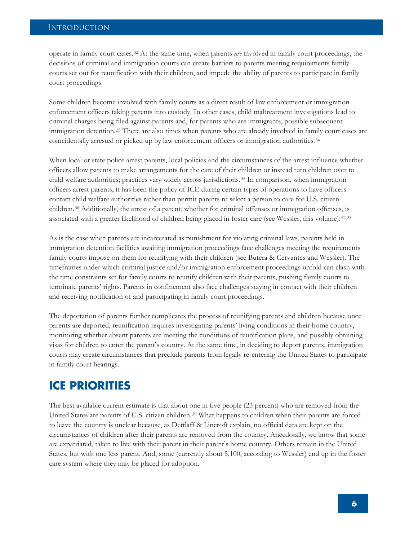operate in family court cases.[32](#page-15-0) At the same time, when parents *are* involved in family court proceedings, the decisions of criminal and immigration courts can create barriers to parents meeting requirements family courts set out for reunification with their children, and impede the ability of parents to participate in family court proceedings.

Some children become involved with family courts as a direct result of law enforcement or immigration enforcement officers taking parents into custody. In other cases, child maltreatment investigations lead to criminal charges being filed against parents and, for parents who are immigrants, possible subsequent immigration detention.[33](#page-15-1) There are also times when parents who are already involved in family court cases are coincidentally arrested or picked up by law enforcement officers or immigration authorities.[34](#page-15-2)

When local or state police arrest parents, local policies and the circumstances of the arrest influence whether officers allow parents to make arrangements for the care of their children or instead turn children over to child welfare authorities; practices vary widely across jurisdictions.[35](#page-15-3) In comparison, when immigration officers arrest parents, it has been the policy of ICE during certain types of operations to have officers contact child welfare authorities rather than permit parents to select a person to care for U.S. citizen children.[36](#page-15-4) Additionally, the arrest of a parent, whether for criminal offenses or immigration offenses, is associated with a greater likelihood of children being placed in foster care (see Wessler, this volume).[37,](#page-15-5)[38](#page-15-6)

As is the case when parents are incarcerated as punishment for violating criminal laws, parents held in immigration detention facilities awaiting immigration proceedings face challenges meeting the requirements family courts impose on them for reunifying with their children (see Butera & Cervantes and Wessler). The timeframes under which criminal justice and/or immigration enforcement proceedings unfold can clash with the time constraints set for family courts to reunify children with their parents, pushing family courts to terminate parents' rights. Parents in confinement also face challenges staying in contact with their children and receiving notification of and participating in family court proceedings.

The deportation of parents further complicates the process of reunifying parents and children because once parents are deported, reunification requires investigating parents' living conditions in their home country, monitoring whether absent parents are meeting the conditions of reunification plans, and possibly obtaining visas for children to enter the parent's country. At the same time, in deciding to deport parents, immigration courts may create circumstances that preclude parents from legally re-entering the United States to participate in family court hearings.

## **ICE PRIORITIES**

The best available current estimate is that about one in five people (23 percent) who are removed from the United States are parents of U.S. citizen children.[39](#page-15-7) What happens to children when their parents are forced to leave the country is unclear because, as Dettlaff & Lincroft explain, no official data are kept on the circumstances of children after their parents are removed from the country. Anecdotally, we know that some are expatriated, taken to live with their parent in their parent's home country. Others remain in the United States, but with one less parent. And, some (currently about 5,100, according to Wessler) end up in the foster care system where they may be placed for adoption.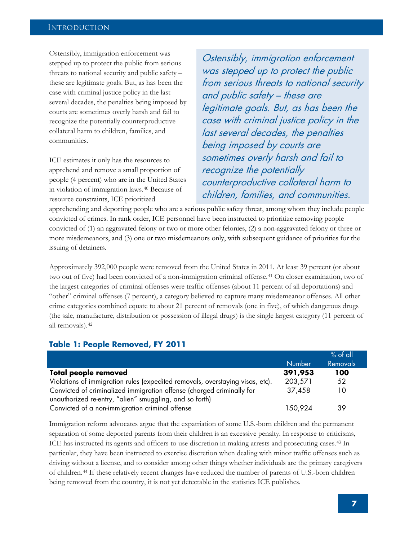Ostensibly, immigration enforcement was stepped up to protect the public from serious threats to national security and public safety – these are legitimate goals. But, as has been the case with criminal justice policy in the last several decades, the penalties being imposed by courts are sometimes overly harsh and fail to recognize the potentially counterproductive collateral harm to children, families, and communities.

ICE estimates it only has the resources to apprehend and remove a small proportion of people (4 percent) who are in the United States in violation of immigration laws.[40](#page-16-0) Because of resource constraints, ICE prioritized

Ostensibly, immigration enforcement was stepped up to protect the public from serious threats to national security and public safety – these are legitimate goals. But, as has been the case with criminal justice policy in the last several decades, the penalties being imposed by courts are sometimes overly harsh and fail to recognize the potentially counterproductive collateral harm to children, families, and communities.

apprehending and deporting people who are a serious public safety threat, among whom they include people convicted of crimes. In rank order, ICE personnel have been instructed to prioritize removing people convicted of (1) an aggravated felony or two or more other felonies, (2) a non-aggravated felony or three or more misdemeanors, and (3) one or two misdemeanors only, with subsequent guidance of priorities for the issuing of detainers.

Approximately 392,000 people were removed from the United States in 2011. At least 39 percent (or about two out of five) had been convicted of a non-immigration criminal offense.<sup>[41](#page-16-1)</sup> On closer examination, two of the largest categories of criminal offenses were traffic offenses (about 11 percent of all deportations) and "other" criminal offenses (7 percent), a category believed to capture many misdemeanor offenses. All other crime categories combined equate to about 21 percent of removals (one in five), of which dangerous drugs (the sale, manufacture, distribution or possession of illegal drugs) is the single largest category (11 percent of all removals).[42](#page-16-2)

#### **Table 1: People Removed, FY 2011**

|                                                                               |               |                 | $%$ of all |  |
|-------------------------------------------------------------------------------|---------------|-----------------|------------|--|
|                                                                               | <b>Number</b> | <b>Removals</b> |            |  |
| <b>Total people removed</b>                                                   | 391,953       | 100             |            |  |
| Violations of immigration rules (expedited removals, overstaying visas, etc). | 203,571       | 52              |            |  |
| Convicted of criminalized immigration offense (charged criminally for         | 37,458        | 10              |            |  |
| unauthorized re-entry, "alien" smuggling, and so forth)                       |               |                 |            |  |
| Convicted of a non-immigration criminal offense                               | 150,924       | 39              |            |  |

Immigration reform advocates argue that the expatriation of some U.S.-born children and the permanent separation of some deported parents from their children is an excessive penalty. In response to criticisms, ICE has instructed its agents and officers to use discretion in making arrests and prosecuting cases.[43](#page-16-3) In particular, they have been instructed to exercise discretion when dealing with minor traffic offenses such as driving without a license, and to consider among other things whether individuals are the primary caregivers of children.[44](#page-16-4) If these relatively recent changes have reduced the number of parents of U.S.-born children being removed from the country, it is not yet detectable in the statistics ICE publishes.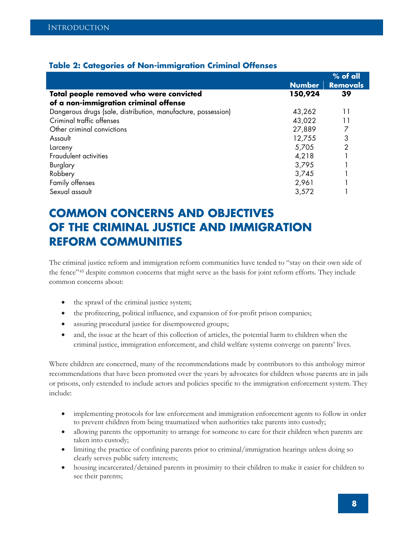|                                                               | <b>Number</b> | % of all<br><b>Removals</b> |
|---------------------------------------------------------------|---------------|-----------------------------|
| Total people removed who were convicted                       | 150,924       | 39                          |
| of a non-immigration criminal offense                         |               |                             |
| Dangerous drugs (sale, distribution, manufacture, possession) | 43,262        | 11                          |
| Criminal traffic offenses                                     | 43,022        | 11                          |
| Other criminal convictions                                    | 27,889        | 7                           |
| Assault                                                       | 12,755        | 3                           |
| Larceny                                                       | 5,705         | 2                           |
| Fraudulent activities                                         | 4,218         |                             |
| <b>Burglary</b>                                               | 3,795         |                             |
| Robbery                                                       | 3,745         |                             |
| Family offenses                                               | 2,961         |                             |
| Sexual assault                                                | 3,572         |                             |

#### **Table 2: Categories of Non-immigration Criminal Offenses**

# **COMMON CONCERNS AND OBJECTIVES OF THE CRIMINAL JUSTICE AND IMMIGRATION REFORM COMMUNITIES**

The criminal justice reform and immigration reform communities have tended to "stay on their own side of the fence"[45](#page-17-0) despite common concerns that might serve as the basis for joint reform efforts. They include common concerns about:

- the sprawl of the criminal justice system;
- the profiteering, political influence, and expansion of for-profit prison companies;
- assuring procedural justice for disempowered groups;
- and, the issue at the heart of this collection of articles, the potential harm to children when the criminal justice, immigration enforcement, and child welfare systems converge on parents' lives.

Where children are concerned, many of the recommendations made by contributors to this anthology mirror recommendations that have been promoted over the years by advocates for children whose parents are in jails or prisons, only extended to include actors and policies specific to the immigration enforcement system. They include:

- implementing protocols for law enforcement and immigration enforcement agents to follow in order to prevent children from being traumatized when authorities take parents into custody;
- allowing parents the opportunity to arrange for someone to care for their children when parents are taken into custody;
- limiting the practice of confining parents prior to criminal/immigration hearings unless doing so clearly serves public safety interests;
- housing incarcerated/detained parents in proximity to their children to make it easier for children to see their parents;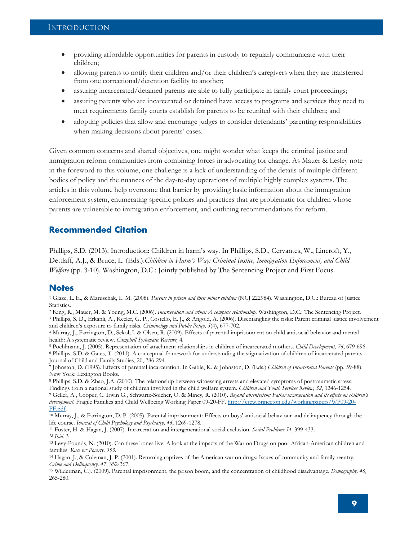- providing affordable opportunities for parents in custody to regularly communicate with their children;
- allowing parents to notify their children and/or their children's caregivers when they are transferred from one correctional/detention facility to another;
- assuring incarcerated/detained parents are able to fully participate in family court proceedings;
- assuring parents who are incarcerated or detained have access to programs and services they need to meet requirements family courts establish for parents to be reunited with their children; and
- adopting policies that allow and encourage judges to consider defendants' parenting responsibilities when making decisions about parents' cases.

Given common concerns and shared objectives, one might wonder what keeps the criminal justice and immigration reform communities from combining forces in advocating for change. As Mauer & Lesley note in the foreword to this volume, one challenge is a lack of understanding of the details of multiple different bodies of policy and the nuances of the day-to-day operations of multiple highly complex systems. The articles in this volume help overcome that barrier by providing basic information about the immigration enforcement system, enumerating specific policies and practices that are problematic for children whose parents are vulnerable to immigration enforcement, and outlining recommendations for reform.

#### **Recommended Citation**

Phillips, S.D. (2013). Introduction: Children in harm's way. In Phillips, S.D., Cervantes, W., Lincroft, Y., Dettlaff, A.J., & Bruce, L. (Eds.).*Children in Harm's Way: Criminal Justice, Immigration Enforcement, and Child Welfare* (pp. 3-10). Washington, D.C.: Jointly published by The Sentencing Project and First Focus.

#### **Notes**

<sup>1</sup> Glaze, L. E., & Maruschak, L. M. (2008). *Parents in prison and their minor children* (NCJ 222984). Washington, D.C.: Bureau of Justice Statistics.

<sup>2</sup> King, R., Mauer, M. & Young, M.C. (2006). *Incarceration and crime: A complex relationship*. Washington, D.C.: The Sentencing Project. <sup>3</sup> Phillips, S. D., Erkanli, A., Keeler, G. P., Costello, E. J., & Angold, A. (2006). Disentangling the risks: Parent criminal justice involvement

and children's exposure to family risks. Criminology and Public Policy, 5(4), 677-702.<br>4 Murray, J., Farrington, D., Sekol, I. & Olsen, R. (2009). Effects of parental imprisonment on child antisocial behavior and mental

health: A systematic review. *Campbell Systematic Reviews*, 4.<br><sup>5</sup> Poehlmann, J. (2005). Representation of attachment relationships in children of incarcerated mothers. *Child Development*, 76, 679-696. <sup>6</sup> Phillips, S.D. & Gates, T. (2011). A conceptual framework for understanding the stigmatization of children of incarcerated parents.

Journal of Child and Family Studies, 20, 286-294.

<sup>7</sup> Johnston, D. (1995). Effects of parental incarceration. In Gable, K. & Johnston, D. (Eds.) *Children of Incarcerated Parents* (pp. 59-88). New York: Lexington Books.

<sup>8</sup> Phillips, S.D. & Zhao, J.A. (2010). The relationship between witnessing arrests and elevated symptoms of posttraumatic stress: Findings from a national study of children involved in the child welfare system. *Children and Youth Services Review, 32*, 1246-1254. <sup>9</sup> Geller, A., Cooper, C. Irwin G., Schwartz-Soicher, O. & Mincy, R. (2010). *Beyond absenteeism: Father incarceration and its effects on children's development*. Fragile Families and Child Wellbeing Working Paper 09-20-FF[. http://crcw.princeton.edu/workingpapers/WP09-20-](http://crcw.princeton.edu/workingpapers/WP09-20-FF.pdf) [FF.pdf.](http://crcw.princeton.edu/workingpapers/WP09-20-FF.pdf)

<sup>10</sup> Murray, J., & Farrington, D. P. (2005). Parental imprisonment: Effects on boys' antisocial behaviour and delinquency through the life course. *Journal of Child Psychology and Psychiatry, 46*, 1269-1278. 11 Foster, H. & Hagan, J. (2007). Incarceration and intergenerational social exclusion. *Social Problems.54,* 399-433.

<sup>12</sup> *Ibid.* 3<br><sup>13</sup> Levy-Pounds, N. (2010). Can these bones live: A look at the impacts of the War on Drugs on poor African-American children and families. *Race & Poverty, 353.*

<sup>14</sup> Hagan, J., & Coleman, J. P. (2001). Returning captives of the American war on drugs: Issues of community and family reentry. *Crime and Delinquency, 47, 352-367.* 15 Wilderman, Comman, Comman, and the concentration of childhood disadvantage. *Demography, 46, 15* Wilderman, C.J. (2009). Parental imprisonment, the prison boom, and the concentrat

265-280.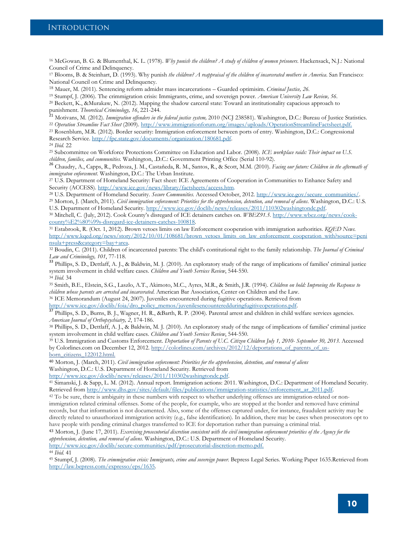<span id="page-12-15"></span><sup>16</sup> McGowan, B. G. & Blumenthal, K. L. (1978). *Why punish the children? A study of children of women prisoners*. Hackensack, N.J.: National Council of Crime and Delinquency.

<span id="page-12-16"></span><sup>17</sup> Blooms, B. & Steinhart, D. (1993). Why punish *the children? A reappraisal of the children of incarcerated mothers in America*. San Francisco: National Council on Crime and Delinquency.

<span id="page-12-17"></span><sup>18</sup> Mauer, M. (2011). Sentencing reform admidst mass incarcerations – Guarded optimisim. *Criminal Justice, 26.*

<sup>19</sup> Stumpf, J. (2006). The crimmigration crisis: Immigrants, crime, and sovereign power. *American University Law Review, 56*. <sup>20</sup> Beckett, K., &Murakaw, N. (2012). Mapping the shadow carceral state: Toward an institutionality capacious approach to

punishment. Theoretical Criminology, 16, 221-244.<br><sup>21</sup> Motivans, M. (2012). *Immigration offenders in the federal justice system,* 2010 (NCJ 238581). Washington, D.C.: Bureau of Justice Statistics.<br><sup>22</sup> Operation Streamlin

<sup>23</sup> Rosenblum, M.R. (2012). Border security: Immigration enforcement between ports of entry. Washington, D.C.: Congressional Research Service[. http://fpc.state.gov/documents/organization/180681.pdf.](http://fpc.state.gov/documents/organization/180681.pdf)

<sup>24</sup> *Ibid.* 22 25 Subcommittee on Workforce Protections Committee on Education and Labor. (2008). *ICE workplace raids: Their impact on U.S.* 

children, families, and communities. Washington, .D.C.: Government Printing Office (Serial 110-92).<br><sup>26</sup> Chaudry, A., Capps, R., Pedroza, J. M., Castañeda, R. M., Santos, R., & Scott, M.M. (2010). Facing our future: Childr *immigraton enforcement*. Washington, D.C.: The Urban Institute.

<sup>27</sup> U.S. Department of Homeland Security: Fact sheet: ICE Agreements of Cooperation in Communities to Enhance Safety and Security (ACCESS). [http://www.ice.gov/news/library/factsheets/access.htm.](http://www.ice.gov/news/library/factsheets/access.htm) 28 U.S. Department of Homeland Security. *Secure Communities.* Accessed October, 2012. [http://www.ice.gov/secure\\_communities/.](http://www.ice.gov/secure_communities/)

<sup>29</sup> Morton, J. (March, 2011). *Civil immigration enforcement: Priorities for the apprehension, detention, and removal of aliens*. Washington, D.C.: U.S.<br>U.S. Department of Homeland Security. http://www.ice.gov/doclib/news

<sup>30</sup> Mitchell, C. (July, 2012). Cook County's disregard of ICE detainers catches on. *WBEZ91.5*. http://www.wbez.org/news/cook-county%E2%80%99s-disregard-ice-detainers-catches-100818.

<sup>31</sup> Estabrook, R. (Oct. 1, 2012). Brown vetoes limits on law Enforcement cooperation with immigration authorities. *KQED News.* [http://www.kqed.org/news/story/2012/10/01/108681/brown\\_vetoes\\_limits\\_on\\_law\\_enforcement\\_cooperation\\_with?source=peni](http://www.kqed.org/news/story/2012/10/01/108681/brown_vetoes_limits_on_law_enforcement_cooperation_with?source=peninsula+press&category=bay+area) [nsula+press&category=bay+area.](http://www.kqed.org/news/story/2012/10/01/108681/brown_vetoes_limits_on_law_enforcement_cooperation_with?source=peninsula+press&category=bay+area)

<sup>32</sup> Boudin, C. (2011). Children of incarcerated parents: The child's contitutional right to the family relationship. *The Journal of Criminal* 

*Law and Criminology, 101*, 77-118. <sup>33</sup> Phillips, S. D., Dettlaff, A. J., & Baldwin, M. J. (2010). An exploratory study of the range of implications of families' criminal justice system involvement in child welfare cases. *Children and Youth Services Review*, 544-550. 34 *Ibid*. 34

<sup>35</sup> Smith, B.E., Elstein, S.G., Laszlo, A.T., Akimoto, M.C., Ayres, M.R., & Smith, J.R. (1994). *Children on hold: Improving the Response to children whose parents are arrested and incarcerated*. American Bar Association, Center on Children and the Law.

<span id="page-12-0"></span><sup>36</sup> ICE Memorandum (August 24, 2007). Juveniles encountered during fugitive operations. Retrieved from http://www.ice.gov/doclib/foia/dro\_policy\_memos/juvenilesencounteredduringfugitive operations.pdf.

<span id="page-12-2"></span><span id="page-12-1"></span><sup>37</sup> Phillips, S. D., Burns, B. J., Wagner, H. R., &Barth, R. P. (2004). Parental arrest and children in child welfare services agencies. *American Journal of Orthopsychiatry, 2*, 174-186.<br><sup>38</sup> Phillips, S. D., Dettlaff, A. J., & Baldwin, M. J. (2010). An exploratory study of the range of implications of families' criminal justice

<span id="page-12-3"></span>system involvement in child welfare cases. *Children and Youth Services Review*, 544-550.

<span id="page-12-4"></span><sup>39</sup> U.S. Immigration and Customs Enforcement. *Deportation of Parents of U.C. Citizen Children July 1, 2010- September 30, 2013.* Accessed by Colorlines.com on December 12, 2012. http://colorlines.com/archives/2012/12/deportations\_of\_parents\_of\_usborn\_citizens\_122012.html.

<span id="page-12-6"></span><span id="page-12-5"></span><sup>40</sup> Morton, J. (March, 2011). *Civil immigration enforcement: Priorities for the apprehension, detention, and removal of aliens* Washington, D.C.: U.S. Department of Homeland Security. Retrieved from

[http://www.ice.gov/doclib/news/releases/2011/110302washingtondc.pdf.](http://www.ice.gov/doclib/news/releases/2011/110302washingtondc.pdf)

<span id="page-12-7"></span><sup>41</sup> Simanski, J. & Sapp, L. M. (2012). Annual report. Immigration actions: 2011. Washington, D.C.: Department of Homeland Security. Retrieved from [http://www.dhs.gov/sites/default/files/publications/immigration-statistics/enforcement\\_ar\\_2011.pdf.](http://www.dhs.gov/sites/default/files/publications/immigration-statistics/enforcement_ar_2011.pdf)

<span id="page-12-8"></span><sup>42</sup> To be sure, there is ambiguity in these numbers with respect to whether underlying offenses are immigration-related or nonimmigration related criminal offenses. Some of the people, for example, who are stopped at the border and removed have criminal records, but that information is not documented. Also, some of the offenses captured under, for instance, fraudulent activity may be directly related to unauthorized immigration activity (e.g., false identification). In addition, there may be cases when prosecutors opt to have people with pending criminal charges transferred to ICE for deportation rather than pursuing a criminal trial.

<span id="page-12-11"></span><span id="page-12-10"></span><span id="page-12-9"></span><sup>43</sup> Morton, J. (June 17, 2011). *Exercising prosecutorial discretion consistent with the civil immigration enforcement priorities of the Agency for the apprehension, detention, and removal of aliens.* Washington, D.C.: U.S. Department of Homeland Security. [http://www.ice.gov/doclib/secure-communities/pdf/prosecutorial-discretion-memo.pdf.](http://www.ice.gov/doclib/secure-communities/pdf/prosecutorial-discretion-memo.pdf)

<span id="page-12-14"></span><span id="page-12-13"></span><span id="page-12-12"></span>44 *Ibid.* 41<br><sup>45</sup> Stumpf, J. (2008). *The crimmigration crisis: Immigrants, crime and sovereign power.* Bepress Legal Series. Working Paper 1635.Retrieved from [http://law.bepress.com/expresso/eps/1635.](http://law.bepress.com/expresso/eps/1635)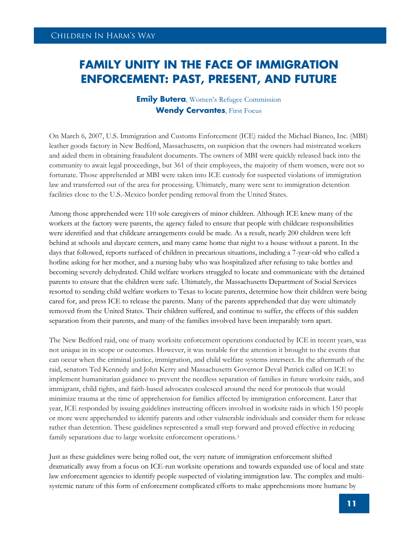# <span id="page-13-0"></span>**FAMILY UNITY IN THE FACE OF IMMIGRATION ENFORCEMENT: PAST, PRESENT, AND FUTURE**

#### **Emily Butera**, Women's Refugee Commission **Wendy Cervantes**, First Focus

<span id="page-13-8"></span><span id="page-13-7"></span><span id="page-13-6"></span><span id="page-13-5"></span><span id="page-13-4"></span><span id="page-13-3"></span><span id="page-13-2"></span><span id="page-13-1"></span>On March 6, 2007, U.S. Immigration and Customs Enforcement (ICE) raided the Michael Bianco, Inc. (MBI) leather goods factory in New Bedford, Massachusetts, on suspicion that the owners had mistreated workers and aided them in obtaining fraudulent documents. The owners of MBI were quickly released back into the community to await legal proceedings, but 361 of their employees, the majority of them women, were not so fortunate. Those apprehended at MBI were taken into ICE custody for suspected violations of immigration law and transferred out of the area for processing. Ultimately, many were sent to immigration detention facilities close to the U.S.-Mexico border pending removal from the United States.

Among those apprehended were 110 sole caregivers of minor children. Although ICE knew many of the workers at the factory were parents, the agency failed to ensure that people with childcare responsibilities were identified and that childcare arrangements could be made. As a result, nearly 200 children were left behind at schools and daycare centers, and many came home that night to a house without a parent. In the days that followed, reports surfaced of children in precarious situations, including a 7-year-old who called a hotline asking for her mother, and a nursing baby who was hospitalized after refusing to take bottles and becoming severely dehydrated. Child welfare workers struggled to locate and communicate with the detained parents to ensure that the children were safe. Ultimately, the Massachusetts Department of Social Services resorted to sending child welfare workers to Texas to locate parents, determine how their children were being cared for, and press ICE to release the parents. Many of the parents apprehended that day were ultimately removed from the United States. Their children suffered, and continue to suffer, the effects of this sudden separation from their parents, and many of the families involved have been irreparably torn apart.

The New Bedford raid, one of many worksite enforcement operations conducted by ICE in recent years, was not unique in its scope or outcomes. However, it was notable for the attention it brought to the events that can occur when the criminal justice, immigration, and child welfare systems intersect. In the aftermath of the raid, senators Ted Kennedy and John Kerry and Massachusetts Governor Deval Patrick called on ICE to implement humanitarian guidance to prevent the needless separation of families in future worksite raids, and immigrant, child rights, and faith-based advocates coalesced around the need for protocols that would minimize trauma at the time of apprehension for families affected by immigration enforcement. Later that year, ICE responded by issuing guidelines instructing officers involved in worksite raids in which 150 people or more were apprehended to identify parents and other vulnerable individuals and consider them for release rather than detention. These guidelines represented a small step forward and proved effective in reducing family separations due to large worksite enforcement operations.<sup>[1](#page-28-0)</sup>

Just as these guidelines were being rolled out, the very nature of immigration enforcement shifted dramatically away from a focus on ICE-run worksite operations and towards expanded use of local and state law enforcement agencies to identify people suspected of violating immigration law. The complex and multisystemic nature of this form of enforcement complicated efforts to make apprehensions more humane by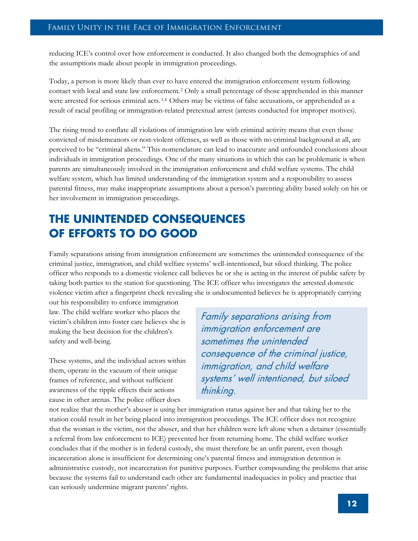reducing ICE's control over how enforcement is conducted. It also changed both the demographics of and the assumptions made about people in immigration proceedings.

Today, a person is more likely than ever to have entered the immigration enforcement system following contact with local and state law enforcement.[2](#page-29-0) Only a small percentage of those apprehended in this manner were arrested for serious criminal acts.<sup>[3](#page-29-1),[4](#page-29-2)</sup> Others may be victims of false accusations, or apprehended as a result of racial profiling or immigration-related pretextual arrest (arrests conducted for improper motives).

The rising trend to conflate all violations of immigration law with criminal activity means that even those convicted of misdemeanors or non-violent offenses, as well as those with no criminal background at all, are perceived to be "criminal aliens." This nomenclature can lead to inaccurate and unfounded conclusions about individuals in immigration proceedings. One of the many situations in which this can be problematic is when parents are simultaneously involved in the immigration enforcement and child welfare systems. The child welfare system, which has limited understanding of the immigration system and a responsibility to assess parental fitness, may make inappropriate assumptions about a person's parenting ability based solely on his or her involvement in immigration proceedings.

# <span id="page-14-4"></span><span id="page-14-3"></span><span id="page-14-2"></span><span id="page-14-1"></span><span id="page-14-0"></span>**THE UNINTENDED CONSEQUENCES OF EFFORTS TO DO GOOD**

Family separations arising from immigration enforcement are sometimes the unintended consequence of the criminal justice, immigration, and child welfare systems' well-intentioned, but siloed thinking. The police officer who responds to a domestic violence call believes he or she is acting in the interest of public safety by taking both parties to the station for questioning. The ICE officer who investigates the arrested domestic violence victim after a fingerprint check revealing she is undocumented believes he is appropriately carrying

out his responsibility to enforce immigration law. The child welfare worker who places the victim's children into foster care believes she is making the best decision for the children's safety and well-being.

These systems, and the individual actors within them, operate in the vacuum of their unique frames of reference, and without sufficient awareness of the ripple effects their actions cause in other arenas. The police officer does

Family separations arising from immigration enforcement are sometimes the unintended consequence of the criminal justice, immigration, and child welfare systems' well intentioned, but siloed thinking.

not realize that the mother's abuser is using her immigration status against her and that taking her to the station could result in her being placed into immigration proceedings. The ICE officer does not recognize that the woman is the victim, not the abuser, and that her children were left alone when a detainer (essentially a referral from law enforcement to ICE) prevented her from returning home. The child welfare worker concludes that if the mother is in federal custody, she must therefore be an unfit parent, even though incarceration alone is insufficient for determining one's parental fitness and immigration detention is administrative custody, not incarceration for punitive purposes. Further compounding the problems that arise because the systems fail to understand each other are fundamental inadequacies in policy and practice that can seriously undermine migrant parents' rights.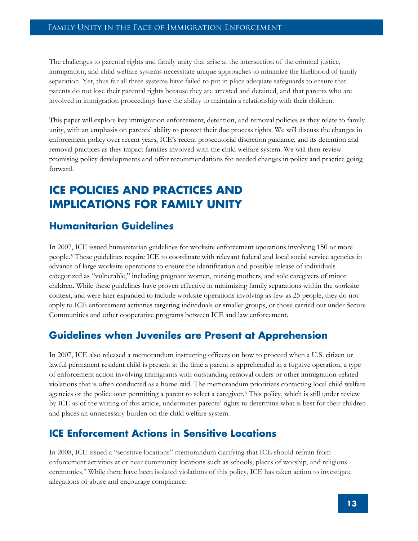The challenges to parental rights and family unity that arise at the intersection of the criminal justice, immigration, and child welfare systems necessitate unique approaches to minimize the likelihood of family separation. Yet, thus far all three systems have failed to put in place adequate safeguards to ensure that parents do not lose their parental rights because they are arrested and detained, and that parents who are involved in immigration proceedings have the ability to maintain a relationship with their children.

This paper will explore key immigration enforcement, detention, and removal policies as they relate to family unity, with an emphasis on parents' ability to protect their due process rights. We will discuss the changes in enforcement policy over recent years, ICE's recent prosecutorial discretion guidance, and its detention and removal practices as they impact families involved with the child welfare system. We will then review promising policy developments and offer recommendations for needed changes in policy and practice going forward.

# **ICE POLICIES AND PRACTICES AND IMPLICATIONS FOR FAMILY UNITY**

### **Humanitarian Guidelines**

<span id="page-15-3"></span><span id="page-15-2"></span><span id="page-15-1"></span><span id="page-15-0"></span>In 2007, ICE issued humanitarian guidelines for worksite enforcement operations involving 150 or more people.[5](#page-29-3) These guidelines require ICE to coordinate with relevant federal and local social service agencies in advance of large worksite operations to ensure the identification and possible release of individuals categorized as "vulnerable," including pregnant women, nursing mothers, and sole caregivers of minor children. While these guidelines have proven effective in minimizing family separations within the worksite context, and were later expanded to include worksite operations involving as few as 25 people, they do not apply to ICE enforcement activities targeting individuals or smaller groups, or those carried out under Secure Communities and other cooperative programs between ICE and law enforcement.

## <span id="page-15-7"></span><span id="page-15-6"></span><span id="page-15-5"></span><span id="page-15-4"></span>**Guidelines when Juveniles are Present at Apprehension**

In 2007, ICE also released a memorandum instructing officers on how to proceed when a U.S. citizen or lawful permanent resident child is present at the time a parent is apprehended in a fugitive operation, a type of enforcement action involving immigrants with outstanding removal orders or other immigration-related violations that is often conducted as a home raid. The memorandum prioritizes contacting local child welfare agencies or the police over permitting a parent to select a caregiver.<sup>[6](#page-29-4)</sup> This policy, which is still under review by ICE as of the writing of this article, undermines parents' rights to determine what is best for their children and places an unnecessary burden on the child welfare system.

#### **ICE Enforcement Actions in Sensitive Locations**

In 2008, ICE issued a "sensitive locations" memorandum clarifying that ICE should refrain from enforcement activities at or near community locations such as schools, places of worship, and religious ceremonies.[7](#page-29-5) While there have been isolated violations of this policy, ICE has taken action to investigate allegations of abuse and encourage compliance.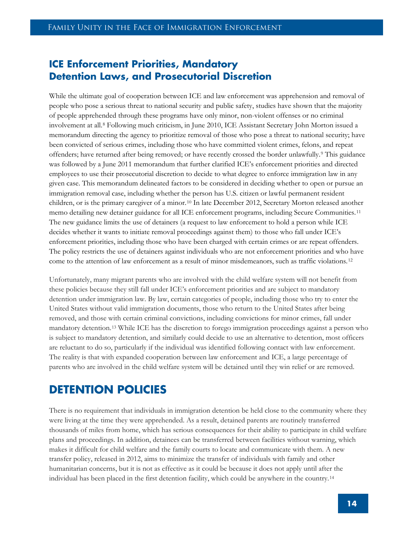#### **ICE Enforcement Priorities, Mandatory Detention Laws, and Prosecutorial Discretion**

While the ultimate goal of cooperation between ICE and law enforcement was apprehension and removal of people who pose a serious threat to national security and public safety, studies have shown that the majority of people apprehended through these programs have only minor, non-violent offenses or no criminal involvement at all.[8](#page-30-0) Following much criticism, in June 2010, ICE Assistant Secretary John Morton issued a memorandum directing the agency to prioritize removal of those who pose a threat to national security; have been convicted of serious crimes, including those who have committed violent crimes, felons, and repeat offenders; have returned after being removed; or have recently crossed the border unlawfully.[9](#page-30-1) This guidance was followed by a June 2011 memorandum that further clarified ICE's enforcement priorities and directed employees to use their prosecutorial discretion to decide to what degree to enforce immigration law in any given case. This memorandum delineated factors to be considered in deciding whether to open or pursue an immigration removal case, including whether the person has U.S. citizen or lawful permanent resident children, or is the primary caregiver of a minor.[10](#page-30-2) In late December 2012, Secretary Morton released another memo detailing new detainer guidance for all ICE enforcement programs, including Secure Communities.<sup>[11](#page-30-3)</sup> The new guidance limits the use of detainers (a request to law enforcement to hold a person while ICE decides whether it wants to initiate removal proceedings against them) to those who fall under ICE's enforcement priorities, including those who have been charged with certain crimes or are repeat offenders. The policy restricts the use of detainers against individuals who are not enforcement priorities and who have come to the attention of law enforcement as a result of minor misdemeanors, such as traffic violations.<sup>[12](#page-30-4)</sup>

Unfortunately, many migrant parents who are involved with the child welfare system will not benefit from these policies because they still fall under ICE's enforcement priorities and are subject to mandatory detention under immigration law. By law, certain categories of people, including those who try to enter the United States without valid immigration documents, those who return to the United States after being removed, and those with certain criminal convictions, including convictions for minor crimes, fall under mandatory detention.[13](#page-30-5) While ICE has the discretion to forego immigration proceedings against a person who is subject to mandatory detention, and similarly could decide to use an alternative to detention, most officers are reluctant to do so, particularly if the individual was identified following contact with law enforcement. The reality is that with expanded cooperation between law enforcement and ICE, a large percentage of parents who are involved in the child welfare system will be detained until they win relief or are removed.

## <span id="page-16-2"></span><span id="page-16-1"></span><span id="page-16-0"></span>**DETENTION POLICIES**

<span id="page-16-4"></span><span id="page-16-3"></span>There is no requirement that individuals in immigration detention be held close to the community where they were living at the time they were apprehended. As a result, detained parents are routinely transferred thousands of miles from home, which has serious consequences for their ability to participate in child welfare plans and proceedings. In addition, detainees can be transferred between facilities without warning, which makes it difficult for child welfare and the family courts to locate and communicate with them. A new transfer policy, released in 2012, aims to minimize the transfer of individuals with family and other humanitarian concerns, but it is not as effective as it could be because it does not apply until after the individual has been placed in the first detention facility, which could be anywhere in the country.[14](#page-30-6)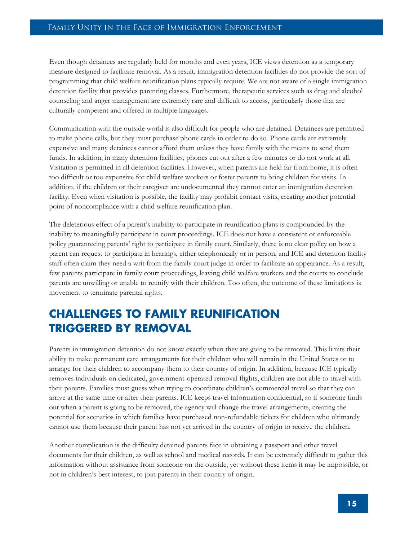Even though detainees are regularly held for months and even years, ICE views detention as a temporary measure designed to facilitate removal. As a result, immigration detention facilities do not provide the sort of programming that child welfare reunification plans typically require. We are not aware of a single immigration detention facility that provides parenting classes. Furthermore, therapeutic services such as drug and alcohol counseling and anger management are extremely rare and difficult to access, particularly those that are culturally competent and offered in multiple languages.

Communication with the outside world is also difficult for people who are detained. Detainees are permitted to make phone calls, but they must purchase phone cards in order to do so. Phone cards are extremely expensive and many detainees cannot afford them unless they have family with the means to send them funds. In addition, in many detention facilities, phones cut out after a few minutes or do not work at all. Visitation is permitted in all detention facilities. However, when parents are held far from home, it is often too difficult or too expensive for child welfare workers or foster parents to bring children for visits. In addition, if the children or their caregiver are undocumented they cannot enter an immigration detention facility. Even when visitation is possible, the facility may prohibit contact visits, creating another potential point of noncompliance with a child welfare reunification plan.

The deleterious effect of a parent's inability to participate in reunification plans is compounded by the inability to meaningfully participate in court proceedings. ICE does not have a consistent or enforceable policy guaranteeing parents' right to participate in family court. Similarly, there is no clear policy on how a parent can request to participate in hearings, either telephonically or in person, and ICE and detention facility staff often claim they need a writ from the family court judge in order to facilitate an appearance. As a result, few parents participate in family court proceedings, leaving child welfare workers and the courts to conclude parents are unwilling or unable to reunify with their children. Too often, the outcome of these limitations is movement to terminate parental rights.

# **CHALLENGES TO FAMILY REUNIFICATION TRIGGERED BY REMOVAL**

Parents in immigration detention do not know exactly when they are going to be removed. This limits their ability to make permanent care arrangements for their children who will remain in the United States or to arrange for their children to accompany them to their country of origin. In addition, because ICE typically removes individuals on dedicated, government-operated removal flights, children are not able to travel with their parents. Families must guess when trying to coordinate children's commercial travel so that they can arrive at the same time or after their parents. ICE keeps travel information confidential, so if someone finds out when a parent is going to be removed, the agency will change the travel arrangements, creating the potential for scenarios in which families have purchased non-refundable tickets for children who ultimately cannot use them because their parent has not yet arrived in the country of origin to receive the children.

<span id="page-17-0"></span>Another complication is the difficulty detained parents face in obtaining a passport and other travel documents for their children, as well as school and medical records. It can be extremely difficult to gather this information without assistance from someone on the outside, yet without these items it may be impossible, or not in children's best interest, to join parents in their country of origin.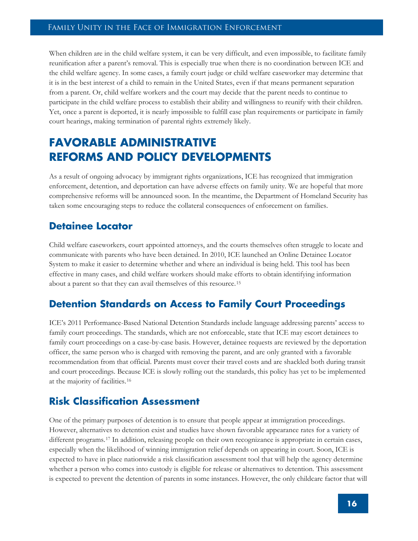When children are in the child welfare system, it can be very difficult, and even impossible, to facilitate family reunification after a parent's removal. This is especially true when there is no coordination between ICE and the child welfare agency. In some cases, a family court judge or child welfare caseworker may determine that it is in the best interest of a child to remain in the United States, even if that means permanent separation from a parent. Or, child welfare workers and the court may decide that the parent needs to continue to participate in the child welfare process to establish their ability and willingness to reunify with their children. Yet, once a parent is deported, it is nearly impossible to fulfill case plan requirements or participate in family court hearings, making termination of parental rights extremely likely.

# **FAVORABLE ADMINISTRATIVE REFORMS AND POLICY DEVELOPMENTS**

As a result of ongoing advocacy by immigrant rights organizations, ICE has recognized that immigration enforcement, detention, and deportation can have adverse effects on family unity. We are hopeful that more comprehensive reforms will be announced soon. In the meantime, the Department of Homeland Security has taken some encouraging steps to reduce the collateral consequences of enforcement on families.

### **Detainee Locator**

Child welfare caseworkers, court appointed attorneys, and the courts themselves often struggle to locate and communicate with parents who have been detained. In 2010, ICE launched an Online Detainee Locator System to make it easier to determine whether and where an individual is being held. This tool has been effective in many cases, and child welfare workers should make efforts to obtain identifying information about a parent so that they can avail themselves of this resource.[15](#page-31-0)

## **Detention Standards on Access to Family Court Proceedings**

ICE's 2011 Performance-Based National Detention Standards include language addressing parents' access to family court proceedings. The standards, which are not enforceable, state that ICE may escort detainees to family court proceedings on a case-by-case basis. However, detainee requests are reviewed by the deportation officer, the same person who is charged with removing the parent, and are only granted with a favorable recommendation from that official. Parents must cover their travel costs and are shackled both during transit and court proceedings. Because ICE is slowly rolling out the standards, this policy has yet to be implemented at the majority of facilities.[16](#page-31-1)

#### **Risk Classification Assessment**

One of the primary purposes of detention is to ensure that people appear at immigration proceedings. However, alternatives to detention exist and studies have shown favorable appearance rates for a variety of different programs.<sup>[17](#page-31-2)</sup> In addition, releasing people on their own recognizance is appropriate in certain cases, especially when the likelihood of winning immigration relief depends on appearing in court. Soon, ICE is expected to have in place nationwide a risk classification assessment tool that will help the agency determine whether a person who comes into custody is eligible for release or alternatives to detention. This assessment is expected to prevent the detention of parents in some instances. However, the only childcare factor that will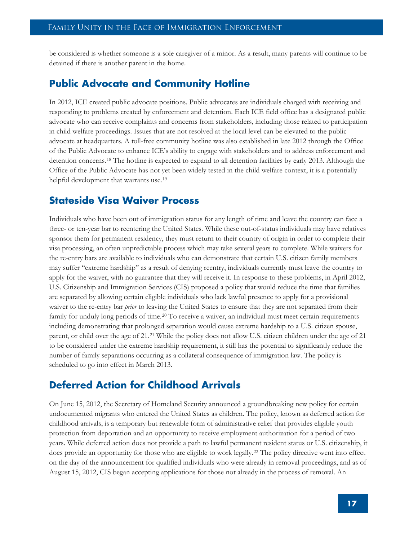be considered is whether someone is a sole caregiver of a minor. As a result, many parents will continue to be detained if there is another parent in the home.

#### **Public Advocate and Community Hotline**

In 2012, ICE created public advocate positions. Public advocates are individuals charged with receiving and responding to problems created by enforcement and detention. Each ICE field office has a designated public advocate who can receive complaints and concerns from stakeholders, including those related to participation in child welfare proceedings. Issues that are not resolved at the local level can be elevated to the public advocate at headquarters. A toll-free community hotline was also established in late 2012 through the Office of the Public Advocate to enhance ICE's ability to engage with stakeholders and to address enforcement and detention concerns.[18](#page-32-0) The hotline is expected to expand to all detention facilities by early 2013. Although the Office of the Public Advocate has not yet been widely tested in the child welfare context, it is a potentially helpful development that warrants use.<sup>[19](#page-32-1)</sup>

#### **Stateside Visa Waiver Process**

Individuals who have been out of immigration status for any length of time and leave the country can face a three- or ten-year bar to reentering the United States. While these out-of-status individuals may have relatives sponsor them for permanent residency, they must return to their country of origin in order to complete their visa processing, an often unpredictable process which may take several years to complete. While waivers for the re-entry bars are available to individuals who can demonstrate that certain U.S. citizen family members may suffer "extreme hardship" as a result of denying reentry, individuals currently must leave the country to apply for the waiver, with no guarantee that they will receive it. In response to these problems, in April 2012, U.S. Citizenship and Immigration Services (CIS) proposed a policy that would reduce the time that families are separated by allowing certain eligible individuals who lack lawful presence to apply for a provisional waiver to the re-entry bar *prior* to leaving the United States to ensure that they are not separated from their family for unduly long periods of time.<sup>[20](#page-32-2)</sup> To receive a waiver, an individual must meet certain requirements including demonstrating that prolonged separation would cause extreme hardship to a U.S. citizen spouse, parent, or child over the age of 21.[21](#page-32-3) While the policy does not allow U.S. citizen children under the age of 21 to be considered under the extreme hardship requirement, it still has the potential to significantly reduce the number of family separations occurring as a collateral consequence of immigration law. The policy is scheduled to go into effect in March 2013.

#### **Deferred Action for Childhood Arrivals**

On June 15, 2012, the Secretary of Homeland Security announced a groundbreaking new policy for certain undocumented migrants who entered the United States as children. The policy, known as deferred action for childhood arrivals, is a temporary but renewable form of administrative relief that provides eligible youth protection from deportation and an opportunity to receive employment authorization for a period of two years. While deferred action does not provide a path to lawful permanent resident status or U.S. citizenship, it does provide an opportunity for those who are eligible to work legally.[22](#page-32-4) The policy directive went into effect on the day of the announcement for qualified individuals who were already in removal proceedings, and as of August 15, 2012, CIS began accepting applications for those not already in the process of removal. An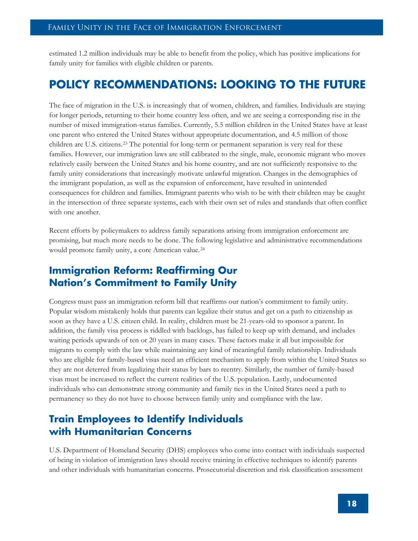estimated 1.2 million individuals may be able to benefit from the policy, which has positive implications for family unity for families with eligible children or parents.

## **POLICY RECOMMENDATIONS: LOOKING TO THE FUTURE**

The face of migration in the U.S. is increasingly that of women, children, and families. Individuals are staying for longer periods, returning to their home country less often, and we are seeing a corresponding rise in the number of mixed immigration-status families. Currently, 5.5 million children in the United States have at least one parent who entered the United States without appropriate documentation, and 4.5 million of those children are U.S. citizens.[23](#page-33-1) The potential for long-term or permanent separation is very real for these families. However, our immigration laws are still calibrated to the single, male, economic migrant who moves relatively easily between the United States and his home country, and are not sufficiently responsive to the family unity considerations that increasingly motivate unlawful migration. Changes in the demographics of the immigrant population, as well as the expansion of enforcement, have resulted in unintended consequences for children and families. Immigrant parents who wish to be with their children may be caught in the intersection of three separate systems, each with their own set of rules and standards that often conflict with one another.

Recent efforts by policymakers to address family separations arising from immigration enforcement are promising, but much more needs to be done. The following legislative and administrative recommendations would promote family unity, a core American value.[24](#page-33-2)

## **Immigration Reform: Reaffirming Our Nation's Commitment to Family Unity**

Congress must pass an immigration reform bill that reaffirms our nation's commitment to family unity. Popular wisdom mistakenly holds that parents can legalize their status and get on a path to citizenship as soon as they have a U.S. citizen child. In reality, children must be 21-years-old to sponsor a parent. In addition, the family visa process is riddled with backlogs, has failed to keep up with demand, and includes waiting periods upwards of ten or 20 years in many cases. These factors make it all but impossible for migrants to comply with the law while maintaining any kind of meaningful family relationship. Individuals who are eligible for family-based visas need an efficient mechanism to apply from within the United States so they are not deterred from legalizing their status by bars to reentry. Similarly, the number of family-based visas must be increased to reflect the current realities of the U.S. population. Lastly, undocumented individuals who can demonstrate strong community and family ties in the United States need a path to permanency so they do not have to choose between family unity and compliance with the law.

## **Train Employees to Identify Individuals with Humanitarian Concerns**

U.S. Department of Homeland Security (DHS) employees who come into contact with individuals suspected of being in violation of immigration laws should receive training in effective techniques to identify parents and other individuals with humanitarian concerns. Prosecutorial discretion and risk classification assessment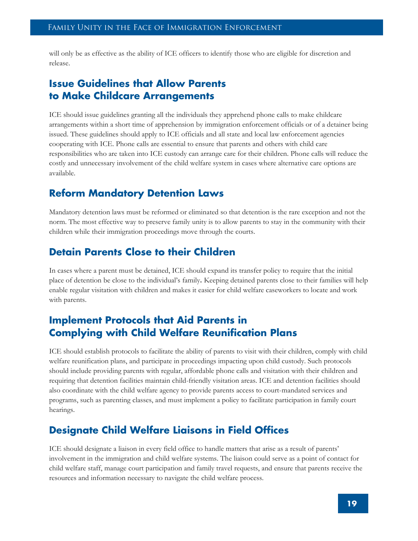will only be as effective as the ability of ICE officers to identify those who are eligible for discretion and release.

### **Issue Guidelines that Allow Parents to Make Childcare Arrangements**

ICE should issue guidelines granting all the individuals they apprehend phone calls to make childcare arrangements within a short time of apprehension by immigration enforcement officials or of a detainer being issued. These guidelines should apply to ICE officials and all state and local law enforcement agencies cooperating with ICE. Phone calls are essential to ensure that parents and others with child care responsibilities who are taken into ICE custody can arrange care for their children. Phone calls will reduce the costly and unnecessary involvement of the child welfare system in cases where alternative care options are available.

#### **Reform Mandatory Detention Laws**

Mandatory detention laws must be reformed or eliminated so that detention is the rare exception and not the norm. The most effective way to preserve family unity is to allow parents to stay in the community with their children while their immigration proceedings move through the courts.

#### **Detain Parents Close to their Children**

In cases where a parent must be detained, ICE should expand its transfer policy to require that the initial place of detention be close to the individual's family**.** Keeping detained parents close to their families will help enable regular visitation with children and makes it easier for child welfare caseworkers to locate and work with parents.

## **Implement Protocols that Aid Parents in Complying with Child Welfare Reunification Plans**

ICE should establish protocols to facilitate the ability of parents to visit with their children, comply with child welfare reunification plans, and participate in proceedings impacting upon child custody. Such protocols should include providing parents with regular, affordable phone calls and visitation with their children and requiring that detention facilities maintain child-friendly visitation areas. ICE and detention facilities should also coordinate with the child welfare agency to provide parents access to court-mandated services and programs, such as parenting classes, and must implement a policy to facilitate participation in family court hearings.

#### **Designate Child Welfare Liaisons in Field Offices**

ICE should designate a liaison in every field office to handle matters that arise as a result of parents' involvement in the immigration and child welfare systems. The liaison could serve as a point of contact for child welfare staff, manage court participation and family travel requests, and ensure that parents receive the resources and information necessary to navigate the child welfare process.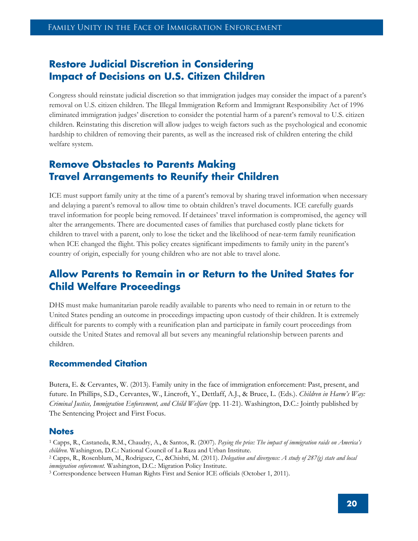#### **Restore Judicial Discretion in Considering Impact of Decisions on U.S. Citizen Children**

Congress should reinstate judicial discretion so that immigration judges may consider the impact of a parent's removal on U.S. citizen children. The Illegal Immigration Reform and Immigrant Responsibility Act of 1996 eliminated immigration judges' discretion to consider the potential harm of a parent's removal to U.S. citizen children. Reinstating this discretion will allow judges to weigh factors such as the psychological and economic hardship to children of removing their parents, as well as the increased risk of children entering the child welfare system.

### **Remove Obstacles to Parents Making Travel Arrangements to Reunify their Children**

ICE must support family unity at the time of a parent's removal by sharing travel information when necessary and delaying a parent's removal to allow time to obtain children's travel documents. ICE carefully guards travel information for people being removed. If detainees' travel information is compromised, the agency will alter the arrangements. There are documented cases of families that purchased costly plane tickets for children to travel with a parent, only to lose the ticket and the likelihood of near-term family reunification when ICE changed the flight. This policy creates significant impediments to family unity in the parent's country of origin, especially for young children who are not able to travel alone.

## **Allow Parents to Remain in or Return to the United States for Child Welfare Proceedings**

DHS must make humanitarian parole readily available to parents who need to remain in or return to the United States pending an outcome in proceedings impacting upon custody of their children. It is extremely difficult for parents to comply with a reunification plan and participate in family court proceedings from outside the United States and removal all but severs any meaningful relationship between parents and children.

#### **Recommended Citation**

Butera, E. & Cervantes, W. (2013). Family unity in the face of immigration enforcement: Past, present, and future. In Phillips, S.D., Cervantes, W., Lincroft, Y., Dettlaff, A.J., & Bruce, L. (Eds.). *Children in Harm's Way: Criminal Justice, Immigration Enforcement, and Child Welfare* (pp. 11-21). Washington, D.C.: Jointly published by The Sentencing Project and First Focus.

#### **Notes**

<sup>1</sup> Capps, R., Castaneda, R.M., Chaudry, A., & Santos, R. (2007). *Paying the price: The impact of immigration raids on America's children.* Washington*,* D.C.: National Council of La Raza and Urban Institute.

<sup>2</sup> Capps, R., Rosenblum, M., Rodriguez, C., &Chishti, M. (2011). *Delegation and divergence: A study of 287(g) state and local immigration enforcement*. Washington, D.C.: Migration Policy Institute.<br><sup>3</sup> Correspondence between Human Rights First and Senior ICE officials (October 1, 2011).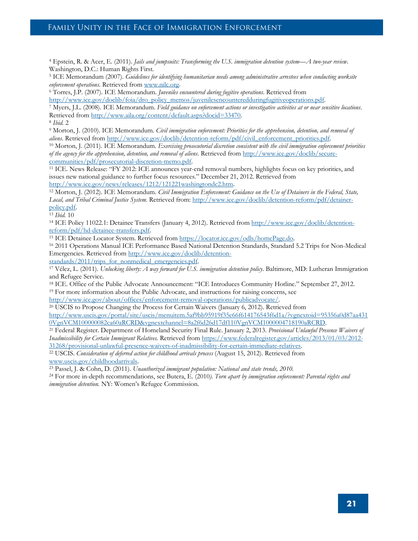<sup>4</sup> Epstein, R. & Acer, E. (2011). *Jails and jumpsuits: Transforming the U.S. immigration detention system—A two-year review*. Washington, D.C.: Human Rights First.

<sup>5</sup> ICE Memorandum (2007). *Guidelines for identifying humanitarian needs among administrative arrestees when conducting worksite enforcement operations*. Retrieved from [www.nilc.org.](http://www.nilc.org/)

<sup>6</sup> Torres, J.P. (2007). ICE Memorandum. *Juveniles encountered during fugitive operations*. Retrieved from

[http://www.ice.gov/doclib/foia/dro\\_policy\\_memos/juvenilesencounteredduringfugitiveoperations.pdf.](http://www.ice.gov/doclib/foia/dro_policy_memos/juvenilesencounteredduringfugitiveoperations.pdf)<br>7 Myers, J.L. (2008). ICE Memorandum. Field guidance on enforcement actions or investigative activities at or near sensitive

Retrieved from [http://www.aila.org/content/default.aspx?docid=33470.](http://www.aila.org/content/default.aspx?docid=33470)

<sup>8</sup> Ibid. 2<br><sup>9</sup> Morton, J. (2010). ICE Memorandum. *Civil immigration enforcement: Priorities for the apprehension, detention, and removal of aliens*. Retrieved fro[m http://www.ice.gov/doclib/detention-reform/pdf/civil\\_enforcement\\_priorities.pdf.](http://www.ice.gov/doclib/detention-reform/pdf/civil_enforcement_priorities.pdf)

<sup>10</sup> Morton, J. (2011). ICE Memorandum. *Exercising prosecutorial discretion consistent with the civil immigration enforcement priorities of the agency for the apprehension, detention, and removal of aliens*. Retrieved fro[m http://www.ice.gov/doclib/secure](http://www.ice.gov/doclib/secure-communities/pdf/prosecutorial-discretion-memo.pdf)[communities/pdf/prosecutorial-discretion-memo.pdf.](http://www.ice.gov/doclib/secure-communities/pdf/prosecutorial-discretion-memo.pdf)

<sup>11</sup> ICE. News Release: "FY 2012: ICE announces year-end removal numbers, highlights focus on key priorities, and issues new national guidance to further focus resources." December 21, 2012. Retrieved from [http://www.ice.gov/news/releases/1212/121221washingtondc2.htm.](http://www.ice.gov/news/releases/1212/121221washingtondc2.htm)

<sup>12</sup> Morton, J. (2012). ICE Memorandum. *Civil Immigration Enforcement: Guidance on the Use of Detainers in the Federal, State, Local, and Tribal Criminal Justice System.* Retrieved from: [http://www.ice.gov/doclib/detention-reform/pdf/detainer](http://www.ice.gov/doclib/detention-reform/pdf/detainer-policy.pdf)[policy.pdf.](http://www.ice.gov/doclib/detention-reform/pdf/detainer-policy.pdf)

<sup>13</sup> *Ibid.* 10<br><sup>14</sup> ICE Policy 11022.1: Detainee Transfers (January 4, 2012). Retrieved from [http://www.ice.gov/doclib/detention](http://www.ice.gov/doclib/detention-reform/pdf/hd-detainee-transfers.pdf)[reform/pdf/hd-detainee-transfers.pdf.](http://www.ice.gov/doclib/detention-reform/pdf/hd-detainee-transfers.pdf)

<sup>15</sup> ICE Detainee Locator System. Retrieved from [https://locator.ice.gov/odls/homePage.do.](https://locator.ice.gov/odls/homePage.do)

<sup>16</sup> 2011 Operations Manual ICE Performance Based National Detention Standards, Standard 5.2 Trips for Non-Medical Emergencies. Retrieved from [http://www.ice.gov/doclib/detention-](http://www.ice.gov/doclib/detention-standards/2011/trips_for_nonmedical_emergencies.pdf)

[standards/2011/trips\\_for\\_nonmedical\\_emergencies.pdf.](http://www.ice.gov/doclib/detention-standards/2011/trips_for_nonmedical_emergencies.pdf)

<sup>17</sup> Vélez, L. (2011). *Unlocking liberty: A way forward for U.S. immigration detention policy.* Baltimore, MD: Lutheran Immigration and Refugee Service.

<sup>18</sup> ICE. Office of the Public Advocate Announcement: "ICE Introduces Community Hotline." September 27, 2012. <sup>19</sup> For more information about the Public Advocate, and instructions for raising concerns, see

[http://www.ice.gov/about/offices/enforcement-removal-operations/publicadvocate/.](http://www.ice.gov/about/offices/enforcement-removal-operations/publicadvocate/)

<sup>20</sup> USCIS to Propose Changing the Process for Certain Waivers (January 6, 2012). Retrieved from [http://www.uscis.gov/portal/site/uscis/menuitem.5af9bb95919f35e66f614176543f6d1a/?vgnextoid=95356a0d87aa431](http://www.uscis.gov/portal/site/uscis/menuitem.5af9bb95919f35e66f614176543f6d1a/?vgnextoid=95356a0d87aa4310VgnVCM100000082ca60aRCRD&vgnextchannel=8a2f6d26d17df110VgnVCM1000004718190aRCRD) [0VgnVCM100000082ca60aRCRD&vgnextchannel=8a2f6d26d17df110VgnVCM1000004718190aRCRD.](http://www.uscis.gov/portal/site/uscis/menuitem.5af9bb95919f35e66f614176543f6d1a/?vgnextoid=95356a0d87aa4310VgnVCM100000082ca60aRCRD&vgnextchannel=8a2f6d26d17df110VgnVCM1000004718190aRCRD)

<sup>21</sup> Federal Register. Department of Homeland Security Final Rule. January 2, 2013. *Provisional Unlawful Presence Waivers of Inadmissibility for Certain Immigrant Relatives.* Retrieved fro[m https://www.federalregister.gov/articles/2013/01/03/2012-](https://www.federalregister.gov/articles/2013/01/03/2012-31268/provisional-unlawful-presence-waivers-of-inadmissibility-for-certain-immediate-relatives) [31268/provisional-unlawful-presence-waivers-of-inadmissibility-for-certain-immediate-relatives.](https://www.federalregister.gov/articles/2013/01/03/2012-31268/provisional-unlawful-presence-waivers-of-inadmissibility-for-certain-immediate-relatives)

<sup>22</sup> USCIS. *Consideration of deferred action for childhood arrivals process* (August 15, 2012). Retrieved from [www.uscis.gov/childhoodarrivals.](http://www.uscis.gov/childhoodarrivals)

<sup>23</sup> Passel, J. & Cohn, D. (2011). *Unauthorized immigrant population: National and state trends, 2010.* 

<sup>24</sup> For more in-depth recommendations, see Butera, E. (2010*). Torn apart by immigration enforcement: Parental rights and immigration detention.* NY: Women's Refugee Commission.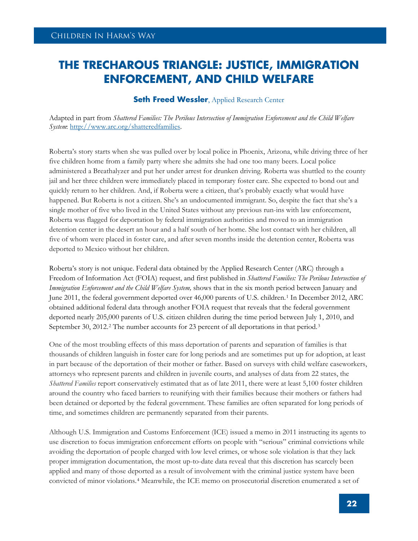# <span id="page-24-0"></span>**THE TRECHAROUS TRIANGLE: JUSTICE, IMMIGRATION ENFORCEMENT, AND CHILD WELFARE**

#### **Seth Freed Wessler, Applied Research Center**

Adapted in part from *Shattered Families: The Perilous Intersection of Immigration Enforcement and the Child Welfare System*: [http://www.arc.org/shatteredfamilies.](http://www.arc.org/shatteredfamilies)

Roberta's story starts when she was pulled over by local police in Phoenix, Arizona, while driving three of her five children home from a family party where she admits she had one too many beers. Local police administered a Breathalyzer and put her under arrest for drunken driving. Roberta was shuttled to the county jail and her three children were immediately placed in temporary foster care. She expected to bond out and quickly return to her children. And, if Roberta were a citizen, that's probably exactly what would have happened. But Roberta is not a citizen. She's an undocumented immigrant. So, despite the fact that she's a single mother of five who lived in the United States without any previous run-ins with law enforcement, Roberta was flagged for deportation by federal immigration authorities and moved to an immigration detention center in the desert an hour and a half south of her home. She lost contact with her children, all five of whom were placed in foster care, and after seven months inside the detention center, Roberta was deported to Mexico without her children.

Roberta's story is not unique. Federal data obtained by the Applied Research Center (ARC) through a Freedom of Information Act (FOIA) request, and first published in *Shattered Families: The Perilous Intersection of Immigration Enforcement and the Child Welfare System,* shows that in the six month period between January and June 2011, the federal government deported over 46,000 parents of U.S. children.[1](#page-32-5) In December 2012, ARC obtained additional federal data through another FOIA request that reveals that the federal government deported nearly 205,000 parents of U.S. citizen children during the time period between July 1, 2010, and September 30, [2](#page-32-6)012.<sup>2</sup> The number accounts for 2[3](#page-32-7) percent of all deportations in that period.<sup>3</sup>

One of the most troubling effects of this mass deportation of parents and separation of families is that thousands of children languish in foster care for long periods and are sometimes put up for adoption, at least in part because of the deportation of their mother or father. Based on surveys with child welfare caseworkers, attorneys who represent parents and children in juvenile courts, and analyses of data from 22 states, the *Shattered Families* report conservatively estimated that as of late 2011, there were at least 5,100 foster children around the country who faced barriers to reunifying with their families because their mothers or fathers had been detained or deported by the federal government. These families are often separated for long periods of time, and sometimes children are permanently separated from their parents.

Although U.S. Immigration and Customs Enforcement (ICE) issued a memo in 2011 instructing its agents to use discretion to focus immigration enforcement efforts on people with "serious" criminal convictions while avoiding the deportation of people charged with low level crimes, or whose sole violation is that they lack proper immigration documentation, the most up-to-date data reveal that this discretion has scarcely been applied and many of those deported as a result of involvement with the criminal justice system have been convicted of minor violations.[4](#page-32-8) Meanwhile, the ICE memo on prosecutorial discretion enumerated a set of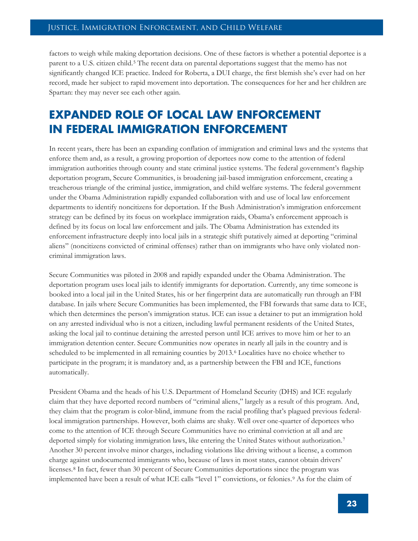factors to weigh while making deportation decisions. One of these factors is whether a potential deportee is a parent to a U.S. citizen child.[5](#page-32-9) The recent data on parental deportations suggest that the memo has not significantly changed ICE practice. Indeed for Roberta, a DUI charge, the first blemish she's ever had on her record, made her subject to rapid movement into deportation. The consequences for her and her children are Spartan: they may never see each other again.

# **EXPANDED ROLE OF LOCAL LAW ENFORCEMENT IN FEDERAL IMMIGRATION ENFORCEMENT**

In recent years, there has been an expanding conflation of immigration and criminal laws and the systems that enforce them and, as a result, a growing proportion of deportees now come to the attention of federal immigration authorities through county and state criminal justice systems. The federal government's flagship deportation program, Secure Communities, is broadening jail-based immigration enforcement, creating a treacherous triangle of the criminal justice, immigration, and child welfare systems. The federal government under the Obama Administration rapidly expanded collaboration with and use of local law enforcement departments to identify noncitizens for deportation. If the Bush Administration's immigration enforcement strategy can be defined by its focus on workplace immigration raids, Obama's enforcement approach is defined by its focus on local law enforcement and jails. The Obama Administration has extended its enforcement infrastructure deeply into local jails in a strategic shift putatively aimed at deporting "criminal aliens" (noncitizens convicted of criminal offenses) rather than on immigrants who have only violated noncriminal immigration laws.

Secure Communities was piloted in 2008 and rapidly expanded under the Obama Administration. The deportation program uses local jails to identify immigrants for deportation. Currently, any time someone is booked into a local jail in the United States, his or her fingerprint data are automatically run through an FBI database. In jails where Secure Communities has been implemented, the FBI forwards that same data to ICE, which then determines the person's immigration status. ICE can issue a detainer to put an immigration hold on any arrested individual who is not a citizen, including lawful permanent residents of the United States, asking the local jail to continue detaining the arrested person until ICE arrives to move him or her to an immigration detention center. Secure Communities now operates in nearly all jails in the country and is scheduled to be implemented in all remaining counties by 2013.[6](#page-32-10) Localities have no choice whether to participate in the program; it is mandatory and, as a partnership between the FBI and ICE, functions automatically.

President Obama and the heads of his U.S. Department of Homeland Security (DHS) and ICE regularly claim that they have deported record numbers of "criminal aliens," largely as a result of this program. And, they claim that the program is color-blind, immune from the racial profiling that's plagued previous federallocal immigration partnerships. However, both claims are shaky. Well over one-quarter of deportees who come to the attention of ICE through Secure Communities have no criminal conviction at all and are deported simply for violating immigration laws, like entering the United States without authorization.[7](#page-32-11) Another 30 percent involve minor charges, including violations like driving without a license, a common charge against undocumented immigrants who, because of laws in most states, cannot obtain drivers' licenses.[8](#page-32-12) In fact, fewer than 30 percent of Secure Communities deportations since the program was implemented have been a result of what ICE calls "level 1" convictions, or felonies.<sup>[9](#page-32-13)</sup> As for the claim of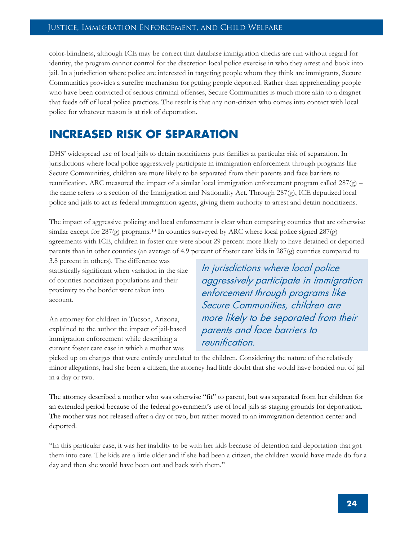color-blindness, although ICE may be correct that database immigration checks are run without regard for identity, the program cannot control for the discretion local police exercise in who they arrest and book into jail. In a jurisdiction where police are interested in targeting people whom they think are immigrants, Secure Communities provides a surefire mechanism for getting people deported. Rather than apprehending people who have been convicted of serious criminal offenses, Secure Communities is much more akin to a dragnet that feeds off of local police practices. The result is that any non-citizen who comes into contact with local police for whatever reason is at risk of deportation.

# **INCREASED RISK OF SEPARATION**

DHS' widespread use of local jails to detain noncitizens puts families at particular risk of separation. In jurisdictions where local police aggressively participate in immigration enforcement through programs like Secure Communities, children are more likely to be separated from their parents and face barriers to reunification. ARC measured the impact of a similar local immigration enforcement program called  $287(g)$  – the name refers to a section of the Immigration and Nationality Act. Through 287(g), ICE deputized local police and jails to act as federal immigration agents, giving them authority to arrest and detain noncitizens.

The impact of aggressive policing and local enforcement is clear when comparing counties that are otherwise similar except for  $287(g)$  programs.<sup>[10](#page-32-14)</sup> In counties surveyed by ARC where local police signed  $287(g)$ agreements with ICE, children in foster care were about 29 percent more likely to have detained or deported parents than in other counties (an average of 4.9 percent of foster care kids in 287(g) counties compared to

3.8 percent in others). The difference was statistically significant when variation in the size of counties noncitizen populations and their proximity to the border were taken into account.

An attorney for children in Tucson, Arizona, explained to the author the impact of jail-based immigration enforcement while describing a current foster care case in which a mother was

In jurisdictions where local police aggressively participate in immigration enforcement through programs like Secure Communities, children are more likely to be separated from their parents and face barriers to reunification.

picked up on charges that were entirely unrelated to the children. Considering the nature of the relatively minor allegations, had she been a citizen, the attorney had little doubt that she would have bonded out of jail in a day or two.

The attorney described a mother who was otherwise "fit" to parent, but was separated from her children for an extended period because of the federal government's use of local jails as staging grounds for deportation. The mother was not released after a day or two, but rather moved to an immigration detention center and deported.

"In this particular case, it was her inability to be with her kids because of detention and deportation that got them into care. The kids are a little older and if she had been a citizen, the children would have made do for a day and then she would have been out and back with them."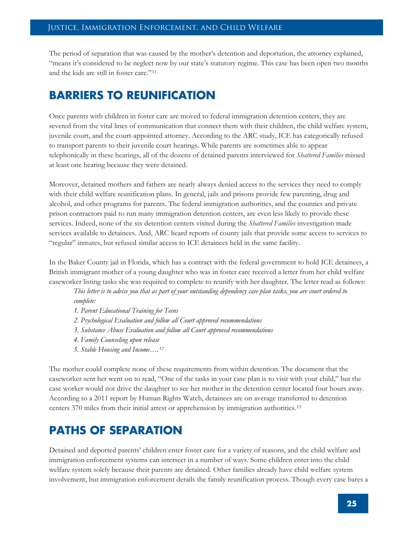The period of separation that was caused by the mother's detention and deportation, the attorney explained, "means it's considered to be neglect now by our state's statutory regime. This case has been open two months and the kids are still in foster care."[11](#page-32-15)

### **BARRIERS TO REUNIFICATION**

Once parents with children in foster care are moved to federal immigration detention centers, they are severed from the vital lines of communication that connect them with their children, the child welfare system, juvenile court, and the court-appointed attorney. According to the ARC study, ICE has categorically refused to transport parents to their juvenile court hearings. While parents are sometimes able to appear telephonically in these hearings, all of the dozens of detained parents interviewed for *Shattered Families* missed at least one hearing because they were detained.

Moreover, detained mothers and fathers are nearly always denied access to the services they need to comply with their child welfare reunification plans. In general, jails and prisons provide few parenting, drug and alcohol, and other programs for parents. The federal immigration authorities, and the counties and private prison contractors paid to run many immigration detention centers, are even less likely to provide these services. Indeed, none of the six detention centers visited during the *Shattered Families* investigation made services available to detainees. And, ARC heard reports of county jails that provide some access to services to "regular" inmates, but refused similar access to ICE detainees held in the same facility.

In the Baker County jail in Florida, which has a contract with the federal government to hold ICE detainees, a British immigrant mother of a young daughter who was in foster care received a letter from her child welfare caseworker listing tasks she was required to complete to reunify with her daughter. The letter read as follows:

*This letter is to advise you that as part of your outstanding dependency case plan tasks, you are court ordered to complete:*

- *1. Parent Educational Training for Teens*
- *2. Psychological Evaluation and follow all Court approved recommendations*
- *3. Substance Abuse Evaluation and follow all Court approved recommendations*
- *4. Family Counseling upon release*
- *5. Stable Housing and Income….[12](#page-32-16)*

The mother could complete none of these requirements from within detention. The document that the caseworker sent her went on to read, "One of the tasks in your case plan is to visit with your child," but the case worker would not drive the daughter to see her mother in the detention center located four hours away. According to a 2011 report by Human Rights Watch, detainees are on average transferred to detention centers 370 miles from their initial arrest or apprehension by immigration authorities.[13](#page-32-17)

## **PATHS OF SEPARATION**

Detained and deported parents' children enter foster care for a variety of reasons, and the child welfare and immigration enforcement systems can intersect in a number of ways. Some children enter into the child welfare system solely because their parents are detained. Other families already have child welfare system involvement, but immigration enforcement derails the family reunification process. Though every case bares a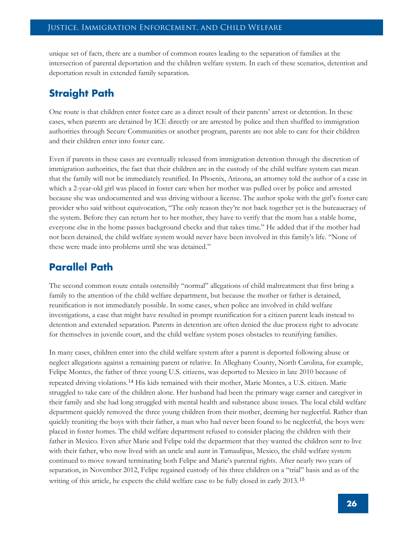unique set of facts, there are a number of common routes leading to the separation of families at the intersection of parental deportation and the children welfare system. In each of these scenarios, detention and deportation result in extended family separation.

#### **Straight Path**

One route is that children enter foster care as a direct result of their parents' arrest or detention. In these cases, when parents are detained by ICE directly or are arrested by police and then shuffled to immigration authorities through Secure Communities or another program, parents are not able to care for their children and their children enter into foster care.

Even if parents in these cases are eventually released from immigration detention through the discretion of immigration authorities, the fact that their children are in the custody of the child welfare system can mean that the family will not be immediately reunified. In Phoenix, Arizona, an attorney told the author of a case in which a 2-year-old girl was placed in foster care when her mother was pulled over by police and arrested because she was undocumented and was driving without a license. The author spoke with the girl's foster care provider who said without equivocation, "The only reason they're not back together yet is the bureaucracy of the system. Before they can return her to her mother, they have to verify that the mom has a stable home, everyone else in the home passes background checks and that takes time." He added that if the mother had not been detained, the child welfare system would never have been involved in this family's life. "None of these were made into problems until she was detained."

#### **Parallel Path**

The second common route entails ostensibly "normal" allegations of child maltreatment that first bring a family to the attention of the child welfare department, but because the mother or father is detained, reunification is not immediately possible. In some cases, when police are involved in child welfare investigations, a case that might have resulted in prompt reunification for a citizen parent leads instead to detention and extended separation. Parents in detention are often denied the due process right to advocate for themselves in juvenile court, and the child welfare system poses obstacles to reunifying families.

<span id="page-28-0"></span>In many cases, children enter into the child welfare system after a parent is deported following abuse or neglect allegations against a remaining parent or relative. In Alleghany County, North Carolina, for example, Felipe Montes, the father of three young U.S. citizens, was deported to Mexico in late 2010 because of repeated driving violations.[14](#page-32-18) His kids remained with their mother, Marie Montes, a U.S. citizen. Marie struggled to take care of the children alone. Her husband had been the primary wage earner and caregiver in their family and she had long struggled with mental health and substance abuse issues. The local child welfare department quickly removed the three young children from their mother, deeming her neglectful. Rather than quickly reuniting the boys with their father, a man who had never been found to be neglectful, the boys were placed in foster homes. The child welfare department refused to consider placing the children with their father in Mexico. Even after Marie and Felipe told the department that they wanted the children sent to live with their father, who now lived with an uncle and aunt in Tamaulipas, Mexico, the child welfare system continued to move toward terminating both Felipe and Marie's parental rights. After nearly two years of separation, in November 2012, Felipe regained custody of his three children on a "trial" basis and as of the writing of this article, he expects the child welfare case to be fully closed in early 2013.<sup>[15](#page-32-19)</sup>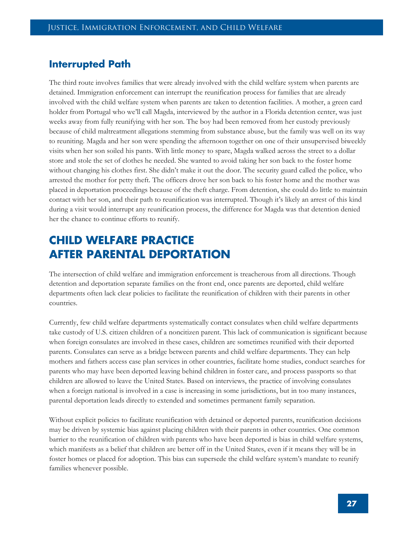#### <span id="page-29-4"></span>**Interrupted Path**

<span id="page-29-5"></span>The third route involves families that were already involved with the child welfare system when parents are detained. Immigration enforcement can interrupt the reunification process for families that are already involved with the child welfare system when parents are taken to detention facilities. A mother, a green card holder from Portugal who we'll call Magda, interviewed by the author in a Florida detention center, was just weeks away from fully reunifying with her son. The boy had been removed from her custody previously because of child maltreatment allegations stemming from substance abuse, but the family was well on its way to reuniting. Magda and her son were spending the afternoon together on one of their unsupervised biweekly visits when her son soiled his pants. With little money to spare, Magda walked across the street to a dollar store and stole the set of clothes he needed. She wanted to avoid taking her son back to the foster home without changing his clothes first. She didn't make it out the door. The security guard called the police, who arrested the mother for petty theft. The officers drove her son back to his foster home and the mother was placed in deportation proceedings because of the theft charge. From detention, she could do little to maintain contact with her son, and their path to reunification was interrupted. Though it's likely an arrest of this kind during a visit would interrupt any reunification process, the difference for Magda was that detention denied her the chance to continue efforts to reunify.

# **CHILD WELFARE PRACTICE AFTER PARENTAL DEPORTATION**

The intersection of child welfare and immigration enforcement is treacherous from all directions. Though detention and deportation separate families on the front end, once parents are deported, child welfare departments often lack clear policies to facilitate the reunification of children with their parents in other countries.

Currently, few child welfare departments systematically contact consulates when child welfare departments take custody of U.S. citizen children of a noncitizen parent. This lack of communication is significant because when foreign consulates are involved in these cases, children are sometimes reunified with their deported parents. Consulates can serve as a bridge between parents and child welfare departments. They can help mothers and fathers access case plan services in other countries, facilitate home studies, conduct searches for parents who may have been deported leaving behind children in foster care, and process passports so that children are allowed to leave the United States. Based on interviews, the practice of involving consulates when a foreign national is involved in a case is increasing in some jurisdictions, but in too many instances, parental deportation leads directly to extended and sometimes permanent family separation.

<span id="page-29-3"></span><span id="page-29-2"></span><span id="page-29-1"></span><span id="page-29-0"></span>Without explicit policies to facilitate reunification with detained or deported parents, reunification decisions may be driven by systemic bias against placing children with their parents in other countries. One common barrier to the reunification of children with parents who have been deported is bias in child welfare systems, which manifests as a belief that children are better off in the United States, even if it means they will be in foster homes or placed for adoption. This bias can supersede the child welfare system's mandate to reunify families whenever possible.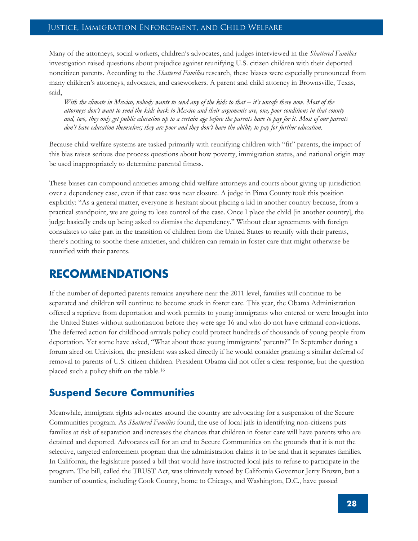#### [Justice, Immigration Enforcement, and Child Welfare](#page-1-0)

<span id="page-30-0"></span>Many of the attorneys, social workers, children's advocates, and judges interviewed in the *Shattered Families* investigation raised questions about prejudice against reunifying U.S. citizen children with their deported noncitizen parents. According to the *Shattered Families* research, these biases were especially pronounced from many children's attorneys, advocates, and caseworkers. A parent and child attorney in Brownsville, Texas, said,

<span id="page-30-1"></span>*With the climate in Mexico, nobody wants to send any of the kids to that – it's unsafe there now. Most of the attorneys don't want to send the kids back to Mexico and their arguments are, one, poor conditions in that county and, two, they only get public education up to a certain age before the parents have to pay for it. Most of our parents don't have education themselves; they are poor and they don't have the ability to pay for further education.* 

<span id="page-30-4"></span><span id="page-30-3"></span><span id="page-30-2"></span>Because child welfare systems are tasked primarily with reunifying children with "fit" parents, the impact of this bias raises serious due process questions about how poverty, immigration status, and national origin may be used inappropriately to determine parental fitness.

<span id="page-30-6"></span><span id="page-30-5"></span>These biases can compound anxieties among child welfare attorneys and courts about giving up jurisdiction over a dependency case, even if that case was near closure. A judge in Pima County took this position explicitly: "As a general matter, everyone is hesitant about placing a kid in another country because, from a practical standpoint, we are going to lose control of the case. Once I place the child [in another country], the judge basically ends up being asked to dismiss the dependency." Without clear agreements with foreign consulates to take part in the transition of children from the United States to reunify with their parents, there's nothing to soothe these anxieties, and children can remain in foster care that might otherwise be reunified with their parents.

## **RECOMMENDATIONS**

If the number of deported parents remains anywhere near the 2011 level, families will continue to be separated and children will continue to become stuck in foster care. This year, the Obama Administration offered a reprieve from deportation and work permits to young immigrants who entered or were brought into the United States without authorization before they were age 16 and who do not have criminal convictions. The deferred action for childhood arrivals policy could protect hundreds of thousands of young people from deportation. Yet some have asked, "What about these young immigrants' parents?" In September during a forum aired on Univision, the president was asked directly if he would consider granting a similar deferral of removal to parents of U.S. citizen children. President Obama did not offer a clear response, but the question placed such a policy shift on the table.[16](#page-32-20)

## **Suspend Secure Communities**

Meanwhile, immigrant rights advocates around the country are advocating for a suspension of the Secure Communities program. As *Shattered Families* found, the use of local jails in identifying non-citizens puts families at risk of separation and increases the chances that children in foster care will have parents who are detained and deported. Advocates call for an end to Secure Communities on the grounds that it is not the selective, targeted enforcement program that the administration claims it to be and that it separates families. In California, the legislature passed a bill that would have instructed local jails to refuse to participate in the program. The bill, called the TRUST Act, was ultimately vetoed by California Governor Jerry Brown, but a number of counties, including Cook County, home to Chicago, and Washington, D.C., have passed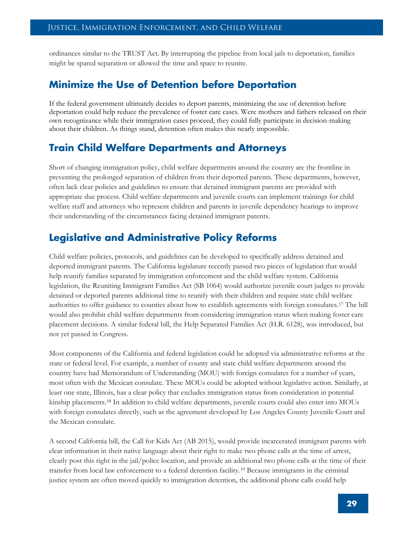ordinances similar to the TRUST Act. By interrupting the pipeline from local jails to deportation, families might be spared separation or allowed the time and space to reunite.

#### **Minimize the Use of Detention before Deportation**

If the federal government ultimately decides to deport parents, minimizing the use of detention before deportation could help reduce the prevalence of foster care cases. Were mothers and fathers released on their own recognizance while their immigration cases proceed, they could fully participate in decision-making about their children. As things stand, detention often makes this nearly impossible.

#### **Train Child Welfare Departments and Attorneys**

Short of changing immigration policy, child welfare departments around the country are the frontline in preventing the prolonged separation of children from their deported parents. These departments, however, often lack clear policies and guidelines to ensure that detained immigrant parents are provided with appropriate due process. Child welfare departments and juvenile courts can implement trainings for child welfare staff and attorneys who represent children and parents in juvenile dependency hearings to improve their understanding of the circumstances facing detained immigrant parents.

#### <span id="page-31-2"></span><span id="page-31-1"></span><span id="page-31-0"></span>**Legislative and Administrative Policy Reforms**

Child welfare policies, protocols, and guidelines can be developed to specifically address detained and deported immigrant parents. The California legislature recently passed two pieces of legislation that would help reunify families separated by immigration enforcement and the child welfare system. California legislation, the Reuniting Immigrant Families Act (SB 1064) would authorize juvenile court judges to provide detained or deported parents additional time to reunify with their children and require state child welfare authorities to offer guidance to counties about how to establish agreements with foreign consulates.[17](#page-32-21) The bill would also prohibit child welfare departments from considering immigration status when making foster care placement decisions. A similar federal bill, the Help Separated Families Act (H.R. 6128), was introduced, but not yet passed in Congress.

Most components of the California and federal legislation could be adopted via administrative reforms at the state or federal level. For example, a number of county and state child welfare departments around the country have had Memorandum of Understanding (MOU) with foreign consulates for a number of years, most often with the Mexican consulate. These MOUs could be adopted without legislative action. Similarly, at least one state, Illinois, has a clear policy that excludes immigration status from consideration in potential kinship placements.[18](#page-32-22) In addition to child welfare departments, juvenile courts could also enter into MOUs with foreign consulates directly, such as the agreement developed by Los Angeles County Juvenile Court and the Mexican consulate.

A second California bill, the Call for Kids Act (AB 2015), would provide incarcerated immigrant parents with clear information in their native language about their right to make two phone calls at the time of arrest, clearly post this right in the jail/police location, and provide an additional two phone calls at the time of their transfer from local law enforcement to a federal detention facility.[19](#page-32-23) Because immigrants in the criminal justice system are often moved quickly to immigration detention, the additional phone calls could help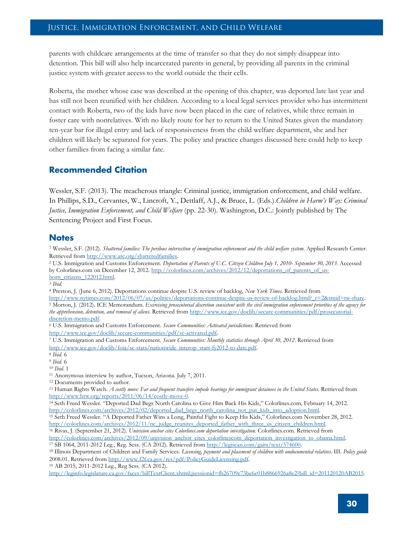parents with childcare arrangements at the time of transfer so that they do not simply disappear into detention. This bill will also help incarcerated parents in general, by providing all parents in the criminal justice system with greater access to the world outside the their cells.

Roberta, the mother whose case was described at the opening of this chapter, was deported late last year and has still not been reunified with her children. According to a local legal services provider who has intermittent contact with Roberta, two of the kids have now been placed in the care of relatives, while three remain in foster care with nonrelatives. With no likely route for her to return to the United States given the mandatory ten-year bar for illegal entry and lack of responsiveness from the child welfare department, she and her children will likely be separated for years. The policy and practice changes discussed here could help to keep other families from facing a similar fate.

#### **Recommended Citation**

Wessler, S.F. (2013). The treacherous triangle: Criminal justice, immigration enforcement, and child welfare. In Phillips, S.D., Cervantes, W., Lincroft, Y., Dettlaff, A.J., & Bruce, L. (Eds.).*Children in Harm's Way: Criminal Justice, Immigration Enforcement, and Child Welfare* (pp. 22-30). Washington, D.C.: Jointly published by The Sentencing Project and First Focus.

#### **Notes**

<span id="page-32-5"></span><span id="page-32-0"></span><sup>1</sup> Wessler, S.F. (2012). *Shattered families: The perilous intersection of immigration enforcement and the child welfare system*. Applied Research Center. Retrieved from [http://www.arc.org/shatteredfamilies.](http://www.arc.org/shatteredfamilies)

<span id="page-32-6"></span><span id="page-32-1"></span><sup>2</sup> U.S. Immigration and Customs Enforcement. *Deportation of Parents of U.C. Citizen Children July 1, 2010- September 30, 2013.* Accessed by Colorlines.com on December 12, 2012. http://colorlines.com/archives/2012/12/deportations\_of\_parents\_of\_usborn\_citizens\_122012.html.

<span id="page-32-8"></span><span id="page-32-3"></span><sup>4</sup> Preston, J. (June 6, 2012). Deportations continue despite U.S. review of backlog, *New York Times*. Retrieved from [http://www.nytimes.com/2012/06/07/us/politics/deportations-continue-despite-us-review-of-backlog.html?\\_r=2&smid=tw-share.](http://www.nytimes.com/2012/06/07/us/politics/deportations-continue-despite-us-review-of-backlog.html?_r=2&smid=tw-share) <sup>5</sup> Morton, J. (2012). ICE Memorandum. *Exercising prosecutorial discretion consistent with the civil immigration enforcement priorities of the agency for the apprehension, detention, and removal of aliens*. Retrieved from [http://www.ice.gov/doclib/secure-communities/pdf/prosecutorial-](http://www.ice.gov/doclib/secure-communities/pdf/prosecutorial-discretion-memo.pdf)

<span id="page-32-9"></span>[discretion-memo.pdf.](http://www.ice.gov/doclib/secure-communities/pdf/prosecutorial-discretion-memo.pdf)

<span id="page-32-10"></span><span id="page-32-4"></span><sup>6</sup> U.S. Immigration and Customs Enforcement. *Secure Communities: Activated jurisdictions*. Retrieved from [http://www.ice.gov/doclib/secure-communities/pdf/sc-activated.pdf.](http://www.ice.gov/doclib/secure-communities/pdf/sc-activated.pdf)

<span id="page-32-11"></span><sup>7</sup> U.S. Immigration and Customs Enforcement*. Secure Communities: Monthly statistics through April 30, 2012*. Retrieved from [http://www.ice.gov/doclib/foia/sc-stats/nationwide\\_interop\\_stats-fy2012-to-date.pdf.](http://www.ice.gov/doclib/foia/sc-stats/nationwide_interop_stats-fy2012-to-date.pdf)

<span id="page-32-13"></span><sup>9</sup> *Ibid.* 6

<span id="page-32-23"></span><sup>19</sup> AB 2015, 2011-2012 Leg., Reg Sess. (CA 2012).

[http://leginfo.legislature.ca.gov/faces/billTextClient.xhtml;jsessionid=fb26709e73be6c01b8866926a8e2?bill\\_id=201120120AB2015.](http://leginfo.legislature.ca.gov/faces/billTextClient.xhtml;jsessionid=fb26709e73be6c01b8866926a8e2?bill_id=201120120AB2015)

<span id="page-32-7"></span><span id="page-32-2"></span><sup>3</sup> *Ibid.*

<span id="page-32-12"></span><sup>8</sup> *Ibid.* 6

<span id="page-32-14"></span><sup>10</sup> *Ibid*. 1

<span id="page-32-16"></span><span id="page-32-15"></span><sup>11</sup> Anonymous interview by author, Tucson, Arizona. July 7, 2011.

<sup>12</sup> Documents provided to author.

<span id="page-32-17"></span><sup>13</sup> Human Rights Watch. *A costly move: Far and frequent transfers impede hearings for immigrant detainees in the United States*. Retrieved from [http://www.hrw.org/reports/2011/06/14/costly-move-0.](http://www.hrw.org/reports/2011/06/14/costly-move-0)

<span id="page-32-18"></span><sup>14</sup> Seth Freed Wessler. "Deported Dad Begs North Carolina to Give Him Back His Kids," Colorlines.com, February 14, 2012. [http://colorlines.com/archives/2012/02/deported\\_dad\\_begs\\_north\\_carolina\\_not\\_put\\_kids\\_into\\_adoption.html.](http://colorlines.com/archives/2012/02/deported_dad_begs_north_carolina_not_put_kids_into_adoption.html)

<span id="page-32-19"></span><sup>15</sup> Seth Freed Wessler. "A Deported Father Wins a Long, Painful Fight to Keep His Kids," Colorlines.com November 28, 2012. http://colorlines.com/archives/2012/11/nc judge reunites deported father with three us citizen children.html.<br><sup>16</sup> Rivas, J. (September 21, 2012). Univision anchor cites Colorlines.com deportation investigation. Colorlines

<span id="page-32-20"></span>[http://colorlines.com/archives/2012/09/univision\\_anchor\\_cites\\_colorlinescom\\_deportation\\_investigation\\_to\\_obama.html.](http://colorlines.com/archives/2012/09/univision_anchor_cites_colorlinescom_deportation_investigation_to_obama.html) <sup>17</sup> SB 1064, 2011-2012 Leg., Reg. Sess. (CA 2012). Retrieved from [http://legiscan.com/gaits/text/574600.](http://legiscan.com/gaits/text/574600)

<span id="page-32-22"></span><span id="page-32-21"></span><sup>18</sup> Illinois Department of Children and Family Services. *Licensing, payment and placement of children with undocumented relatives*. III. *Policy guide* 2008.01. Retrieved fro[m http://www.f2f.ca.gov/res/pdf/PolicyGuideLicensing.pdf.](http://www.f2f.ca.gov/res/pdf/PolicyGuideLicensing.pdf)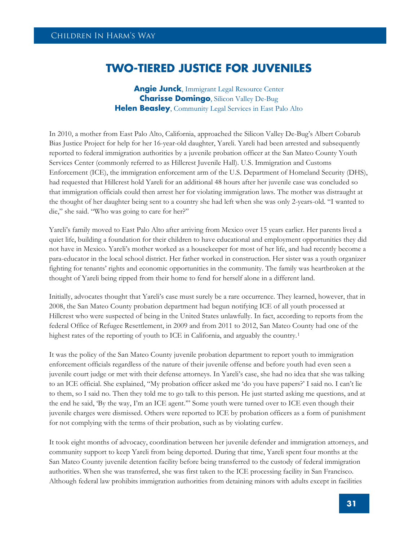## <span id="page-33-0"></span>**TWO-TIERED JUSTICE FOR JUVENILES**

**Angie Junck**, Immigrant Legal Resource Center **Charisse Domingo**, Silicon Valley De-Bug **Helen Beasley**, Community Legal Services in East Palo Alto

In 2010, a mother from East Palo Alto, California, approached the Silicon Valley De-Bug's Albert Cobarub Bias Justice Project for help for her 16-year-old daughter, Yareli. Yareli had been arrested and subsequently reported to federal immigration authorities by a juvenile probation officer at the San Mateo County Youth Services Center (commonly referred to as Hillcrest Juvenile Hall). U.S. Immigration and Customs Enforcement (ICE), the immigration enforcement arm of the U.S. Department of Homeland Security (DHS), had requested that Hillcrest hold Yareli for an additional 48 hours after her juvenile case was concluded so that immigration officials could then arrest her for violating immigration laws. The mother was distraught at the thought of her daughter being sent to a country she had left when she was only 2-years-old. "I wanted to die," she said. "Who was going to care for her?"

Yareli's family moved to East Palo Alto after arriving from Mexico over 15 years earlier. Her parents lived a quiet life, building a foundation for their children to have educational and employment opportunities they did not have in Mexico. Yareli's mother worked as a housekeeper for most of her life, and had recently become a para-educator in the local school district. Her father worked in construction. Her sister was a youth organizer fighting for tenants' rights and economic opportunities in the community. The family was heartbroken at the thought of Yareli being ripped from their home to fend for herself alone in a different land.

Initially, advocates thought that Yareli's case must surely be a rare occurrence. They learned, however, that in 2008, the San Mateo County probation department had begun notifying ICE of all youth processed at Hillcrest who were suspected of being in the United States unlawfully. In fact, according to reports from the federal Office of Refugee Resettlement, in 2009 and from 2011 to 2012, San Mateo County had one of the highest rates of the reporting of youth to ICE in California, and arguably the country.<sup>[1](#page-52-0)</sup>

<span id="page-33-2"></span><span id="page-33-1"></span>It was the policy of the San Mateo County juvenile probation department to report youth to immigration enforcement officials regardless of the nature of their juvenile offense and before youth had even seen a juvenile court judge or met with their defense attorneys. In Yareli's case, she had no idea that she was talking to an ICE official. She explained, "My probation officer asked me 'do you have papers?' I said no. I can't lie to them, so I said no. Then they told me to go talk to this person. He just started asking me questions, and at the end he said, 'By the way, I'm an ICE agent.'" Some youth were turned over to ICE even though their juvenile charges were dismissed. Others were reported to ICE by probation officers as a form of punishment for not complying with the terms of their probation, such as by violating curfew.

It took eight months of advocacy, coordination between her juvenile defender and immigration attorneys, and community support to keep Yareli from being deported. During that time, Yareli spent four months at the San Mateo County juvenile detention facility before being transferred to the custody of federal immigration authorities. When she was transferred, she was first taken to the ICE processing facility in San Francisco. Although federal law prohibits immigration authorities from detaining minors with adults except in facilities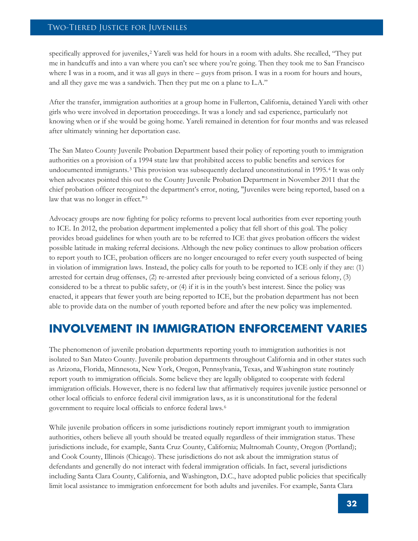#### [Two-Tiered Justice for Juveniles](#page-1-0)

specifically approved for juveniles,<sup>[2](#page-53-1)</sup> Yareli was held for hours in a room with adults. She recalled, "They put me in handcuffs and into a van where you can't see where you're going. Then they took me to San Francisco where I was in a room, and it was all guys in there – guys from prison. I was in a room for hours and hours, and all they gave me was a sandwich. Then they put me on a plane to L.A."

After the transfer, immigration authorities at a group home in Fullerton, California, detained Yareli with other girls who were involved in deportation proceedings. It was a lonely and sad experience, particularly not knowing when or if she would be going home. Yareli remained in detention for four months and was released after ultimately winning her deportation case.

The San Mateo County Juvenile Probation Department based their policy of reporting youth to immigration authorities on a provision of a 1994 state law that prohibited access to public benefits and services for undocumented immigrants.[3](#page-53-2) This provision was subsequently declared unconstitutional in 1995.[4](#page-53-3) It was only when advocates pointed this out to the County Juvenile Probation Department in November 2011 that the chief probation officer recognized the department's error, noting, "Juveniles were being reported, based on a law that was no longer in effect."[5](#page-53-4)

Advocacy groups are now fighting for policy reforms to prevent local authorities from ever reporting youth to ICE. In 2012, the probation department implemented a policy that fell short of this goal. The policy provides broad guidelines for when youth are to be referred to ICE that gives probation officers the widest possible latitude in making referral decisions. Although the new policy continues to allow probation officers to report youth to ICE, probation officers are no longer encouraged to refer every youth suspected of being in violation of immigration laws. Instead, the policy calls for youth to be reported to ICE only if they are: (1) arrested for certain drug offenses, (2) re-arrested after previously being convicted of a serious felony, (3) considered to be a threat to public safety, or (4) if it is in the youth's best interest. Since the policy was enacted, it appears that fewer youth are being reported to ICE, but the probation department has not been able to provide data on the number of youth reported before and after the new policy was implemented.

## **INVOLVEMENT IN IMMIGRATION ENFORCEMENT VARIES**

The phenomenon of juvenile probation departments reporting youth to immigration authorities is not isolated to San Mateo County. Juvenile probation departments throughout California and in other states such as Arizona, Florida, Minnesota, New York, Oregon, Pennsylvania, Texas, and Washington state routinely report youth to immigration officials. Some believe they are legally obligated to cooperate with federal immigration officials. However, there is no federal law that affirmatively requires juvenile justice personnel or other local officials to enforce federal civil immigration laws, as it is unconstitutional for the federal government to require local officials to enforce federal laws.[6](#page-53-5)

While juvenile probation officers in some jurisdictions routinely report immigrant youth to immigration authorities, others believe all youth should be treated equally regardless of their immigration status. These jurisdictions include, for example, Santa Cruz County, California; Multnomah County, Oregon (Portland); and Cook County, Illinois (Chicago). These jurisdictions do not ask about the immigration status of defendants and generally do not interact with federal immigration officials. In fact, several jurisdictions including Santa Clara County, California, and Washington, D.C., have adopted public policies that specifically limit local assistance to immigration enforcement for both adults and juveniles. For example, Santa Clara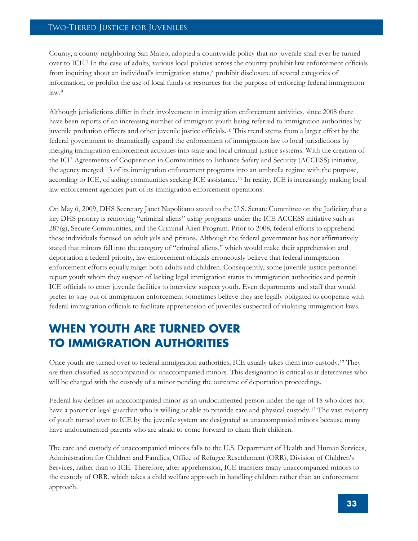#### [Two-Tiered Justice for Juveniles](#page-1-0)

County, a county neighboring San Mateo, adopted a countywide policy that no juvenile shall ever be turned over to ICE.[7](#page-54-0) In the case of adults, various local policies across the country prohibit law enforcement officials from inquiring about an individual's immigration status,<sup>[8](#page-54-1)</sup> prohibit disclosure of several categories of information, or prohibit the use of local funds or resources for the purpose of enforcing federal immigration  $law.<sup>9</sup>$  $law.<sup>9</sup>$  $law.<sup>9</sup>$ 

Although jurisdictions differ in their involvement in immigration enforcement activities, since 2008 there have been reports of an increasing number of immigrant youth being referred to immigration authorities by juvenile probation officers and other juvenile justice officials.[10](#page-54-3) This trend stems from a larger effort by the federal government to dramatically expand the enforcement of immigration law to local jurisdictions by merging immigration enforcement activities into state and local criminal justice systems. With the creation of the ICE Agreements of Cooperation in Communities to Enhance Safety and Security (ACCESS) initiative, the agency merged 13 of its immigration enforcement programs into an umbrella regime with the purpose, according to ICE, of aiding communities seeking ICE assistance.[11](#page-54-4) In reality, ICE is increasingly making local law enforcement agencies part of its immigration enforcement operations.

On May 6, 2009, DHS Secretary Janet Napolitano stated to the U.S. Senate Committee on the Judiciary that a key DHS priority is removing "criminal aliens" using programs under the ICE ACCESS initiative such as 287(g), Secure Communities, and the Criminal Alien Program. Prior to 2008, federal efforts to apprehend these individuals focused on adult jails and prisons. Although the federal government has not affirmatively stated that minors fall into the category of "criminal aliens," which would make their apprehension and deportation a federal priority, law enforcement officials erroneously believe that federal immigration enforcement efforts equally target both adults and children. Consequently, some juvenile justice personnel report youth whom they suspect of lacking legal immigration status to immigration authorities and permit ICE officials to enter juvenile facilities to interview suspect youth. Even departments and staff that would prefer to stay out of immigration enforcement sometimes believe they are legally obligated to cooperate with federal immigration officials to facilitate apprehension of juveniles suspected of violating immigration laws.

# **WHEN YOUTH ARE TURNED OVER TO IMMIGRATION AUTHORITIES**

Once youth are turned over to federal immigration authorities, ICE usually takes them into custody.[12](#page-54-5) They are then classified as accompanied or unaccompanied minors. This designation is critical as it determines who will be charged with the custody of a minor pending the outcome of deportation proceedings.

Federal law defines an unaccompanied minor as an undocumented person under the age of 18 who does not have a parent or legal guardian who is willing or able to provide care and physical custody.[13](#page-54-6) The vast majority of youth turned over to ICE by the juvenile system are designated as unaccompanied minors because many have undocumented parents who are afraid to come forward to claim their children.

The care and custody of unaccompanied minors falls to the U.S. Department of Health and Human Services, Administration for Children and Families, Office of Refugee Resettlement (ORR), Division of Children's Services, rather than to ICE. Therefore, after apprehension, ICE transfers many unaccompanied minors to the custody of ORR, which takes a child welfare approach in handling children rather than an enforcement approach.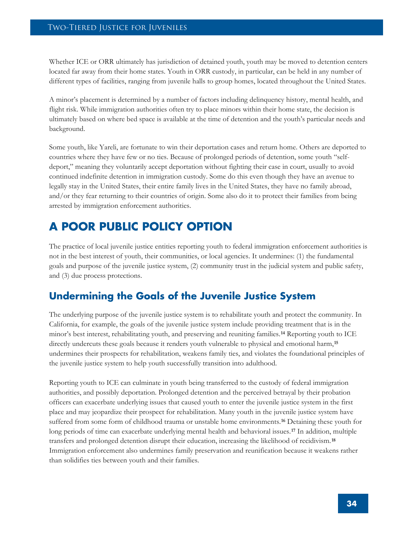Whether ICE or ORR ultimately has jurisdiction of detained youth, youth may be moved to detention centers located far away from their home states. Youth in ORR custody, in particular, can be held in any number of different types of facilities, ranging from juvenile halls to group homes, located throughout the United States.

A minor's placement is determined by a number of factors including delinquency history, mental health, and flight risk. While immigration authorities often try to place minors within their home state, the decision is ultimately based on where bed space is available at the time of detention and the youth's particular needs and background.

Some youth, like Yareli, are fortunate to win their deportation cases and return home. Others are deported to countries where they have few or no ties. Because of prolonged periods of detention, some youth "selfdeport," meaning they voluntarily accept deportation without fighting their case in court, usually to avoid continued indefinite detention in immigration custody. Some do this even though they have an avenue to legally stay in the United States, their entire family lives in the United States, they have no family abroad, and/or they fear returning to their countries of origin. Some also do it to protect their families from being arrested by immigration enforcement authorities.

# **A POOR PUBLIC POLICY OPTION**

The practice of local juvenile justice entities reporting youth to federal immigration enforcement authorities is not in the best interest of youth, their communities, or local agencies. It undermines: (1) the fundamental goals and purpose of the juvenile justice system, (2) community trust in the judicial system and public safety, and (3) due process protections.

### **Undermining the Goals of the Juvenile Justice System**

The underlying purpose of the juvenile justice system is to rehabilitate youth and protect the community. In California, for example, the goals of the juvenile justice system include providing treatment that is in the minor's best interest, rehabilitating youth, and preserving and reuniting families.**[14](#page-55-0)** Reporting youth to ICE directly undercuts these goals because it renders youth vulnerable to physical and emotional harm,**[15](#page-55-1)** undermines their prospects for rehabilitation, weakens family ties, and violates the foundational principles of the juvenile justice system to help youth successfully transition into adulthood.

Reporting youth to ICE can culminate in youth being transferred to the custody of federal immigration authorities, and possibly deportation. Prolonged detention and the perceived betrayal by their probation officers can exacerbate underlying issues that caused youth to enter the juvenile justice system in the first place and may jeopardize their prospect for rehabilitation. Many youth in the juvenile justice system have suffered from some form of childhood trauma or unstable home environments.**[16](#page-55-2)** Detaining these youth for long periods of time can exacerbate underlying mental health and behavioral issues.**[17](#page-55-3)** In addition, multiple transfers and prolonged detention disrupt their education, increasing the likelihood of recidivism.**[18](#page-55-4)** Immigration enforcement also undermines family preservation and reunification because it weakens rather than solidifies ties between youth and their families.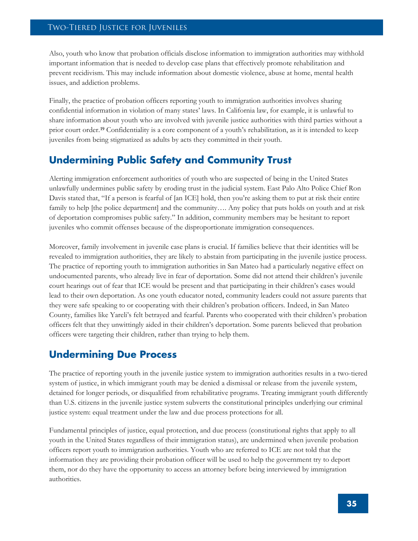Also, youth who know that probation officials disclose information to immigration authorities may withhold important information that is needed to develop case plans that effectively promote rehabilitation and prevent recidivism. This may include information about domestic violence, abuse at home, mental health issues, and addiction problems.

Finally, the practice of probation officers reporting youth to immigration authorities involves sharing confidential information in violation of many states' laws. In California law, for example, it is unlawful to share information about youth who are involved with juvenile justice authorities with third parties without a prior court order.**[19](#page-56-0)** Confidentiality is a core component of a youth's rehabilitation, as it is intended to keep juveniles from being stigmatized as adults by acts they committed in their youth.

### **Undermining Public Safety and Community Trust**

Alerting immigration enforcement authorities of youth who are suspected of being in the United States unlawfully undermines public safety by eroding trust in the judicial system. East Palo Alto Police Chief Ron Davis stated that, "If a person is fearful of [an ICE] hold, then you're asking them to put at risk their entire family to help [the police department] and the community.... Any policy that puts holds on youth and at risk of deportation compromises public safety." In addition, community members may be hesitant to report juveniles who commit offenses because of the disproportionate immigration consequences.

Moreover, family involvement in juvenile case plans is crucial. If families believe that their identities will be revealed to immigration authorities, they are likely to abstain from participating in the juvenile justice process. The practice of reporting youth to immigration authorities in San Mateo had a particularly negative effect on undocumented parents, who already live in fear of deportation. Some did not attend their children's juvenile court hearings out of fear that ICE would be present and that participating in their children's cases would lead to their own deportation. As one youth educator noted, community leaders could not assure parents that they were safe speaking to or cooperating with their children's probation officers. Indeed, in San Mateo County, families like Yareli's felt betrayed and fearful. Parents who cooperated with their children's probation officers felt that they unwittingly aided in their children's deportation. Some parents believed that probation officers were targeting their children, rather than trying to help them.

### **Undermining Due Process**

The practice of reporting youth in the juvenile justice system to immigration authorities results in a two-tiered system of justice, in which immigrant youth may be denied a dismissal or release from the juvenile system, detained for longer periods, or disqualified from rehabilitative programs. Treating immigrant youth differently than U.S. citizens in the juvenile justice system subverts the constitutional principles underlying our criminal justice system: equal treatment under the law and due process protections for all.

Fundamental principles of justice, equal protection, and due process (constitutional rights that apply to all youth in the United States regardless of their immigration status), are undermined when juvenile probation officers report youth to immigration authorities. Youth who are referred to ICE are not told that the information they are providing their probation officer will be used to help the government try to deport them, nor do they have the opportunity to access an attorney before being interviewed by immigration authorities.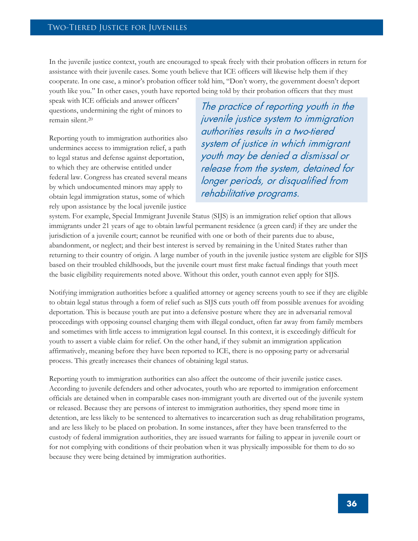In the juvenile justice context, youth are encouraged to speak freely with their probation officers in return for assistance with their juvenile cases. Some youth believe that ICE officers will likewise help them if they cooperate. In one case, a minor's probation officer told him, "Don't worry, the government doesn't deport youth like you." In other cases, youth have reported being told by their probation officers that they must

speak with ICE officials and answer officers' questions, undermining the right of minors to remain silent.[20](#page-57-0)

Reporting youth to immigration authorities also undermines access to immigration relief, a path to legal status and defense against deportation, to which they are otherwise entitled under federal law. Congress has created several means by which undocumented minors may apply to obtain legal immigration status, some of which rely upon assistance by the local juvenile justice

The practice of reporting youth in the juvenile justice system to immigration authorities results in a two-tiered system of justice in which immigrant youth may be denied a dismissal or release from the system, detained for longer periods, or disqualified from rehabilitative programs.

system. For example, Special Immigrant Juvenile Status (SIJS) is an immigration relief option that allows immigrants under 21 years of age to obtain lawful permanent residence (a green card) if they are under the jurisdiction of a juvenile court; cannot be reunified with one or both of their parents due to abuse, abandonment, or neglect; and their best interest is served by remaining in the United States rather than returning to their country of origin. A large number of youth in the juvenile justice system are eligible for SIJS based on their troubled childhoods, but the juvenile court must first make factual findings that youth meet the basic eligibility requirements noted above. Without this order, youth cannot even apply for SIJS.

Notifying immigration authorities before a qualified attorney or agency screens youth to see if they are eligible to obtain legal status through a form of relief such as SIJS cuts youth off from possible avenues for avoiding deportation. This is because youth are put into a defensive posture where they are in adversarial removal proceedings with opposing counsel charging them with illegal conduct, often far away from family members and sometimes with little access to immigration legal counsel. In this context, it is exceedingly difficult for youth to assert a viable claim for relief. On the other hand, if they submit an immigration application affirmatively, meaning before they have been reported to ICE, there is no opposing party or adversarial process. This greatly increases their chances of obtaining legal status.

Reporting youth to immigration authorities can also affect the outcome of their juvenile justice cases. According to juvenile defenders and other advocates, youth who are reported to immigration enforcement officials are detained when in comparable cases non-immigrant youth are diverted out of the juvenile system or released. Because they are persons of interest to immigration authorities, they spend more time in detention, are less likely to be sentenced to alternatives to incarceration such as drug rehabilitation programs, and are less likely to be placed on probation. In some instances, after they have been transferred to the custody of federal immigration authorities, they are issued warrants for failing to appear in juvenile court or for not complying with conditions of their probation when it was physically impossible for them to do so because they were being detained by immigration authorities.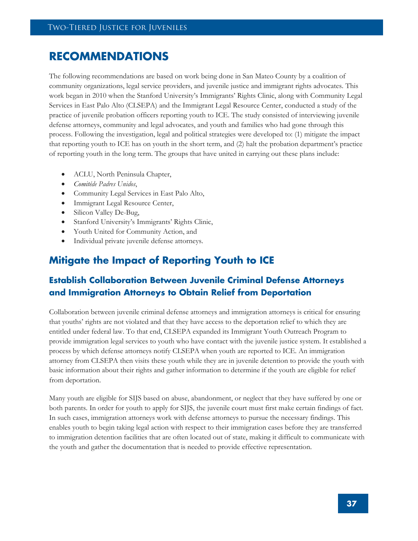# **RECOMMENDATIONS**

The following recommendations are based on work being done in San Mateo County by a coalition of community organizations, legal service providers, and juvenile justice and immigrant rights advocates. This work began in 2010 when the Stanford University's Immigrants' Rights Clinic, along with Community Legal Services in East Palo Alto (CLSEPA) and the Immigrant Legal Resource Center, conducted a study of the practice of juvenile probation officers reporting youth to ICE. The study consisted of interviewing juvenile defense attorneys, community and legal advocates, and youth and families who had gone through this process. Following the investigation, legal and political strategies were developed to: (1) mitigate the impact that reporting youth to ICE has on youth in the short term, and (2) halt the probation department's practice of reporting youth in the long term. The groups that have united in carrying out these plans include:

- ACLU, North Peninsula Chapter,
- *Comitéde Padres Unidos*,
- Community Legal Services in East Palo Alto,
- Immigrant Legal Resource Center,
- Silicon Valley De-Bug,
- Stanford University's Immigrants' Rights Clinic,
- Youth United for Community Action, and
- Individual private juvenile defense attorneys.

## **Mitigate the Impact of Reporting Youth to ICE**

### **Establish Collaboration Between Juvenile Criminal Defense Attorneys and Immigration Attorneys to Obtain Relief from Deportation**

Collaboration between juvenile criminal defense attorneys and immigration attorneys is critical for ensuring that youths' rights are not violated and that they have access to the deportation relief to which they are entitled under federal law. To that end, CLSEPA expanded its Immigrant Youth Outreach Program to provide immigration legal services to youth who have contact with the juvenile justice system. It established a process by which defense attorneys notify CLSEPA when youth are reported to ICE. An immigration attorney from CLSEPA then visits these youth while they are in juvenile detention to provide the youth with basic information about their rights and gather information to determine if the youth are eligible for relief from deportation.

Many youth are eligible for SIJS based on abuse, abandonment, or neglect that they have suffered by one or both parents. In order for youth to apply for SIJS, the juvenile court must first make certain findings of fact. In such cases, immigration attorneys work with defense attorneys to pursue the necessary findings. This enables youth to begin taking legal action with respect to their immigration cases before they are transferred to immigration detention facilities that are often located out of state, making it difficult to communicate with the youth and gather the documentation that is needed to provide effective representation.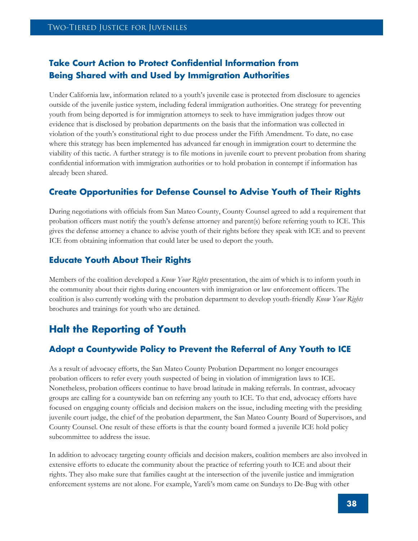### **Take Court Action to Protect Confidential Information from Being Shared with and Used by Immigration Authorities**

Under California law, information related to a youth's juvenile case is protected from disclosure to agencies outside of the juvenile justice system, including federal immigration authorities. One strategy for preventing youth from being deported is for immigration attorneys to seek to have immigration judges throw out evidence that is disclosed by probation departments on the basis that the information was collected in violation of the youth's constitutional right to due process under the Fifth Amendment. To date, no case where this strategy has been implemented has advanced far enough in immigration court to determine the viability of this tactic. A further strategy is to file motions in juvenile court to prevent probation from sharing confidential information with immigration authorities or to hold probation in contempt if information has already been shared.

#### **Create Opportunities for Defense Counsel to Advise Youth of Their Rights**

During negotiations with officials from San Mateo County, County Counsel agreed to add a requirement that probation officers must notify the youth's defense attorney and parent(s) before referring youth to ICE. This gives the defense attorney a chance to advise youth of their rights before they speak with ICE and to prevent ICE from obtaining information that could later be used to deport the youth.

#### **Educate Youth About Their Rights**

Members of the coalition developed a *Know Your Rights* presentation, the aim of which is to inform youth in the community about their rights during encounters with immigration or law enforcement officers. The coalition is also currently working with the probation department to develop youth-friendly *Know Your Rights* brochures and trainings for youth who are detained.

### **Halt the Reporting of Youth**

#### **Adopt a Countywide Policy to Prevent the Referral of Any Youth to ICE**

As a result of advocacy efforts, the San Mateo County Probation Department no longer encourages probation officers to refer every youth suspected of being in violation of immigration laws to ICE. Nonetheless, probation officers continue to have broad latitude in making referrals. In contrast, advocacy groups are calling for a countywide ban on referring any youth to ICE. To that end, advocacy efforts have focused on engaging county officials and decision makers on the issue, including meeting with the presiding juvenile court judge, the chief of the probation department, the San Mateo County Board of Supervisors, and County Counsel. One result of these efforts is that the county board formed a juvenile ICE hold policy subcommittee to address the issue.

In addition to advocacy targeting county officials and decision makers, coalition members are also involved in extensive efforts to educate the community about the practice of referring youth to ICE and about their rights. They also make sure that families caught at the intersection of the juvenile justice and immigration enforcement systems are not alone. For example, Yareli's mom came on Sundays to De-Bug with other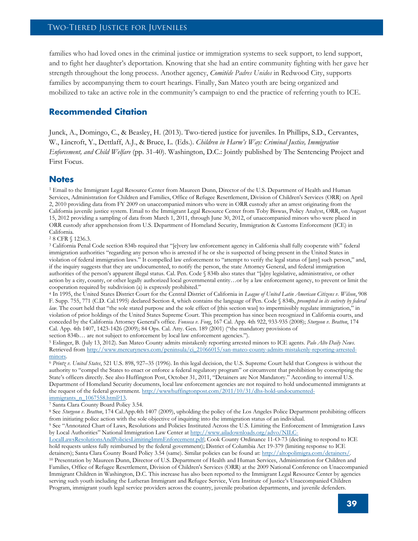families who had loved ones in the criminal justice or immigration systems to seek support, to lend support, and to fight her daughter's deportation. Knowing that she had an entire community fighting with her gave her strength throughout the long process. Another agency, *Comitéde Padres Unidos* in Redwood City, supports families by accompanying them to court hearings. Finally, San Mateo youth are being organized and mobilized to take an active role in the community's campaign to end the practice of referring youth to ICE.

#### **Recommended Citation**

Junck, A., Domingo, C., & Beasley, H. (2013). Two-tiered justice for juveniles. In Phillips, S.D., Cervantes, W., Lincroft, Y., Dettlaff, A.J., & Bruce, L. (Eds.). *Children in Harm's Way: Criminal Justice, Immigration Enforcement, and Child Welfare* (pp. 31-40). Washington, D.C.: Jointly published by The Sentencing Project and First Focus.

#### **Notes**

<sup>1</sup> Email to the Immigrant Legal Resource Center from Maureen Dunn, Director of the U.S. Department of Health and Human Services, Administration for Children and Families, Office of Refugee Resettlement, Division of Children's Services (ORR) on April 2, 2010 providing data from FY 2009 on unaccompanied minors who were in ORR custody after an arrest originating from the California juvenile justice system. Email to the Immigrant Legal Resource Center from Toby Biswas, Policy Analyst, ORR, on August 15, 2012 providing a sampling of data from March 1, 2011, through June 30, 2012, of unaccompanied minors who were placed in ORR custody after apprehension from U.S. Department of Homeland Security, Immigration & Customs Enforcement (ICE) in California.

#### <sup>2</sup> 8 CFR § 1236.3.

<sup>3</sup> California Penal Code section 834b required that "[e]very law enforcement agency in California shall fully cooperate with" federal immigration authorities "regarding any person who is arrested if he or she is suspected of being present in the United States in violation of federal immigration laws." It compelled law enforcement to "attempt to verify the legal status of [any] such person," and, if the inquiry suggests that they are undocumented, to notify the person, the state Attorney General, and federal immigration authorities of the person's apparent illegal status. Cal. Pen. Code § 834b also states that "[a]ny legislative, administrative, or other action by a city, county, or other legally authorized local governmental entity…or by a law enforcement agency, to prevent or limit the cooperation required by subdivision (a) is expressly prohibited."

<sup>4</sup> In 1995, the United States District Court for the Central District of California in *League of United Latin American Citizens v. Wilson*, 908 F. Supp. 755, 771 (C.D. Cal.1995) declared Section 4, which contains the language of Pen. Code § 834b, *preempted in its entirety by federal law*. The court held that "the sole stated purpose and the sole effect of [this section was] to impermissibly regulate immigration," in violation of prior holdings of the United States Supreme Court. This preemption has since been recognized in California courts, and conceded by the California Attorney General's office. *Fonseca v. Fong*, 167 Cal. App. 4th 922, 933-935 (2008); *Sturgeon v. Bratton*, 174 Cal. App. 4th 1407, 1423-1426 (2009); 84 Ops. Cal. Atty. Gen. 189 (2001) ("the mandatory provisions of section 834b… are not subject to enforcement by local law enforcement agencies.").

<sup>5</sup> Eslinger, B. (July 13, 2012). San Mateo County admits mistakenly reporting arrested minors to ICE agents. *Palo Alto Daily News*. Retrieved from [http://www.mercurynews.com/peninsula/ci\\_21066015/san-mateo-county-admits-mistakenly-reporting-arrested](http://www.mercurynews.com/peninsula/ci_21066015/san-mateo-county-admits-mistakenly-reporting-arrested-minors)[minors.](http://www.mercurynews.com/peninsula/ci_21066015/san-mateo-county-admits-mistakenly-reporting-arrested-minors)

<sup>6</sup> *Printz v. United States*, 521 U.S. 898, 927–35 (1996). In this legal decision, the U.S. Supreme Court held that Congress is without the authority to "compel the States to enact or enforce a federal regulatory program" or circumvent that prohibition by conscripting the State's officers directly. See also Huffington Post, October 31, 2011, "Detainers are Not Mandatory." According to internal U.S. Department of Homeland Security documents, local law enforcement agencies are not required to hold undocumented immigrants at the request of the federal government. http://www.huffingtonpost.com/2011/10/31/dhs-hold-undocumented-

[immigrants\\_n\\_1067558.html?13.](http://wwwhuffingtonpost.com/2011/10/31/dhs-hold-undocumented-immigrants_n_1067558.html?13)<br>7 Santa Clara County Board Policy 3.54.

<sup>8</sup> See *Sturgeon v. Bratton*, 174 Cal.App.4th 1407 (2009), upholding the policy of the Los Angeles Police Department prohibiting officers from initiating police action with the sole objective of inquiring into the immigration status of an individual.

<sup>9</sup> See "Annotated Chart of Laws, Resolutions and Policies Instituted Across the U.S. Limiting the Enforcement of Immigration Laws by Local Authorities" National Immigration Law Center at [http://www.ailadownloads.org/advo/NILC-](http://www.ailadownloads.org/advo/NILC-LocalLawsResolutionsAndPoliciesLimitingImmEnforcement.pdf)

[LocalLawsResolutionsAndPoliciesLimitingImmEnforcement.pdf;](http://www.ailadownloads.org/advo/NILC-LocalLawsResolutionsAndPoliciesLimitingImmEnforcement.pdf) Cook County Ordinance 11-O-73 (declining to respond to ICE hold requests unless fully reimbursed by the federal government); District of Columbia Act 19-379 (limiting response to ICE detainers); Santa Clara County Board Policy 3.54 (same). Similar policies can be found at: [http://altopolimigra.com/detainers/.](http://altopolimigra.com/detainers/)

<sup>10</sup> Presentation by Maureen Dunn, Director of U.S. Department of Health and Human Services, Administration for Children and Families, Office of Refugee Resettlement, Division of Children's Services (ORR) at the 2009 National Conference on Unaccompanied Immigrant Children in Washington, D.C. This increase has also been reported to the Immigrant Legal Resource Center by agencies serving such youth including the Lutheran Immigrant and Refugee Service, Vera Institute of Justice's Unaccompanied Children Program, immigrant youth legal service providers across the country, juvenile probation departments, and juvenile defenders.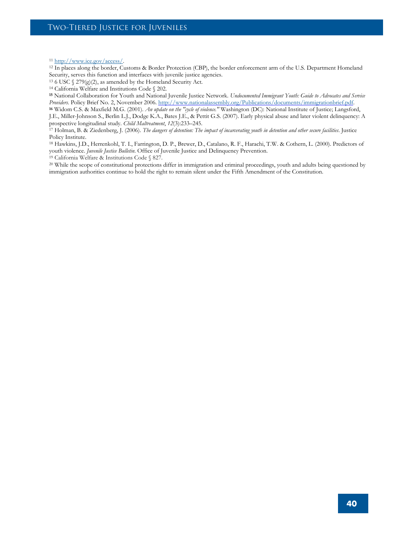<sup>11</sup> [http://www.ice.gov/access/.](http://www.ice.gov/access/)

<sup>12</sup> In places along the border, Customs & Border Protection (CBP), the border enforcement arm of the U.S. Department Homeland Security, serves this function and interfaces with juvenile justice agencies.

<sup>13</sup> 6 USC  $\S$  279(g)(2), as amended by the Homeland Security Act.

<sup>14</sup> California Welfare and Institutions Code § 202.

**<sup>15</sup>** National Collaboration for Youth and National Juvenile Justice Network. *Undocumented Immigrant Youth: Guide to Advocates and Service Providers*. Policy Brief No. 2, November 2006. [http://www.nationalassembly.org/Publications/documents/immigrationbrief.pdf.](http://www.nationalassembly.org/Publications/documents/immigrationbrief.pdf) **<sup>16</sup>** Widom C.S. & Maxfield M.G. (2001). *An update on the "cycle of violence."* Washington (DC): National Institute of Justice; Langsford,

J.E., Miller-Johnson S., Berlin L.J., Dodge K.A., Bates J.E., & Pettit G.S. (2007). Early physical abuse and later violent delinquency: A prospective longitudinal study*. Child Maltreatment*, *12*(3):233–245.

<sup>17</sup> Holman, B. & Ziedenberg, J. (2006). *The dangers of detention: The impact of incarcerating youth in detention and other secure facilities*. Justice Policy Institute.

<sup>18</sup> Hawkins, J.D., Herrenkohl, T. I., Farrington, D. P., Brewer, D., Catalano, R. F., Harachi, T.W. & Cothern, L. (2000). Predictors of youth violence. *Juvenile Justice Bulletin*. Office of Juvenile Justice and Delinquency Prevention.

<sup>19</sup> California Welfare & Institutions Code § 827.

<sup>20</sup> While the scope of constitutional protections differ in immigration and criminal proceedings, youth and adults being questioned by immigration authorities continue to hold the right to remain silent under the Fifth Amendment of the Constitution.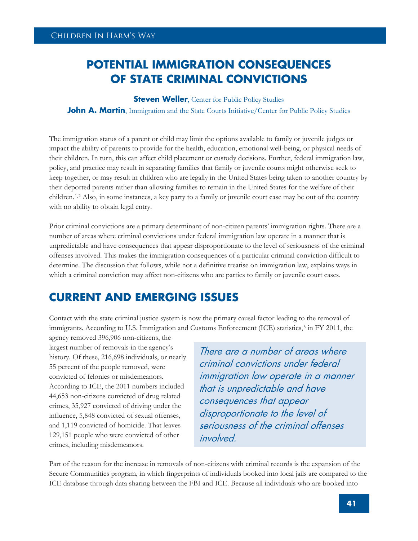# **POTENTIAL IMMIGRATION CONSEQUENCES OF STATE CRIMINAL CONVICTIONS**

**Steven Weller, Center for Public Policy Studies** 

**John A. Martin**, Immigration and the State Courts Initiative/Center for Public Policy Studies

The immigration status of a parent or child may limit the options available to family or juvenile judges or impact the ability of parents to provide for the health, education, emotional well-being, or physical needs of their children. In turn, this can affect child placement or custody decisions. Further, federal immigration law, policy, and practice may result in separating families that family or juvenile courts might otherwise seek to keep together, or may result in children who are legally in the United States being taken to another country by their deported parents rather than allowing families to remain in the United States for the welfare of their children.[1,](#page-68-0)[2](#page-68-1) Also, in some instances, a key party to a family or juvenile court case may be out of the country with no ability to obtain legal entry.

Prior criminal convictions are a primary determinant of non-citizen parents' immigration rights. There are a number of areas where criminal convictions under federal immigration law operate in a manner that is unpredictable and have consequences that appear disproportionate to the level of seriousness of the criminal offenses involved. This makes the immigration consequences of a particular criminal conviction difficult to determine. The discussion that follows, while not a definitive treatise on immigration law, explains ways in which a criminal conviction may affect non-citizens who are parties to family or juvenile court cases.

# **CURRENT AND EMERGING ISSUES**

Contact with the state criminal justice system is now the primary causal factor leading to the removal of immigrants. According to U.S. Immigration and Customs Enforcement (ICE) statistics,[3](#page-68-2) in FY 2011, the

agency removed 396,906 non-citizens, the largest number of removals in the agency's history. Of these, 216,698 individuals, or nearly 55 percent of the people removed, were convicted of felonies or misdemeanors. According to ICE, the 2011 numbers included 44,653 non-citizens convicted of drug related crimes, 35,927 convicted of driving under the influence, 5,848 convicted of sexual offenses, and 1,119 convicted of homicide. That leaves 129,151 people who were convicted of other crimes, including misdemeanors.

There are a number of areas where criminal convictions under federal immigration law operate in a manner that is unpredictable and have consequences that appear disproportionate to the level of seriousness of the criminal offenses involved.

Part of the reason for the increase in removals of non-citizens with criminal records is the expansion of the Secure Communities program, in which fingerprints of individuals booked into local jails are compared to the ICE database through data sharing between the FBI and ICE. Because all individuals who are booked into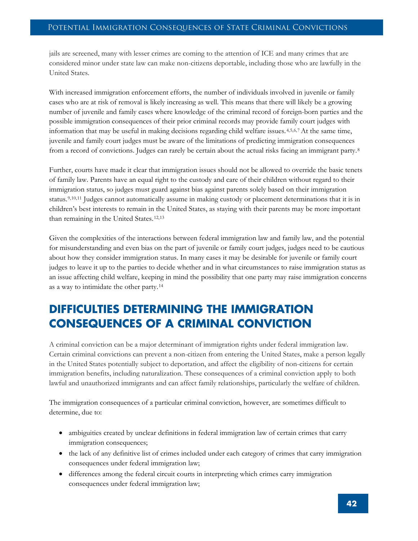jails are screened, many with lesser crimes are coming to the attention of ICE and many crimes that are considered minor under state law can make non-citizens deportable, including those who are lawfully in the United States.

With increased immigration enforcement efforts, the number of individuals involved in juvenile or family cases who are at risk of removal is likely increasing as well. This means that there will likely be a growing number of juvenile and family cases where knowledge of the criminal record of foreign-born parties and the possible immigration consequences of their prior criminal records may provide family court judges with information that may be useful in making decisions regarding child welfare issues.[4](#page-69-0),[5](#page-69-1),[6,](#page-69-2)[7](#page-69-3)At the same time, juvenile and family court judges must be aware of the limitations of predicting immigration consequences from a record of convictions. Judges can rarely be certain about the actual risks facing an immigrant party.[8](#page-69-4)

Further, courts have made it clear that immigration issues should not be allowed to override the basic tenets of family law. Parents have an equal right to the custody and care of their children without regard to their immigration status, so judges must guard against bias against parents solely based on their immigration status.[9](#page-69-5),[10](#page-69-6),[11](#page-69-7) Judges cannot automatically assume in making custody or placement determinations that it is in children's best interests to remain in the United States, as staying with their parents may be more important than remaining in the United States.[12](#page-69-8),[13](#page-69-9)

Given the complexities of the interactions between federal immigration law and family law, and the potential for misunderstanding and even bias on the part of juvenile or family court judges, judges need to be cautious about how they consider immigration status. In many cases it may be desirable for juvenile or family court judges to leave it up to the parties to decide whether and in what circumstances to raise immigration status as an issue affecting child welfare, keeping in mind the possibility that one party may raise immigration concerns as a way to intimidate the other party.[14](#page-69-10)

# **DIFFICULTIES DETERMINING THE IMMIGRATION CONSEQUENCES OF A CRIMINAL CONVICTION**

A criminal conviction can be a major determinant of immigration rights under federal immigration law. Certain criminal convictions can prevent a non-citizen from entering the United States, make a person legally in the United States potentially subject to deportation, and affect the eligibility of non-citizens for certain immigration benefits, including naturalization. These consequences of a criminal conviction apply to both lawful and unauthorized immigrants and can affect family relationships, particularly the welfare of children.

The immigration consequences of a particular criminal conviction, however, are sometimes difficult to determine, due to:

- ambiguities created by unclear definitions in federal immigration law of certain crimes that carry immigration consequences;
- the lack of any definitive list of crimes included under each category of crimes that carry immigration consequences under federal immigration law;
- differences among the federal circuit courts in interpreting which crimes carry immigration consequences under federal immigration law;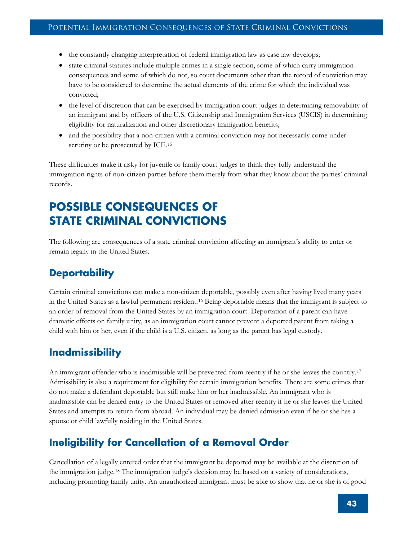- the constantly changing interpretation of federal immigration law as case law develops;
- state criminal statutes include multiple crimes in a single section, some of which carry immigration consequences and some of which do not, so court documents other than the record of conviction may have to be considered to determine the actual elements of the crime for which the individual was convicted;
- the level of discretion that can be exercised by immigration court judges in determining removability of an immigrant and by officers of the U.S. Citizenship and Immigration Services (USCIS) in determining eligibility for naturalization and other discretionary immigration benefits;
- and the possibility that a non-citizen with a criminal conviction may not necessarily come under scrutiny or be prosecuted by ICE.<sup>[15](#page-70-0)</sup>

These difficulties make it risky for juvenile or family court judges to think they fully understand the immigration rights of non-citizen parties before them merely from what they know about the parties' criminal records.

# **POSSIBLE CONSEQUENCES OF STATE CRIMINAL CONVICTIONS**

The following are consequences of a state criminal conviction affecting an immigrant's ability to enter or remain legally in the United States.

## **Deportability**

Certain criminal convictions can make a non-citizen deportable, possibly even after having lived many years in the United States as a lawful permanent resident.[16](#page-70-1) Being deportable means that the immigrant is subject to an order of removal from the United States by an immigration court. Deportation of a parent can have dramatic effects on family unity, as an immigration court cannot prevent a deported parent from taking a child with him or her, even if the child is a U.S. citizen, as long as the parent has legal custody.

## **Inadmissibility**

An immigrant offender who is inadmissible will be prevented from reentry if he or she leaves the country.[17](#page-70-2) Admissibility is also a requirement for eligibility for certain immigration benefits. There are some crimes that do not make a defendant deportable but still make him or her inadmissible. An immigrant who is inadmissible can be denied entry to the United States or removed after reentry if he or she leaves the United States and attempts to return from abroad. An individual may be denied admission even if he or she has a spouse or child lawfully residing in the United States.

### **Ineligibility for Cancellation of a Removal Order**

Cancellation of a legally entered order that the immigrant be deported may be available at the discretion of the immigration judge.[18](#page-70-3) The immigration judge's decision may be based on a variety of considerations, including promoting family unity. An unauthorized immigrant must be able to show that he or she is of good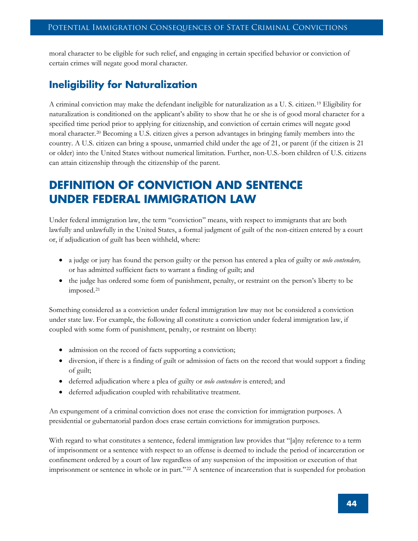moral character to be eligible for such relief, and engaging in certain specified behavior or conviction of certain crimes will negate good moral character.

### **Ineligibility for Naturalization**

A criminal conviction may make the defendant ineligible for naturalization as a U. S. citizen.[19](#page-71-0) Eligibility for naturalization is conditioned on the applicant's ability to show that he or she is of good moral character for a specified time period prior to applying for citizenship, and conviction of certain crimes will negate good moral character.[20](#page-71-1) Becoming a U.S. citizen gives a person advantages in bringing family members into the country. A U.S. citizen can bring a spouse, unmarried child under the age of 21, or parent (if the citizen is 21 or older) into the United States without numerical limitation. Further, non-U.S.-born children of U.S. citizens can attain citizenship through the citizenship of the parent.

# **DEFINITION OF CONVICTION AND SENTENCE UNDER FEDERAL IMMIGRATION LAW**

Under federal immigration law, the term "conviction" means, with respect to immigrants that are both lawfully and unlawfully in the United States, a formal judgment of guilt of the non-citizen entered by a court or, if adjudication of guilt has been withheld, where:

- a judge or jury has found the person guilty or the person has entered a plea of guilty or *nolo contendere,*  or has admitted sufficient facts to warrant a finding of guilt; and
- the judge has ordered some form of punishment, penalty, or restraint on the person's liberty to be imposed.[21](#page-71-2)

Something considered as a conviction under federal immigration law may not be considered a conviction under state law. For example, the following all constitute a conviction under federal immigration law, if coupled with some form of punishment, penalty, or restraint on liberty:

- admission on the record of facts supporting a conviction;
- diversion, if there is a finding of guilt or admission of facts on the record that would support a finding of guilt;
- deferred adjudication where a plea of guilty or *nolo contendere* is entered; and
- deferred adjudication coupled with rehabilitative treatment.

An expungement of a criminal conviction does not erase the conviction for immigration purposes. A presidential or gubernatorial pardon does erase certain convictions for immigration purposes.

With regard to what constitutes a sentence, federal immigration law provides that "[a]ny reference to a term of imprisonment or a sentence with respect to an offense is deemed to include the period of incarceration or confinement ordered by a court of law regardless of any suspension of the imposition or execution of that imprisonment or sentence in whole or in part."[22](#page-71-3) A sentence of incarceration that is suspended for probation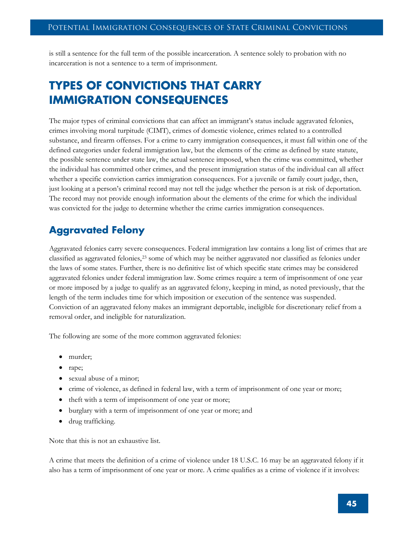is still a sentence for the full term of the possible incarceration. A sentence solely to probation with no incarceration is not a sentence to a term of imprisonment.

# **TYPES OF CONVICTIONS THAT CARRY IMMIGRATION CONSEQUENCES**

The major types of criminal convictions that can affect an immigrant's status include aggravated felonies, crimes involving moral turpitude (CIMT), crimes of domestic violence, crimes related to a controlled substance, and firearm offenses. For a crime to carry immigration consequences, it must fall within one of the defined categories under federal immigration law, but the elements of the crime as defined by state statute, the possible sentence under state law, the actual sentence imposed, when the crime was committed, whether the individual has committed other crimes, and the present immigration status of the individual can all affect whether a specific conviction carries immigration consequences. For a juvenile or family court judge, then, just looking at a person's criminal record may not tell the judge whether the person is at risk of deportation. The record may not provide enough information about the elements of the crime for which the individual was convicted for the judge to determine whether the crime carries immigration consequences.

### **Aggravated Felony**

Aggravated felonies carry severe consequences. Federal immigration law contains a long list of crimes that are classified as aggravated felonies,<sup>[23](#page-72-0)</sup> some of which may be neither aggravated nor classified as felonies under the laws of some states. Further, there is no definitive list of which specific state crimes may be considered aggravated felonies under federal immigration law. Some crimes require a term of imprisonment of one year or more imposed by a judge to qualify as an aggravated felony, keeping in mind, as noted previously, that the length of the term includes time for which imposition or execution of the sentence was suspended. Conviction of an aggravated felony makes an immigrant deportable, ineligible for discretionary relief from a removal order, and ineligible for naturalization.

The following are some of the more common aggravated felonies:

- murder;
- rape;
- sexual abuse of a minor;
- crime of violence, as defined in federal law, with a term of imprisonment of one year or more;
- theft with a term of imprisonment of one year or more;
- burglary with a term of imprisonment of one year or more; and
- drug trafficking.

Note that this is not an exhaustive list.

A crime that meets the definition of a crime of violence under 18 U.S.C. 16 may be an aggravated felony if it also has a term of imprisonment of one year or more. A crime qualifies as a crime of violence if it involves: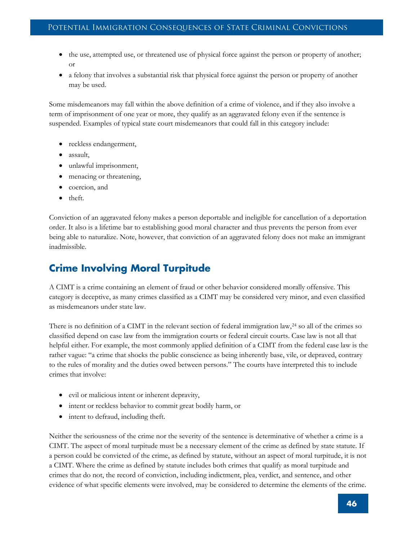- the use, attempted use, or threatened use of physical force against the person or property of another; or
- a felony that involves a substantial risk that physical force against the person or property of another may be used.

Some misdemeanors may fall within the above definition of a crime of violence, and if they also involve a term of imprisonment of one year or more, they qualify as an aggravated felony even if the sentence is suspended. Examples of typical state court misdemeanors that could fall in this category include:

- reckless endangerment,
- assault,
- unlawful imprisonment,
- menacing or threatening,
- coercion, and
- theft.

Conviction of an aggravated felony makes a person deportable and ineligible for cancellation of a deportation order. It also is a lifetime bar to establishing good moral character and thus prevents the person from ever being able to naturalize. Note, however, that conviction of an aggravated felony does not make an immigrant inadmissible.

### **Crime Involving Moral Turpitude**

A CIMT is a crime containing an element of fraud or other behavior considered morally offensive. This category is deceptive, as many crimes classified as a CIMT may be considered very minor, and even classified as misdemeanors under state law.

There is no definition of a CIMT in the relevant section of federal immigration law,<sup>[24](#page-72-1)</sup> so all of the crimes so classified depend on case law from the immigration courts or federal circuit courts. Case law is not all that helpful either. For example, the most commonly applied definition of a CIMT from the federal case law is the rather vague: "a crime that shocks the public conscience as being inherently base, vile, or depraved, contrary to the rules of morality and the duties owed between persons." The courts have interpreted this to include crimes that involve:

- evil or malicious intent or inherent depravity,
- intent or reckless behavior to commit great bodily harm, or
- intent to defraud, including theft.

Neither the seriousness of the crime nor the severity of the sentence is determinative of whether a crime is a CIMT. The aspect of moral turpitude must be a necessary element of the crime as defined by state statute. If a person could be convicted of the crime, as defined by statute, without an aspect of moral turpitude, it is not a CIMT. Where the crime as defined by statute includes both crimes that qualify as moral turpitude and crimes that do not, the record of conviction, including indictment, plea, verdict, and sentence, and other evidence of what specific elements were involved, may be considered to determine the elements of the crime.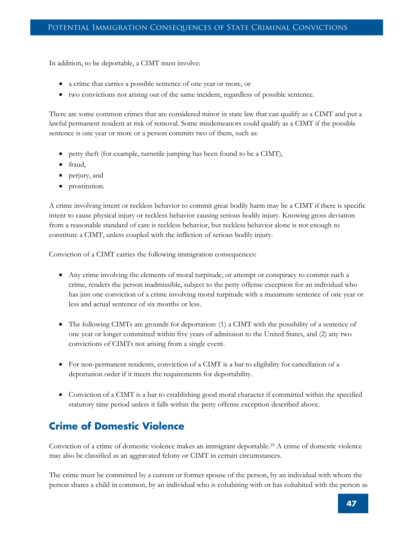In addition, to be deportable, a CIMT must involve:

- a crime that carries a possible sentence of one year or more, or
- two convictions not arising out of the same incident, regardless of possible sentence.

There are some common crimes that are considered minor in state law that can qualify as a CIMT and put a lawful permanent resident at risk of removal. Some misdemeanors could qualify as a CIMT if the possible sentence is one year or more or a person commits two of them, such as:

- petty theft (for example, turnstile jumping has been found to be a CIMT),
- fraud,
- perjury, and
- prostitution.

A crime involving intent or reckless behavior to commit great bodily harm may be a CIMT if there is specific intent to cause physical injury or reckless behavior causing serious bodily injury. Knowing gross deviation from a reasonable standard of care is reckless behavior, but reckless behavior alone is not enough to constitute a CIMT, unless coupled with the infliction of serious bodily injury.

Conviction of a CIMT carries the following immigration consequences:

- Any crime involving the elements of moral turpitude, or attempt or conspiracy to commit such a crime, renders the person inadmissible, subject to the petty offense exception for an individual who has just one conviction of a crime involving moral turpitude with a maximum sentence of one year or less and actual sentence of six months or less.
- The following CIMTs are grounds for deportation: (1) a CIMT with the possibility of a sentence of one year or longer committed within five years of admission to the United States, and (2) any two convictions of CIMTs not arising from a single event.
- For non-permanent residents, conviction of a CIMT is a bar to eligibility for cancellation of a deportation order if it meets the requirements for deportability.
- Conviction of a CIMT is a bar to establishing good moral character if committed within the specified statutory time period unless it falls within the petty offense exception described above.

## **Crime of Domestic Violence**

Conviction of a crime of domestic violence makes an immigrant deportable.[25](#page-72-2) A crime of domestic violence may also be classified as an aggravated felony or CIMT in certain circumstances.

The crime must be committed by a current or former spouse of the person, by an individual with whom the person shares a child in common, by an individual who is cohabiting with or has cohabited with the person as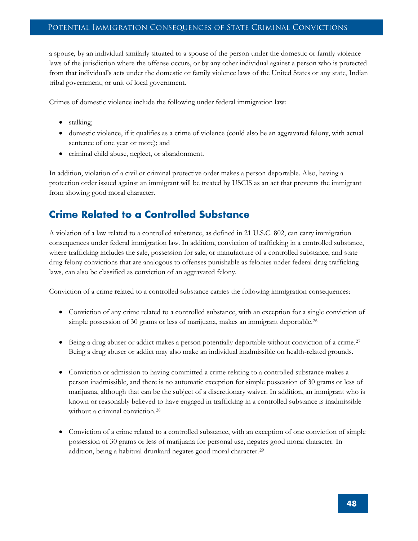a spouse, by an individual similarly situated to a spouse of the person under the domestic or family violence laws of the jurisdiction where the offense occurs, or by any other individual against a person who is protected from that individual's acts under the domestic or family violence laws of the United States or any state, Indian tribal government, or unit of local government.

Crimes of domestic violence include the following under federal immigration law:

- stalking;
- domestic violence, if it qualifies as a crime of violence (could also be an aggravated felony, with actual sentence of one year or more); and
- criminal child abuse, neglect, or abandonment.

In addition, violation of a civil or criminal protective order makes a person deportable. Also, having a protection order issued against an immigrant will be treated by USCIS as an act that prevents the immigrant from showing good moral character.

### **Crime Related to a Controlled Substance**

A violation of a law related to a controlled substance, as defined in 21 U.S.C. 802, can carry immigration consequences under federal immigration law. In addition, conviction of trafficking in a controlled substance, where trafficking includes the sale, possession for sale, or manufacture of a controlled substance, and state drug felony convictions that are analogous to offenses punishable as felonies under federal drug trafficking laws, can also be classified as conviction of an aggravated felony.

Conviction of a crime related to a controlled substance carries the following immigration consequences:

- Conviction of any crime related to a controlled substance, with an exception for a single conviction of simple possession of 30 grams or less of marijuana, makes an immigrant deportable.<sup>[26](#page-72-3)</sup>
- Being a drug abuser or addict makes a person potentially deportable without conviction of a crime.<sup>[27](#page-72-4)</sup> Being a drug abuser or addict may also make an individual inadmissible on health-related grounds.
- Conviction or admission to having committed a crime relating to a controlled substance makes a person inadmissible, and there is no automatic exception for simple possession of 30 grams or less of marijuana, although that can be the subject of a discretionary waiver. In addition, an immigrant who is known or reasonably believed to have engaged in trafficking in a controlled substance is inadmissible without a criminal conviction.<sup>[28](#page-72-5)</sup>
- Conviction of a crime related to a controlled substance, with an exception of one conviction of simple possession of 30 grams or less of marijuana for personal use, negates good moral character. In addition, being a habitual drunkard negates good moral character.[29](#page-72-6)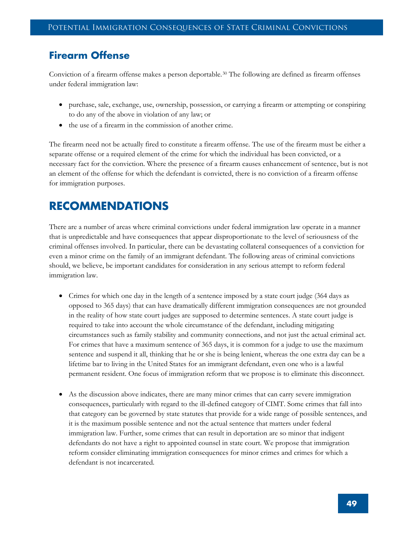### **Firearm Offense**

Conviction of a firearm offense makes a person deportable.[30](#page-72-7) The following are defined as firearm offenses under federal immigration law:

- purchase, sale, exchange, use, ownership, possession, or carrying a firearm or attempting or conspiring to do any of the above in violation of any law; or
- the use of a firearm in the commission of another crime.

The firearm need not be actually fired to constitute a firearm offense. The use of the firearm must be either a separate offense or a required element of the crime for which the individual has been convicted, or a necessary fact for the conviction. Where the presence of a firearm causes enhancement of sentence, but is not an element of the offense for which the defendant is convicted, there is no conviction of a firearm offense for immigration purposes.

## **RECOMMENDATIONS**

There are a number of areas where criminal convictions under federal immigration law operate in a manner that is unpredictable and have consequences that appear disproportionate to the level of seriousness of the criminal offenses involved. In particular, there can be devastating collateral consequences of a conviction for even a minor crime on the family of an immigrant defendant. The following areas of criminal convictions should, we believe, be important candidates for consideration in any serious attempt to reform federal immigration law.

- Crimes for which one day in the length of a sentence imposed by a state court judge (364 days as opposed to 365 days) that can have dramatically different immigration consequences are not grounded in the reality of how state court judges are supposed to determine sentences. A state court judge is required to take into account the whole circumstance of the defendant, including mitigating circumstances such as family stability and community connections, and not just the actual criminal act. For crimes that have a maximum sentence of 365 days, it is common for a judge to use the maximum sentence and suspend it all, thinking that he or she is being lenient, whereas the one extra day can be a lifetime bar to living in the United States for an immigrant defendant, even one who is a lawful permanent resident. One focus of immigration reform that we propose is to eliminate this disconnect.
- As the discussion above indicates, there are many minor crimes that can carry severe immigration consequences, particularly with regard to the ill-defined category of CIMT. Some crimes that fall into that category can be governed by state statutes that provide for a wide range of possible sentences, and it is the maximum possible sentence and not the actual sentence that matters under federal immigration law. Further, some crimes that can result in deportation are so minor that indigent defendants do not have a right to appointed counsel in state court. We propose that immigration reform consider eliminating immigration consequences for minor crimes and crimes for which a defendant is not incarcerated.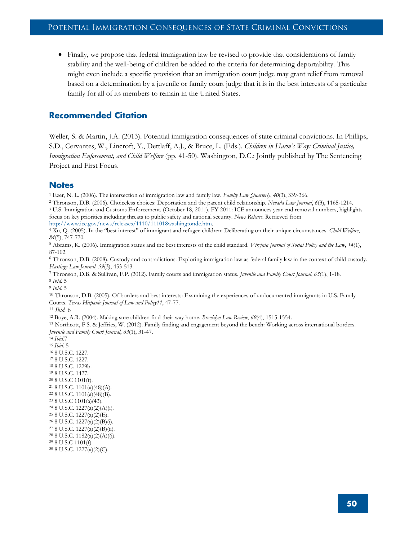• Finally, we propose that federal immigration law be revised to provide that considerations of family stability and the well-being of children be added to the criteria for determining deportability. This might even include a specific provision that an immigration court judge may grant relief from removal based on a determination by a juvenile or family court judge that it is in the best interests of a particular family for all of its members to remain in the United States.

#### **Recommended Citation**

Weller, S. & Martin, J.A. (2013). Potential immigration consequences of state criminal convictions. In Phillips, S.D., Cervantes, W., Lincroft, Y., Dettlaff, A.J., & Bruce, L. (Eds.). *Children in Harm's Way: Criminal Justice, Immigration Enforcement, and Child Welfare* (pp. 41-50). Washington, D.C.: Jointly published by The Sentencing Project and First Focus.

#### **Notes**

Ezer, N. L. (2006). The intersection of immigration law and family law. *Family Law Quarterly*, *40*(3), 339-366.

 U.S. Immigration and Customs Enforcement. (October 18, 2011). FY 2011: ICE announces year-end removal numbers, highlights focus on key priorities including threats to public safety and national security. *News Release*. Retrieved from [http://www.ice.gov/news/releases/1110/111018washingtondc.htm.](http://www.ice.gov/news/releases/1110/111018washingtondc.htm)

 Xu, Q. (2005). In the "best interest" of immigrant and refugee children: Deliberating on their unique circumstances. *Child Welfare*, (5), 747-770.

 Abrams, K. (2006). Immigration status and the best interests of the child standard. *Virginia Journal of Social Policy and the Law*, *14*(1), 87-102.

 Thronson, D.B. (2008). Custody and contradictions: Exploring immigration law as federal family law in the context of child custody. *Hastings Law Journal, 59*(3), 453-513.

Thronson, D.B. & Sullivan, F.P. (2012). Family courts and immigration status. *Juvenile and Family Court Journal*, *63*(1), 1-18.

*Ibid*. 5

*Ibid*. 5

<sup>10</sup> Thronson, D.B. (2005). Of borders and best interests: Examining the experiences of undocumented immigrants in U.S. Family Courts. *Texas Hispanic Journal of Law and Policy11*, 47-77.

*Ibid.* 6

Boye, A.R. (2004). Making sure children find their way home. *Brooklyn Law Review*, *69*(4), 1515-1554.

 Northcott, F.S. & Jeffries, W. (2012). Family finding and engagement beyond the bench: Working across international borders. *Juvenile and Family Court Journal*, *63*(1), 31-47.

*Ibid.*7

 *Ibid*. 5 8 U.S.C. 1227. 8 U.S.C. 1227. 8 U.S.C. 1229b. 8 U.S.C. 1427. 8 U.S.C 1101(f). 8 U.S.C. 1101(a)(48)(A). 8 U.S.C. 1101(a)(48)(B). 8 U.S.C 1101(a)(43). U.S.C.  $1227(a)(2)(A)(i)$ . 8 U.S.C.  $1227(a)(2)(E)$ . 8 U.S.C.  $1227(a)(2)(B)(i)$ . 8 U.S.C. 1227(a)(2)(B)(ii). 8 U.S.C. 1182(a)(2)(A)((i). 8 U.S.C 1101(f). 8 U.S.C. 1227(a)(2)(C).

Thronson, D.B. (2006). Choiceless choices: Deportation and the parent child relationship. *Nevada Law Journal*, *6*(3), 1165-1214.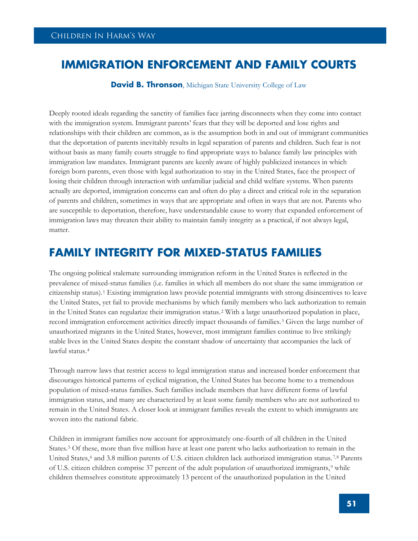## **IMMIGRATION ENFORCEMENT AND FAMILY COURTS**

**David B. Thronson**, Michigan State University College of Law

Deeply rooted ideals regarding the sanctity of families face jarring disconnects when they come into contact with the immigration system. Immigrant parents' fears that they will be deported and lose rights and relationships with their children are common, as is the assumption both in and out of immigrant communities that the deportation of parents inevitably results in legal separation of parents and children. Such fear is not without basis as many family courts struggle to find appropriate ways to balance family law principles with immigration law mandates. Immigrant parents are keenly aware of highly publicized instances in which foreign born parents, even those with legal authorization to stay in the United States, face the prospect of losing their children through interaction with unfamiliar judicial and child welfare systems. When parents actually are deported, immigration concerns can and often do play a direct and critical role in the separation of parents and children, sometimes in ways that are appropriate and often in ways that are not. Parents who are susceptible to deportation, therefore, have understandable cause to worry that expanded enforcement of immigration laws may threaten their ability to maintain family integrity as a practical, if not always legal, matter.

### **FAMILY INTEGRITY FOR MIXED-STATUS FAMILIES**

The ongoing political stalemate surrounding immigration reform in the United States is reflected in the prevalence of mixed-status families (i.e. families in which all members do not share the same immigration or citizenship status).[1](#page-72-8) Existing immigration laws provide potential immigrants with strong disincentives to leave the United States, yet fail to provide mechanisms by which family members who lack authorization to remain in the United States can regularize their immigration status.[2](#page-72-9) With a large unauthorized population in place, record immigration enforcement activities directly impact thousands of families.[3](#page-72-10) Given the large number of unauthorized migrants in the United States, however, most immigrant families continue to live strikingly stable lives in the United States despite the constant shadow of uncertainty that accompanies the lack of lawful status.[4](#page-72-11)

Through narrow laws that restrict access to legal immigration status and increased border enforcement that discourages historical patterns of cyclical migration, the United States has become home to a tremendous population of mixed-status families. Such families include members that have different forms of lawful immigration status, and many are characterized by at least some family members who are not authorized to remain in the United States. A closer look at immigrant families reveals the extent to which immigrants are woven into the national fabric.

Children in immigrant families now account for approximately one-fourth of all children in the United States.[5](#page-72-12) Of these, more than five million have at least one parent who lacks authorization to remain in the United States,<sup>[6](#page-72-2)</sup> and 3.8 million parents of U.S. citizen children lack authorized immigration status.<sup>[7](#page-72-13),[8](#page-72-14)</sup> Parents of U.S. citizen children comprise 37 percent of the adult population of unauthorized immigrants,[9](#page-72-15) while children themselves constitute approximately 13 percent of the unauthorized population in the United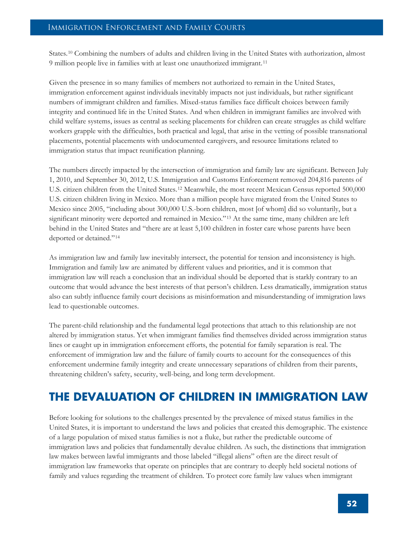States.[10](#page-72-16) Combining the numbers of adults and children living in the United States with authorization, almost 9 million people live in families with at least one unauthorized immigrant.[11](#page-72-17)

Given the presence in so many families of members not authorized to remain in the United States, immigration enforcement against individuals inevitably impacts not just individuals, but rather significant numbers of immigrant children and families. Mixed-status families face difficult choices between family integrity and continued life in the United States. And when children in immigrant families are involved with child welfare systems, issues as central as seeking placements for children can create struggles as child welfare workers grapple with the difficulties, both practical and legal, that arise in the vetting of possible transnational placements, potential placements with undocumented caregivers, and resource limitations related to immigration status that impact reunification planning.

The numbers directly impacted by the intersection of immigration and family law are significant. Between July 1, 2010, and September 30, 2012, U.S. Immigration and Customs Enforcement removed 204,816 parents of U.S. citizen children from the United States.[12](#page-72-18) Meanwhile, the most recent Mexican Census reported 500,000 U.S. citizen children living in Mexico. More than a million people have migrated from the United States to Mexico since 2005, "including about 300,000 U.S.-born children, most [of whom] did so voluntarily, but a significant minority were deported and remained in Mexico."[13](#page-72-19) At the same time, many children are left behind in the United States and "there are at least 5,100 children in foster care whose parents have been deported or detained."[14](#page-72-20)

As immigration law and family law inevitably intersect, the potential for tension and inconsistency is high. Immigration and family law are animated by different values and priorities, and it is common that immigration law will reach a conclusion that an individual should be deported that is starkly contrary to an outcome that would advance the best interests of that person's children. Less dramatically, immigration status also can subtly influence family court decisions as misinformation and misunderstanding of immigration laws lead to questionable outcomes.

The parent-child relationship and the fundamental legal protections that attach to this relationship are not altered by immigration status. Yet when immigrant families find themselves divided across immigration status lines or caught up in immigration enforcement efforts, the potential for family separation is real. The enforcement of immigration law and the failure of family courts to account for the consequences of this enforcement undermine family integrity and create unnecessary separations of children from their parents, threatening children's safety, security, well-being, and long term development.

## **THE DEVALUATION OF CHILDREN IN IMMIGRATION LAW**

Before looking for solutions to the challenges presented by the prevalence of mixed status families in the United States, it is important to understand the laws and policies that created this demographic. The existence of a large population of mixed status families is not a fluke, but rather the predictable outcome of immigration laws and policies that fundamentally devalue children. As such, the distinctions that immigration law makes between lawful immigrants and those labeled "illegal aliens" often are the direct result of immigration law frameworks that operate on principles that are contrary to deeply held societal notions of family and values regarding the treatment of children. To protect core family law values when immigrant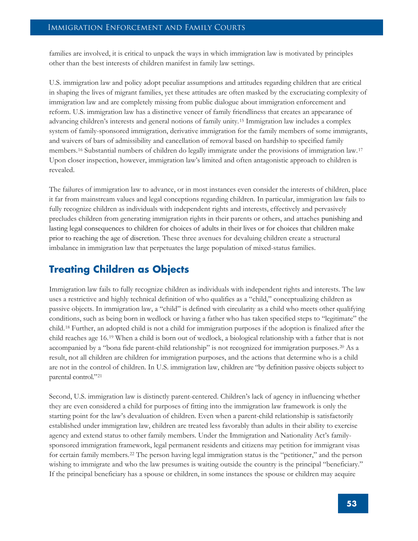families are involved, it is critical to unpack the ways in which immigration law is motivated by principles other than the best interests of children manifest in family law settings.

<span id="page-55-3"></span><span id="page-55-2"></span><span id="page-55-1"></span><span id="page-55-0"></span>U.S. immigration law and policy adopt peculiar assumptions and attitudes regarding children that are critical in shaping the lives of migrant families, yet these attitudes are often masked by the excruciating complexity of immigration law and are completely missing from public dialogue about immigration enforcement and reform. U.S. immigration law has a distinctive veneer of family friendliness that creates an appearance of advancing children's interests and general notions of family unity.[15](#page-72-21) Immigration law includes a complex system of family-sponsored immigration, derivative immigration for the family members of some immigrants, and waivers of bars of admissibility and cancellation of removal based on hardship to specified family members.[16](#page-72-22) Substantial numbers of children do legally immigrate under the provisions of immigration law.[17](#page-72-23) Upon closer inspection, however, immigration law's limited and often antagonistic approach to children is revealed.

<span id="page-55-4"></span>The failures of immigration law to advance, or in most instances even consider the interests of children, place it far from mainstream values and legal conceptions regarding children. In particular, immigration law fails to fully recognize children as individuals with independent rights and interests, effectively and pervasively precludes children from generating immigration rights in their parents or others, and attaches punishing and lasting legal consequences to children for choices of adults in their lives or for choices that children make prior to reaching the age of discretion. These three avenues for devaluing children create a structural imbalance in immigration law that perpetuates the large population of mixed-status families.

### **Treating Children as Objects**

Immigration law fails to fully recognize children as individuals with independent rights and interests. The law uses a restrictive and highly technical definition of who qualifies as a "child," conceptualizing children as passive objects. In immigration law, a "child" is defined with circularity as a child who meets other qualifying conditions, such as being born in wedlock or having a father who has taken specified steps to "legitimate" the child.[18](#page-72-24) Further, an adopted child is not a child for immigration purposes if the adoption is finalized after the child reaches age 16.[19](#page-72-25) When a child is born out of wedlock, a biological relationship with a father that is not accompanied by a "bona fide parent-child relationship" is not recognized for immigration purposes.[20](#page-72-26) As a result, not all children are children for immigration purposes, and the actions that determine who is a child are not in the control of children. In U.S. immigration law, children are "by definition passive objects subject to parental control."[21](#page-72-27)

Second, U.S. immigration law is distinctly parent-centered. Children's lack of agency in influencing whether they are even considered a child for purposes of fitting into the immigration law framework is only the starting point for the law's devaluation of children. Even when a parent-child relationship is satisfactorily established under immigration law, children are treated less favorably than adults in their ability to exercise agency and extend status to other family members. Under the Immigration and Nationality Act's familysponsored immigration framework, legal permanent residents and citizens may petition for immigrant visas for certain family members.[22](#page-72-28) The person having legal immigration status is the "petitioner," and the person wishing to immigrate and who the law presumes is waiting outside the country is the principal "beneficiary." If the principal beneficiary has a spouse or children, in some instances the spouse or children may acquire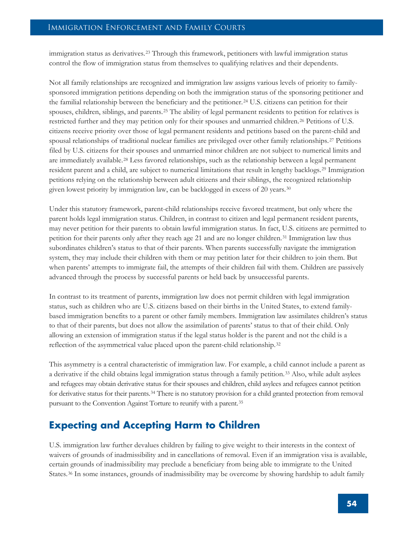immigration status as derivatives.[23](#page-72-29) Through this framework, petitioners with lawful immigration status control the flow of immigration status from themselves to qualifying relatives and their dependents.

Not all family relationships are recognized and immigration law assigns various levels of priority to familysponsored immigration petitions depending on both the immigration status of the sponsoring petitioner and the familial relationship between the beneficiary and the petitioner.[24](#page-72-30) U.S. citizens can petition for their spouses, children, siblings, and parents.[25](#page-72-31) The ability of legal permanent residents to petition for relatives is restricted further and they may petition only for their spouses and unmarried children.<sup>[26](#page-72-32)</sup> Petitions of U.S. citizens receive priority over those of legal permanent residents and petitions based on the parent-child and spousal relationships of traditional nuclear families are privileged over other family relationships.[27](#page-72-33) Petitions filed by U.S. citizens for their spouses and unmarried minor children are not subject to numerical limits and are immediately available.<sup>[28](#page-72-34)</sup> Less favored relationships, such as the relationship between a legal permanent resident parent and a child, are subject to numerical limitations that result in lengthy backlogs.[29](#page-72-35) Immigration petitions relying on the relationship between adult citizens and their siblings, the recognized relationship given lowest priority by immigration law, can be backlogged in excess of 20 years.[30](#page-72-8)

<span id="page-56-0"></span>Under this statutory framework, parent-child relationships receive favored treatment, but only where the parent holds legal immigration status. Children, in contrast to citizen and legal permanent resident parents, may never petition for their parents to obtain lawful immigration status. In fact, U.S. citizens are permitted to petition for their parents only after they reach age 21 and are no longer children.[31](#page-72-9) Immigration law thus subordinates children's status to that of their parents. When parents successfully navigate the immigration system, they may include their children with them or may petition later for their children to join them. But when parents' attempts to immigrate fail, the attempts of their children fail with them. Children are passively advanced through the process by successful parents or held back by unsuccessful parents.

In contrast to its treatment of parents, immigration law does not permit children with legal immigration status, such as children who are U.S. citizens based on their births in the United States, to extend familybased immigration benefits to a parent or other family members. Immigration law assimilates children's status to that of their parents, but does not allow the assimilation of parents' status to that of their child. Only allowing an extension of immigration status if the legal status holder is the parent and not the child is a reflection of the asymmetrical value placed upon the parent-child relationship.<sup>[32](#page-72-36)</sup>

This asymmetry is a central characteristic of immigration law. For example, a child cannot include a parent as a derivative if the child obtains legal immigration status through a family petition.[33](#page-72-37) Also, while adult asylees and refugees may obtain derivative status for their spouses and children, child asylees and refugees cannot petition for derivative status for their parents.[34](#page-72-38) There is no statutory provision for a child granted protection from removal pursuant to the Convention Against Torture to reunify with a parent.[35](#page-72-11)

### **Expecting and Accepting Harm to Children**

U.S. immigration law further devalues children by failing to give weight to their interests in the context of waivers of grounds of inadmissibility and in cancellations of removal. Even if an immigration visa is available, certain grounds of inadmissibility may preclude a beneficiary from being able to immigrate to the United States.[36](#page-72-39) In some instances, grounds of inadmissibility may be overcome by showing hardship to adult family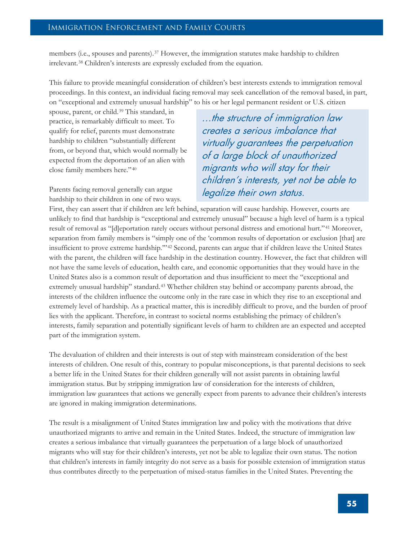members (i.e., spouses and parents).<sup>[37](#page-72-40)</sup> However, the immigration statutes make hardship to children irrelevant.[38](#page-72-12) Children's interests are expressly excluded from the equation.

This failure to provide meaningful consideration of children's best interests extends to immigration removal proceedings. In this context, an individual facing removal may seek cancellation of the removal based, in part, on "exceptional and extremely unusual hardship" to his or her legal permanent resident or U.S. citizen

spouse, parent, or child.[39](#page-72-41) This standard, in practice, is remarkably difficult to meet. To qualify for relief, parents must demonstrate hardship to children "substantially different from, or beyond that, which would normally be expected from the deportation of an alien with close family members here."[40](#page-72-2)

<span id="page-57-0"></span>Parents facing removal generally can argue hardship to their children in one of two ways. …the structure of immigration law creates a serious imbalance that virtually guarantees the perpetuation of a large block of unauthorized migrants who will stay for their children's interests, yet not be able to legalize their own status.

First, they can assert that if children are left behind, separation will cause hardship. However, courts are unlikely to find that hardship is "exceptional and extremely unusual" because a high level of harm is a typical result of removal as "[d]eportation rarely occurs without personal distress and emotional hurt."[41](#page-72-3) Moreover, separation from family members is "simply one of the 'common results of deportation or exclusion [that] are insufficient to prove extreme hardship.'"[42](#page-72-13) Second, parents can argue that if children leave the United States with the parent, the children will face hardship in the destination country. However, the fact that children will not have the same levels of education, health care, and economic opportunities that they would have in the United States also is a common result of deportation and thus insufficient to meet the "exceptional and extremely unusual hardship" standard.<sup>[43](#page-72-5)</sup> Whether children stay behind or accompany parents abroad, the interests of the children influence the outcome only in the rare case in which they rise to an exceptional and extremely level of hardship. As a practical matter, this is incredibly difficult to prove, and the burden of proof lies with the applicant. Therefore, in contrast to societal norms establishing the primacy of children's interests, family separation and potentially significant levels of harm to children are an expected and accepted part of the immigration system.

The devaluation of children and their interests is out of step with mainstream consideration of the best interests of children. One result of this, contrary to popular misconceptions, is that parental decisions to seek a better life in the United States for their children generally will not assist parents in obtaining lawful immigration status. But by stripping immigration law of consideration for the interests of children, immigration law guarantees that actions we generally expect from parents to advance their children's interests are ignored in making immigration determinations.

The result is a misalignment of United States immigration law and policy with the motivations that drive unauthorized migrants to arrive and remain in the United States. Indeed, the structure of immigration law creates a serious imbalance that virtually guarantees the perpetuation of a large block of unauthorized migrants who will stay for their children's interests, yet not be able to legalize their own status. The notion that children's interests in family integrity do not serve as a basis for possible extension of immigration status thus contributes directly to the perpetuation of mixed-status families in the United States. Preventing the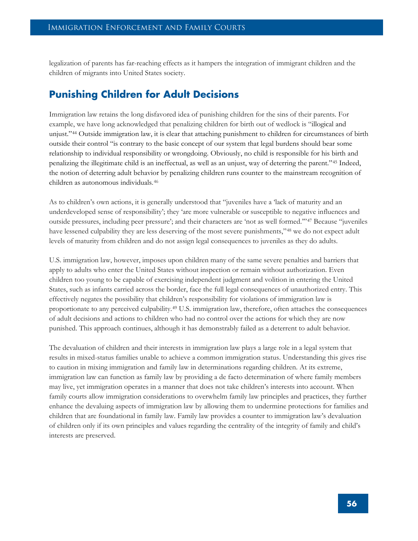legalization of parents has far-reaching effects as it hampers the integration of immigrant children and the children of migrants into United States society.

### **Punishing Children for Adult Decisions**

Immigration law retains the long disfavored idea of punishing children for the sins of their parents. For example, we have long acknowledged that penalizing children for birth out of wedlock is "illogical and unjust."[44](#page-72-6) Outside immigration law, it is clear that attaching punishment to children for circumstances of birth outside their control "is contrary to the basic concept of our system that legal burdens should bear some relationship to individual responsibility or wrongdoing. Obviously, no child is responsible for his birth and penalizing the illegitimate child is an ineffectual, as well as an unjust, way of deterring the parent."[45](#page-72-7) Indeed, the notion of deterring adult behavior by penalizing children runs counter to the mainstream recognition of children as autonomous individuals.[46](#page-72-42)

As to children's own actions, it is generally understood that "juveniles have a 'lack of maturity and an underdeveloped sense of responsibility'; they 'are more vulnerable or susceptible to negative influences and outside pressures, including peer pressure'; and their characters are 'not as well formed.'"[47](#page-72-17) Because "juveniles have lessened culpability they are less deserving of the most severe punishments,"[48](#page-72-43) we do not expect adult levels of maturity from children and do not assign legal consequences to juveniles as they do adults.

U.S. immigration law, however, imposes upon children many of the same severe penalties and barriers that apply to adults who enter the United States without inspection or remain without authorization. Even children too young to be capable of exercising independent judgment and volition in entering the United States, such as infants carried across the border, face the full legal consequences of unauthorized entry. This effectively negates the possibility that children's responsibility for violations of immigration law is proportionate to any perceived culpability.[49](#page-72-18) U.S. immigration law, therefore, often attaches the consequences of adult decisions and actions to children who had no control over the actions for which they are now punished. This approach continues, although it has demonstrably failed as a deterrent to adult behavior.

The devaluation of children and their interests in immigration law plays a large role in a legal system that results in mixed-status families unable to achieve a common immigration status. Understanding this gives rise to caution in mixing immigration and family law in determinations regarding children. At its extreme, immigration law can function as family law by providing a de facto determination of where family members may live, yet immigration operates in a manner that does not take children's interests into account. When family courts allow immigration considerations to overwhelm family law principles and practices, they further enhance the devaluing aspects of immigration law by allowing them to undermine protections for families and children that are foundational in family law. Family law provides a counter to immigration law's devaluation of children only if its own principles and values regarding the centrality of the integrity of family and child's interests are preserved.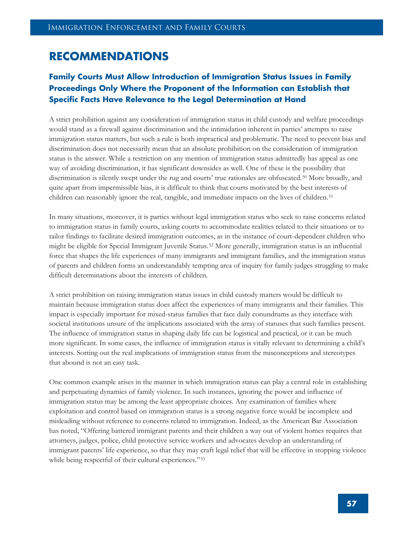## **RECOMMENDATIONS**

#### **Family Courts Must Allow Introduction of Immigration Status Issues in Family Proceedings Only Where the Proponent of the Information can Establish that Specific Facts Have Relevance to the Legal Determination at Hand**

A strict prohibition against any consideration of immigration status in child custody and welfare proceedings would stand as a firewall against discrimination and the intimidation inherent in parties' attempts to raise immigration status matters, but such a rule is both impractical and problematic. The need to prevent bias and discrimination does not necessarily mean that an absolute prohibition on the consideration of immigration status is the answer. While a restriction on any mention of immigration status admittedly has appeal as one way of avoiding discrimination, it has significant downsides as well. One of these is the possibility that discrimination is silently swept under the rug and courts' true rationales are obfuscated.[50](#page-72-44) More broadly, and quite apart from impermissible bias, it is difficult to think that courts motivated by the best interests of children can reasonably ignore the real, tangible, and immediate impacts on the lives of children.<sup>[51](#page-72-45)</sup>

In many situations, moreover, it is parties without legal immigration status who seek to raise concerns related to immigration status in family courts, asking courts to accommodate realities related to their situations or to tailor findings to facilitate desired immigration outcomes, as in the instance of court-dependent children who might be eligible for Special Immigrant Juvenile Status.[52](#page-72-46) More generally, immigration status is an influential force that shapes the life experiences of many immigrants and immigrant families, and the immigration status of parents and children forms an understandably tempting area of inquiry for family judges struggling to make difficult determinations about the interests of children.

A strict prohibition on raising immigration status issues in child custody matters would be difficult to maintain because immigration status does affect the experiences of many immigrants and their families. This impact is especially important for mixed-status families that face daily conundrums as they interface with societal institutions unsure of the implications associated with the array of statuses that such families present. The influence of immigration status in shaping daily life can be logistical and practical, or it can be much more significant. In some cases, the influence of immigration status is vitally relevant to determining a child's interests. Sorting out the real implications of immigration status from the misconceptions and stereotypes that abound is not an easy task.

One common example arises in the manner in which immigration status can play a central role in establishing and perpetuating dynamics of family violence. In such instances, ignoring the power and influence of immigration status may be among the least appropriate choices. Any examination of families where exploitation and control based on immigration status is a strong negative force would be incomplete and misleading without reference to concerns related to immigration. Indeed, as the American Bar Association has noted, "Offering battered immigrant parents and their children a way out of violent homes requires that attorneys, judges, police, child protective service workers and advocates develop an understanding of immigrant parents' life experience, so that they may craft legal relief that will be effective in stopping violence while being respectful of their cultural experiences."<sup>[53](#page-72-47)</sup>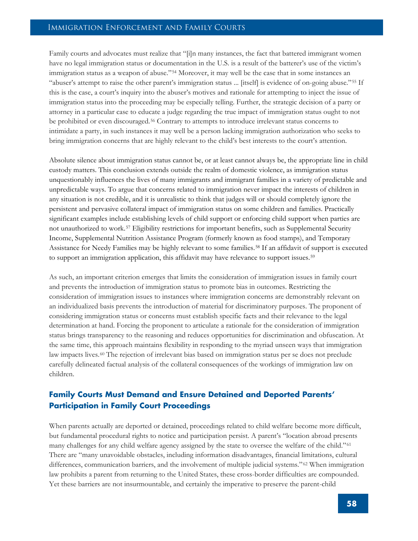Family courts and advocates must realize that "[i]n many instances, the fact that battered immigrant women have no legal immigration status or documentation in the U.S. is a result of the batterer's use of the victim's immigration status as a weapon of abuse."[54](#page-72-48) Moreover, it may well be the case that in some instances an "abuser's attempt to raise the other parent's immigration status ... [itself] is evidence of on-going abuse."[55](#page-72-49) If this is the case, a court's inquiry into the abuser's motives and rationale for attempting to inject the issue of immigration status into the proceeding may be especially telling. Further, the strategic decision of a party or attorney in a particular case to educate a judge regarding the true impact of immigration status ought to not be prohibited or even discouraged.<sup>[56](#page-72-50)</sup> Contrary to attempts to introduce irrelevant status concerns to intimidate a party, in such instances it may well be a person lacking immigration authorization who seeks to bring immigration concerns that are highly relevant to the child's best interests to the court's attention.

Absolute silence about immigration status cannot be, or at least cannot always be, the appropriate line in child custody matters. This conclusion extends outside the realm of domestic violence, as immigration status unquestionably influences the lives of many immigrants and immigrant families in a variety of predictable and unpredictable ways. To argue that concerns related to immigration never impact the interests of children in any situation is not credible, and it is unrealistic to think that judges will or should completely ignore the persistent and pervasive collateral impact of immigration status on some children and families. Practically significant examples include establishing levels of child support or enforcing child support when parties are not unauthorized to work.[57](#page-72-51) Eligibility restrictions for important benefits, such as Supplemental Security Income, Supplemental Nutrition Assistance Program (formerly known as food stamps), and Temporary Assistance for Needy Families may be highly relevant to some families.[58](#page-72-52) If an affidavit of support is executed to support an immigration application, this affidavit may have relevance to support issues.[59](#page-72-53)

As such, an important criterion emerges that limits the consideration of immigration issues in family court and prevents the introduction of immigration status to promote bias in outcomes. Restricting the consideration of immigration issues to instances where immigration concerns are demonstrably relevant on an individualized basis prevents the introduction of material for discriminatory purposes. The proponent of considering immigration status or concerns must establish specific facts and their relevance to the legal determination at hand. Forcing the proponent to articulate a rationale for the consideration of immigration status brings transparency to the reasoning and reduces opportunities for discrimination and obfuscation. At the same time, this approach maintains flexibility in responding to the myriad unseen ways that immigration law impacts lives.<sup>[60](#page-72-54)</sup> The rejection of irrelevant bias based on immigration status per se does not preclude carefully delineated factual analysis of the collateral consequences of the workings of immigration law on children.

#### **Family Courts Must Demand and Ensure Detained and Deported Parents' Participation in Family Court Proceedings**

When parents actually are deported or detained, proceedings related to child welfare become more difficult, but fundamental procedural rights to notice and participation persist. A parent's "location abroad presents many challenges for any child welfare agency assigned by the state to oversee the welfare of the child."<sup>[61](#page-72-55)</sup> There are "many unavoidable obstacles, including information disadvantages, financial limitations, cultural differences, communication barriers, and the involvement of multiple judicial systems."<sup>[62](#page-72-56)</sup> When immigration law prohibits a parent from returning to the United States, these cross-border difficulties are compounded. Yet these barriers are not insurmountable, and certainly the imperative to preserve the parent-child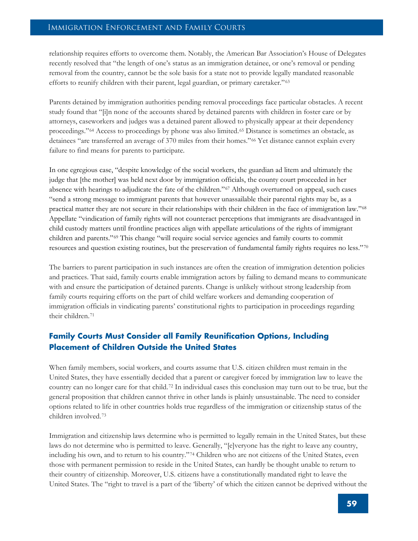relationship requires efforts to overcome them. Notably, the American Bar Association's House of Delegates recently resolved that "the length of one's status as an immigration detainee, or one's removal or pending removal from the country, cannot be the sole basis for a state not to provide legally mandated reasonable efforts to reunify children with their parent, legal guardian, or primary caretaker."[63](#page-72-57)

Parents detained by immigration authorities pending removal proceedings face particular obstacles. A recent study found that "[i]n none of the accounts shared by detained parents with children in foster care or by attorneys, caseworkers and judges was a detained parent allowed to physically appear at their dependency proceedings."[64](#page-72-58) Access to proceedings by phone was also limited.[65](#page-72-59) Distance is sometimes an obstacle, as detainees "are transferred an average of 370 miles from their homes."[66](#page-72-60) Yet distance cannot explain every failure to find means for parents to participate.

In one egregious case, "despite knowledge of the social workers, the guardian ad litem and ultimately the judge that [the mother] was held next door by immigration officials, the county court proceeded in her absence with hearings to adjudicate the fate of the children."[67](#page-72-61) Although overturned on appeal, such cases "send a strong message to immigrant parents that however unassailable their parental rights may be, as a practical matter they are not secure in their relationships with their children in the face of immigration law."[68](#page-72-62) Appellate "vindication of family rights will not counteract perceptions that immigrants are disadvantaged in child custody matters until frontline practices align with appellate articulations of the rights of immigrant children and parents."[69](#page-72-38) This change "will require social service agencies and family courts to commit resources and question existing routines, but the preservation of fundamental family rights requires no less."[70](#page-72-63)

The barriers to parent participation in such instances are often the creation of immigration detention policies and practices. That said, family courts enable immigration actors by failing to demand means to communicate with and ensure the participation of detained parents. Change is unlikely without strong leadership from family courts requiring efforts on the part of child welfare workers and demanding cooperation of immigration officials in vindicating parents' constitutional rights to participation in proceedings regarding their children.<sup>[71](#page-72-64)</sup>

#### **Family Courts Must Consider all Family Reunification Options, Including Placement of Children Outside the United States**

When family members, social workers, and courts assume that U.S. citizen children must remain in the United States, they have essentially decided that a parent or caregiver forced by immigration law to leave the country can no longer care for that child.[72](#page-72-65) In individual cases this conclusion may turn out to be true, but the general proposition that children cannot thrive in other lands is plainly unsustainable. The need to consider options related to life in other countries holds true regardless of the immigration or citizenship status of the children involved.[73](#page-72-66)

Immigration and citizenship laws determine who is permitted to legally remain in the United States, but these laws do not determine who is permitted to leave. Generally, "[e]veryone has the right to leave any country, including his own, and to return to his country."[74](#page-72-67) Children who are not citizens of the United States, even those with permanent permission to reside in the United States, can hardly be thought unable to return to their country of citizenship. Moreover, U.S. citizens have a constitutionally mandated right to leave the United States. The "right to travel is a part of the 'liberty' of which the citizen cannot be deprived without the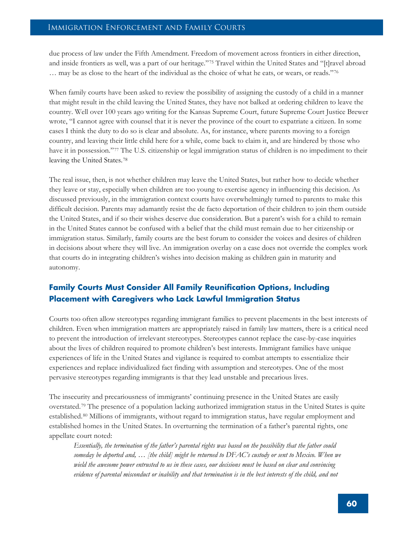due process of law under the Fifth Amendment. Freedom of movement across frontiers in either direction, and inside frontiers as well, was a part of our heritage."[75](#page-72-68) Travel within the United States and "[t]ravel abroad … may be as close to the heart of the individual as the choice of what he eats, or wears, or reads."[76](#page-72-69)

When family courts have been asked to review the possibility of assigning the custody of a child in a manner that might result in the child leaving the United States, they have not balked at ordering children to leave the country. Well over 100 years ago writing for the Kansas Supreme Court, future Supreme Court Justice Brewer wrote, "I cannot agree with counsel that it is never the province of the court to expatriate a citizen. In some cases I think the duty to do so is clear and absolute. As, for instance, where parents moving to a foreign country, and leaving their little child here for a while, come back to claim it, and are hindered by those who have it in possession."[77](#page-72-70) The U.S. citizenship or legal immigration status of children is no impediment to their leaving the United States.[78](#page-72-71)

The real issue, then, is not whether children may leave the United States, but rather how to decide whether they leave or stay, especially when children are too young to exercise agency in influencing this decision. As discussed previously, in the immigration context courts have overwhelmingly turned to parents to make this difficult decision. Parents may adamantly resist the de facto deportation of their children to join them outside the United States, and if so their wishes deserve due consideration. But a parent's wish for a child to remain in the United States cannot be confused with a belief that the child must remain due to her citizenship or immigration status. Similarly, family courts are the best forum to consider the voices and desires of children in decisions about where they will live. An immigration overlay on a case does not override the complex work that courts do in integrating children's wishes into decision making as children gain in maturity and autonomy.

#### **Family Courts Must Consider All Family Reunification Options, Including Placement with Caregivers who Lack Lawful Immigration Status**

Courts too often allow stereotypes regarding immigrant families to prevent placements in the best interests of children. Even when immigration matters are appropriately raised in family law matters, there is a critical need to prevent the introduction of irrelevant stereotypes. Stereotypes cannot replace the case-by-case inquiries about the lives of children required to promote children's best interests. Immigrant families have unique experiences of life in the United States and vigilance is required to combat attempts to essentialize their experiences and replace individualized fact finding with assumption and stereotypes. One of the most pervasive stereotypes regarding immigrants is that they lead unstable and precarious lives.

The insecurity and precariousness of immigrants' continuing presence in the United States are easily overstated.[79](#page-72-72) The presence of a population lacking authorized immigration status in the United States is quite established.[80](#page-72-73) Millions of immigrants, without regard to immigration status, have regular employment and established homes in the United States. In overturning the termination of a father's parental rights, one appellate court noted:

*Essentially, the termination of the father's parental rights was based on the possibility that the father could someday be deported and, … [the child] might be returned to DFAC's custody or sent to Mexico. When we wield the awesome power entrusted to us in these cases, our decisions must be based on clear and convincing evidence of parental misconduct or inability and that termination is in the best interests of the child, and not*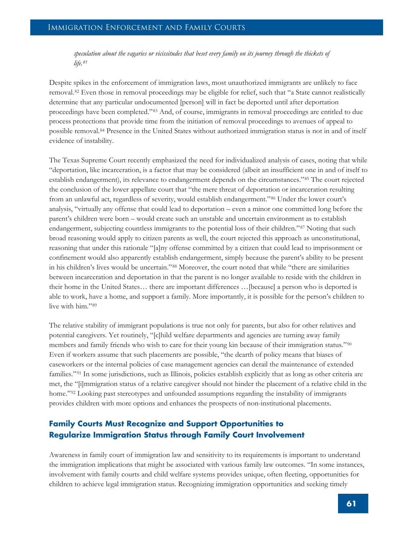*speculation about the vagaries or vicissitudes that beset every family on its journey through the thickets of life.[81](#page-72-47)*

Despite spikes in the enforcement of immigration laws, most unauthorized immigrants are unlikely to face removal.[82](#page-72-48) Even those in removal proceedings may be eligible for relief, such that "a State cannot realistically determine that any particular undocumented [person] will in fact be deported until after deportation proceedings have been completed."[83](#page-72-49) And, of course, immigrants in removal proceedings are entitled to due process protections that provide time from the initiation of removal proceedings to avenues of appeal to possible removal.[84](#page-72-74) Presence in the United States without authorized immigration status is not in and of itself evidence of instability.

The Texas Supreme Court recently emphasized the need for individualized analysis of cases, noting that while "deportation, like incarceration, is a factor that may be considered (albeit an insufficient one in and of itself to establish endangerment), its relevance to endangerment depends on the circumstances."[85](#page-72-50) The court rejected the conclusion of the lower appellate court that "the mere threat of deportation or incarceration resulting from an unlawful act, regardless of severity, would establish endangerment."[86](#page-72-75) Under the lower court's analysis, "virtually any offense that could lead to deportation – even a minor one committed long before the parent's children were born – would create such an unstable and uncertain environment as to establish endangerment, subjecting countless immigrants to the potential loss of their children."[87](#page-72-76) Noting that such broad reasoning would apply to citizen parents as well, the court rejected this approach as unconstitutional, reasoning that under this rationale "[a]ny offense committed by a citizen that could lead to imprisonment or confinement would also apparently establish endangerment, simply because the parent's ability to be present in his children's lives would be uncertain."[88](#page-72-51) Moreover, the court noted that while "there are similarities between incarceration and deportation in that the parent is no longer available to reside with the children in their home in the United States… there are important differences …[because] a person who is deported is able to work, have a home, and support a family. More importantly, it is possible for the person's children to live with him."[89](#page-72-52)

The relative stability of immigrant populations is true not only for parents, but also for other relatives and potential caregivers. Yet routinely, "[c]hild welfare departments and agencies are turning away family members and family friends who wish to care for their young kin because of their immigration status."<sup>[90](#page-72-77)</sup> Even if workers assume that such placements are possible, "the dearth of policy means that biases of caseworkers or the internal policies of case management agencies can derail the maintenance of extended families."<sup>[91](#page-72-78)</sup> In some jurisdictions, such as Illinois, policies establish explicitly that as long as other criteria are met, the "[i]mmigration status of a relative caregiver should not hinder the placement of a relative child in the home."<sup>[92](#page-72-79)</sup> Looking past stereotypes and unfounded assumptions regarding the instability of immigrants provides children with more options and enhances the prospects of non-institutional placements.

#### **Family Courts Must Recognize and Support Opportunities to Regularize Immigration Status through Family Court Involvement**

Awareness in family court of immigration law and sensitivity to its requirements is important to understand the immigration implications that might be associated with various family law outcomes. "In some instances, involvement with family courts and child welfare systems provides unique, often fleeting, opportunities for children to achieve legal immigration status. Recognizing immigration opportunities and seeking timely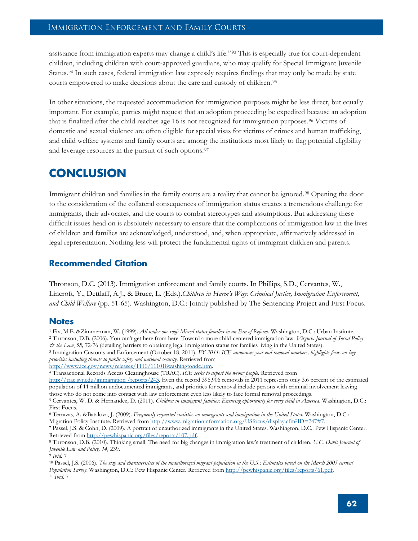assistance from immigration experts may change a child's life."[93](#page-72-80) This is especially true for court-dependent children, including children with court-approved guardians, who may qualify for Special Immigrant Juvenile Status.[94](#page-72-81) In such cases, federal immigration law expressly requires findings that may only be made by state courts empowered to make decisions about the care and custody of children.<sup>[95](#page-72-82)</sup>

In other situations, the requested accommodation for immigration purposes might be less direct, but equally important. For example, parties might request that an adoption proceeding be expedited because an adoption that is finalized after the child reaches age 16 is not recognized for immigration purposes.[96](#page-72-83) Victims of domestic and sexual violence are often eligible for special visas for victims of crimes and human trafficking, and child welfare systems and family courts are among the institutions most likely to flag potential eligibility and leverage resources in the pursuit of such options.<sup>[97](#page-72-84)</sup>

## **CONCLUSION**

Immigrant children and families in the family courts are a reality that cannot be ignored.[98](#page-72-85) Opening the door to the consideration of the collateral consequences of immigration status creates a tremendous challenge for immigrants, their advocates, and the courts to combat stereotypes and assumptions. But addressing these difficult issues head on is absolutely necessary to ensure that the complications of immigration law in the lives of children and families are acknowledged, understood, and, when appropriate, affirmatively addressed in legal representation. Nothing less will protect the fundamental rights of immigrant children and parents.

#### **Recommended Citation**

Thronson, D.C. (2013). Immigration enforcement and family courts. In Phillips, S.D., Cervantes, W., Lincroft, Y., Dettlaff, A.J., & Bruce, L. (Eds.).*Children in Harm's Way: Criminal Justice, Immigration Enforcement, and Child Welfare* (pp. 51-65). Washington, D.C.: Jointly published by The Sentencing Project and First Focus.

#### **Notes**

<sup>1</sup> Fix, M.E. &Zimmerman, W. (1999). All under one roof: Mixed-status families in an Era of Reform. Washington, D.C.: Urban Institute.<br><sup>2</sup> Thronson, D.B. (2006). You can't get here from here: Toward a more child-centered i *& the Law*, *58,* 72-76 (detailing barriers to obtaining legal immigration status for families living in the United States). <sup>3</sup> Immigration Customs and Enforcement (October 18, 2011). *FY 2011: ICE announces year-end removal numbers, highlights focus on key priorities including threats to public safety and national security*. Retrieved from

[http://www.ice.gov/news/releases/1110/111018washingtondc.htm.](http://www.ice.gov/news/releases/1110/111018washingtondc.htm)

[http://trac.syr.edu/immigration /reports/243.](http://trac.syr.edu/immigration%20/reports/243) Even the record 396,906 removals in 2011 represents only 3.6 percent of the estimated population of 11 million undocumented immigrants, and priorities for removal include persons with criminal involvement leaving those who do not come into contact with law enforcement even less likely to face formal removal proceedings.

<sup>4</sup> Transactional Records Access Clearinghouse (TRAC). *ICE seeks to deport the wrong people.* Retrieved from

<sup>5</sup> Cervantes, W. D. & Hernandez, D. (2011). *Children in immigrant families: Ensuring opportunity for every child in America*. Washington, D.C.: First Focus.

<sup>6</sup> Terrazas, A. &Batalova, J. (2009). *Frequently requested statistics on immigrants and immigration in the United States.* Washington, D.C.: Migration Policy Institute. Retrieved fro[m http://www.migrationinformation.org/USfocus/display.cfm?ID=747#7.](http://www.migrationinformation.org/USfocus/display.cfm?ID=747#7)

<sup>7</sup> Passel, J.S. & Cohn, D. (2009). A portrait of unauthorized immigrants in the United States. Washington, D.C.: Pew Hispanic Center. Retrieved from [http://pewhispanic.org/files/reports/107.pdf.](http://pewhispanic.org/files/reports/107.pdf)

<sup>8</sup> Thronson, D.B. (2010). Thinking small: The need for big changes in immigration law's treatment of children. *U.C. Davis Journal of Juvenile Law and Policy, 14,* 239.

<sup>9</sup> *Ibid.* 7 10 Passel, J.S. (2006). *The size and characteristics of the unauthorized migrant population in the U.S.: Estimates based on the March 2005 current Population Survey*. Washington, D.C.: Pew Hispanic Center. Retrieved fro[m http://pewhispanic.org/files/reports/61.pdf.](http://pewhispanic.org/files/reports/61.pdf) <sup>11</sup> *Ibid.* 7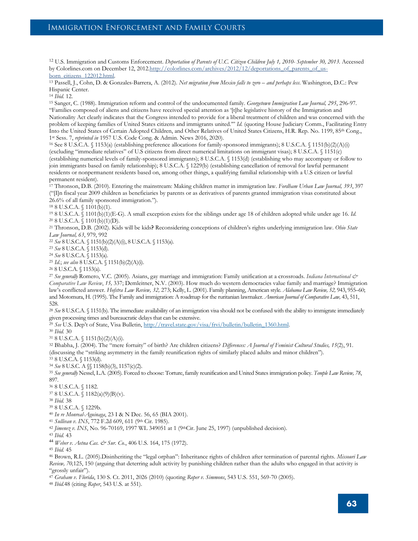<sup>12</sup> U.S. Immigration and Customs Enforcement. *Deportation of Parents of U.C. Citizen Children July 1, 2010- September 30, 2013.* Accessed by Colorlines.com on December 12, 2012.http://colorlines.com/archives/2012/12/deportations\_of\_parents\_of\_usborn\_citizens\_122012.html.

<sup>13</sup> Passell, J., Cohn, D. & Gonzales-Barrera, A. (2012). *Net migration from Mexico falls to zero – and perhaps less*. Washington, D.C.: Pew Hispanic Center.

<sup>14</sup> *Ibid.* 12.

<sup>15</sup> Sanger, C. (1988). Immigration reform and control of the undocumented family. *Georgetown Immigration Law Journal, 295*, 296-97. "Families composed of aliens and citizens have received special attention as '[t]he legislative history of the Immigration and Nationality Act clearly indicates that the Congress intended to provide for a liberal treatment of children and was concerned with the problem of keeping families of United States citizens and immigrants united.'" *Id.* (quoting House Judiciary Comm., Facilitating Entry Into the United States of Certain Adopted Children, and Other Relatives of United States Citizens, H.R. Rep. No. 1199, 85th Cong., 1st Sess. 7, *reprinted in* 1957 U.S. Code Cong. & Admin. News 2016, 2020).

<sup>16</sup> See 8 U.S.C.A. § 1153(a) (establishing preference allocations for family-sponsored immigrants); 8 U.S.C.A. § 1151(b)(2)(A)(i) (excluding "immediate relatives" of U.S citizens from direct numerical limitations on immigrant visas); 8 U.S.C.A. § 1151(c) (establishing numerical levels of family-sponsored immigrants); 8 U.S.C.A. § 1153(d) (establishing who may accompany or follow to join immigrants based on family relationship); 8 U.S.C.A. § 1229(b) (establishing cancellation of removal for lawful permanent residents or nonpermanent residents based on, among other things, a qualifying familial relationship with a U.S citizen or lawful permanent resident).

<sup>17</sup> Thronson, D.B. (2010). Entering the mainstream: Making children matter in immigration law. *Fordham Urban Law Journal, 393*, 397 ("[I]n fiscal year 2009 children as beneficiaries by parents or as derivatives of parents granted immigration visas constituted about 26.6% of all family sponsored immigration.").

<sup>18</sup> 8 U.S.C.A. § 1101(b)(1).

<sup>19</sup> 8 U.S.C.A. § 1101(b)(1)(E-G). A small exception exists for the siblings under age 18 of children adopted while under age 16. *Id.* <sup>20</sup> 8 U.S.C.A. § 1101(b)(1)(D).

<sup>21</sup> Thronson, D.B. (2002). Kids will be kids**?** Reconsidering conceptions of children's rights underlying immigration law. *Ohio State Law Journal, 63*, 979, 992<br><sup>22</sup> *See* 8 U.S.C.A. § 1151(b)(2)(A)(i), 8 U.S.C.A. § 1153(a).

<sup>23</sup> *See* 8 U.S.C.A. § 1153(d).

<sup>24</sup> *See* 8 U.S.C.A. § 1153(a).

<sup>25</sup> *Id.*; *see also* 8 U.S.C.A. § 1151(b)(2)(A)(i).

<sup>26</sup> 8 U.S.C.A. § 1153(a).

<sup>27</sup> *See generally* Romero, V.C. (2005). Asians, gay marriage and immigration: Family unification at a crossroads. *Indiana International & Comparative Law Review*, *15,* 337; Demleitner, N.V. (2003). How much do western democracies value family and marriage? Immigration law's conflicted answer. *Hofstra Law Review, 32,* 273; Kelly, L. (2001). Family planning, American style. *Alabama Law Review, 52,* 943, 955–60; and Motomura, H. (1995). The Family and immigration: A roadmap for the ruritanian lawmaker. *American Journal of Comparative Law,* 43, 511, 528.

<sup>28</sup> *See* 8 U.S.C.A. § 1151(b). The immediate availability of an immigration visa should not be confused with the ability to immigrate immediately given processing times and bureaucratic delays that can be extensive.

<sup>29</sup> See U.S. Dep't of State, Visa Bulletin[, http://travel.state.gov/visa/frvi/bulletin/bulletin\\_1360.html.](http://travel.state.gov/visa/frvi/bulletin/bulletin_1360.html)

<sup>30</sup> *Ibid.* 30

<sup>31</sup> 8 U.S.C.A. § 1151(b)(2)(A)(i).

<sup>32</sup> Bhabha, J. (2004). The "mere fortuity" of birth? Are children citizens? *Differences: A Journal of Feminist Cultural Studies, 15*(2), 91. (discussing the "striking asymmetry in the family reunification rights of similarly placed adults and minor children"). <sup>33</sup> 8 U.S.C.A. § 1153(d).

<sup>34</sup> *See* 8 U.S.C. A §§ 1158(b)(3), 1157(c)(2).

<sup>35</sup> *See generally* Nessel, L.A. (2005). Forced to choose: Torture, family reunification and United States immigration policy. *Temple Law Review, 78*, 897.

<sup>36</sup> 8 U.S.C.A. § 1182.

<sup>37</sup> 8 U.S.C.A. § 1182(a)(9)(B)(v).

<sup>38</sup> *Ibid.* 38

<sup>39</sup> 8 U.S.C.A. § 1229b.

<sup>40</sup> *In re Monreal-Aguinaga*, 23 I & N Dec. 56, 65 (BIA 2001).

<sup>41</sup> *Sullivan v. INS*, 772 F.2d 609, 611 (9th Cir. 1985).

<sup>42</sup> *Jimenez v. INS*, No. 96-70169, 1997 WL 349051 at 1 (9thCir. June 25, 1997) (unpublished decision).

<sup>43</sup> *Ibid.* 43

<sup>44</sup> *[Weber v. Aetna Cas. & Sur. Co.](https://web2.westlaw.com/find/default.wl?referencepositiontype=S&serialnum=1972127110&referenceposition=175&rp=%2ffind%2fdefault.wl&sv=Split&rs=WLW10.08&db=780&tf=-1&findtype=Y&fn=_top&mt=208&vr=2.0&pbc=A0B99AC0&tc=-1&ordoc=0336591239)*, 406 U.S. 164, 175 (1972).

<sup>45</sup> *Ibid.* 45

<sup>46</sup> Brown, R.L. (2005).Disinheriting the "legal orphan": Inheritance rights of children after termination of parental rights. *Missouri Law Review, 70,*125, 150 (arguing that deterring adult activity by punishing children rather than the adults who engaged in that activity is "grossly unfair").

<sup>47</sup> *Graham v. Florida*, 130 S. Ct. 2011, 2026 (2010) (quoting *Roper v. Simmons*, 543 U.S. 551, 569-70 (2005).

<sup>48</sup> *Ibid.*48 (citing *Roper*, 543 U.S. at 551).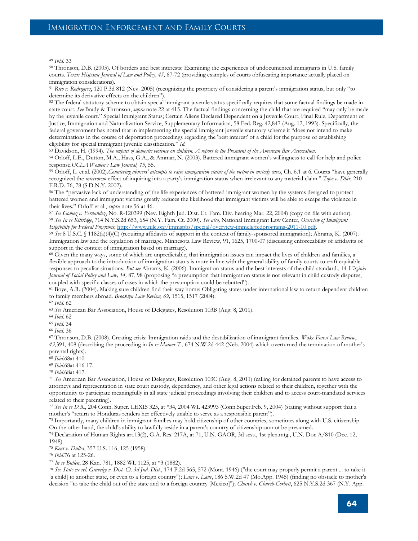<sup>49</sup> *Ibid.* 33

<sup>50</sup> Thronson, D.B. (2005). Of borders and best interests: Examining the experiences of undocumented immigrants in U.S. family courts. *Texas Hispanic Journal of Law and Policy, 45,* 67-72 (providing examples of courts obfuscating importance actually placed on immigration considerations).

<sup>51</sup> *Rico v. Rodriguez*, 120 P.3d 812 (Nev. 2005) (recognizing the propriety of considering a parent's immigration status, but only "to determine its derivative effects on the children").

<sup>52</sup> The federal statutory scheme to obtain special immigrant juvenile status specifically requires that some factual findings be made in state court. *See* Brady & Thronson, *supra* note 22 at 415. The factual findings concerning the child that are required "may only be made by the juvenile court." Special Immigrant Status; Certain Aliens Declared Dependent on a Juvenile Court, Final Rule, Department of Justice, Immigration and Naturalization Service, Supplementary Information, 58 Fed. Reg. 42,847 (Aug. 12, 1993). Specifically, the federal government has noted that in implementing the special immigrant juvenile statutory scheme it "does not intend to make determinations in the course of deportation proceedings regarding the 'best interest' of a child for the purpose of establishing eligibility for special immigrant juvenile classification." *Id.*

<sup>53</sup> Davidson, H. (1994). *The impact of domestic violence on children. A report to the President of the American Bar Association.*

<sup>54</sup> Orloff, L.E., Dutton, M.A., Hass, G.A., & Ammar, N. (2003). Battered immigrant women's willingness to call for help and police response.*UCLA Women's Law Journal, 15*, 55.

<sup>55</sup> Orloff, L. et al. (2002).*Countering abusers' attempts to raise immigration status of the victim in custody cases*, Ch. 6.1 at 6. Courts "have generally recognized the *interrorem* effect of inquiring into a party's immigration status when irrelevant to any material claim." *Topo v. Dhir*, 210 F.R.D. 76, 78 (S.D.N.Y. 2002).

<sup>56</sup> The "pervasive lack of understanding of the life experiences of battered immigrant women by the systems designed to protect battered women and immigrant victims greatly reduces the likelihood that immigrant victims will be able to escape the violence in their lives." Orloff et al., *supra* note 56 at 46.

<sup>57</sup> See Gomez v. Fernandez, No. R-120399 (Nev. Eighth Jud. Dist. Ct. Fam. Div. hearing Mar. 22, 2004) (copy on file with author). <sup>58</sup> *See In re Kittridge*, 714 N.Y.S.2d 653, 654 (N.Y. Fam. Ct. 2000). *See also,* National Immigrant Law Center, *Overview of Immigrant Eligibility for Federal Programs*[, http://www.nilc.org/immspbs/special/overview-immeligfedprograms-2011-10.pdf.](http://www.nilc.org/immspbs/special/overview-immeligfedprograms-2011-10.pdf)

<sup>59</sup> *See* 8 U.S.C. § 1182(a)(4)(C) (requiring affidavits of support in the context of family-sponsored immigration); Abrams, K. (2007). Immigration law and the regulation of marriage. Minnesota Law Review, 91, 1625, 1700-07 (discussing enforceability of affidavits of support in the context of immigration based on marriage).

<sup>60</sup> Given the many ways, some of which are unpredictable, that immigration issues can impact the lives of children and families, a flexible approach to the introduction of immigration status is more in line with the general ability of family courts to craft equitable responses to peculiar situations. *But see* Abrams, K. (2006). Immigration status and the best interests of the child standard., 14 *Virginia Journal of Social Policy and Law, 14, 87, 98* (proposing "a presumption that immigration status is not relevant in child custody disputes, coupled with specific classes of cases in which the presumption could be rebutted").

<sup>61</sup> Boye, A.R. (2004). Making sure children find their way home: Obligating states under international law to return dependent children to family members abroad. *Brooklyn Law Review, 69,* 1515, 1517 (2004).

<sup>62</sup> *Ibid.* 62

<sup>63</sup> *See* American Bar Association, House of Delegates, Resolution 103B (Aug. 8, 2011).

<sup>64</sup> *Ibid.* 62

<sup>65</sup> *Ibid.* 34

<sup>66</sup> *Ibid.* 36

<sup>67</sup> Thronson, D.B. (2008). Creating crisis: Immigration raids and the destabilization of immigrant families. *Wake Forest Law Review*, *43*,391, 408 (describing the proceeding in *In re Mainor T.*, 674 N.W.2d 442 (Neb. 2004) which overturned the termination of mother's parental rights).

<sup>68</sup> *Ibid.*68at 410.

<sup>69</sup> *Ibid.*68at 416-17.

<sup>70</sup> *Ibid.*68at 417.

<sup>71</sup> *See* American Bar Association, House of Delegates, Resolution 103C (Aug. 8, 2011) (calling for detained parents to have access to attorneys and representation in state court custody, dependency, and other legal actions related to their children, together with the opportunity to participate meaningfully in all state judicial proceedings involving their children and to access court-mandated services related to their parenting).

*<sup>72</sup> See In re D.R.*, 204 Conn. Super. LEXIS 325, at \*34, 2004 WL 423993 (Conn.Super.Feb. 9, 2004) (stating without support that a mother's "return to Honduras renders her effectively unable to serve as a responsible parent").

<sup>73</sup> Importantly, many children in immigrant families may hold citizenship of other countries, sometimes along with U.S. citizenship. On the other hand, the child's ability to lawfully reside in a parent's country of citizenship cannot be presumed.

<sup>74</sup> Declaration of Human Rights art.13(2), G.A. Res. 217A, at 71, U.N. GAOR, 3d sess., 1st plen.mtg., U.N. Doc A/810 (Dec. 12, 1948).

<sup>75</sup> *Kent v. Dulles*, 357 U.S. 116, 125 (1958).

<sup>76</sup> *Ibid.*76 at 125-26.

<sup>77</sup> *In re Bullen*, 28 Kan. 781, 1882 WL 1125, at \*3 (1882).

<sup>78</sup> *See State ex rel. Graveley v. Dist. Ct. 3d Jud. Dist.*, 174 P.2d 565, 572 (Mont. 1946) ("the court may properly permit a parent ... to take it [a child] to another state, or even to a foreign country"); *Lane v. Lane*, 186 S.W.2d 47 (Mo.App. 1945) (finding no obstacle to mother's decision "to take the child out of the state and to a foreign country [Mexico]"); *Church v. Church-Corbett*, 625 N.Y.S.2d 367 (N.Y. App.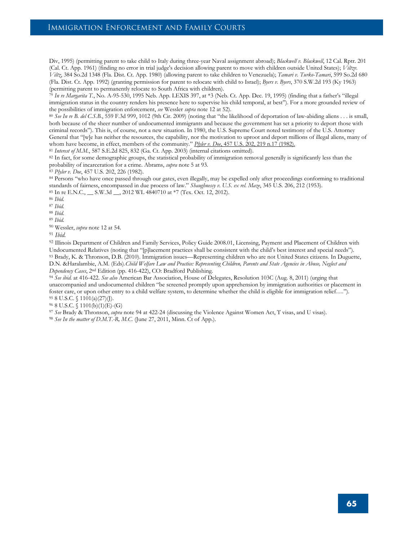#### [Immigration Enforcement and Family Courts](#page-1-0)

Div, 1995) (permitting parent to take child to Italy during three-year Naval assignment abroad); *Blackwell v. Blackwell*, 12 Cal. Rptr. 201 (Cal. Ct. App. 1961) (finding no error in trial judge's decision allowing parent to move with children outside United States); *Viltzv. Viltz*, 384 So.2d 1348 (Fla. Dist. Ct. App. 1980) (allowing parent to take children to Venezuela); *Tamari v. Turko-Tamari*, 599 So.2d 680 (Fla. Dist. Ct. App. 1992) (granting permission for parent to relocate with child to Israel); *Byers v. Byers*, 370 S.W.2d 193 (Ky 1963) (permitting parent to permanently relocate to South Africa with children).

<sup>79</sup> *In re Margarita T.*, No. A-95-530, 1995 Neb. App. LEXIS 397, at \*3 (Neb. Ct. App. Dec. 19, 1995) (finding that a father's "illegal immigration status in the country renders his presence here to supervise his child temporal, at best"). For a more grounded review of the possibilities of immigration enforcement, *see* Wessler *supra* note 12 at 52).

<sup>80</sup> *See In re B. del C.S.B.*, 559 F.3d 999, 1012 (9th Cir. 2009) (noting that "the likelihood of deportation of law-abiding aliens . . . is small, both because of the sheer number of undocumented immigrants and because the government has set a priority to deport those with criminal records"). This is, of course, not a new situation. In 1980, the U.S. Supreme Court noted testimony of the U.S. Attorney General that "[w]e has neither the resources, the capability, nor the motivation to uproot and deport millions of illegal aliens, many of whom have become, in effect, members of the community." *Plyler v. Doe*, 457 U.S. 202, 219 n.17 (1982).

<sup>81</sup> *Interest of M.M.*, 587 S.E.2d 825, 832 (Ga. Ct. App. 2003) (internal citations omitted).

82 In fact, for some demographic groups, the statistical probability of immigration removal generally is significantly less than the probability of incarceration for a crime. Abrams, *supra* note 5 at 93. 83 *Plyler v. Doe*, 457 U.S. 202, 226 (1982).

<sup>84</sup> Persons "who have once passed through our gates, even illegally, may be expelled only after proceedings conforming to traditional standards of fairness, encompassed in due process of law." *Shaughnessy v. U.S. ex rel. Maze*, 345 U.S. 206, 212 (1953). <sup>85</sup> In re E.N.C., \_\_ S.W.3d \_\_, 2012 WL 4840710 at \*7 (Tex. Oct. 12, 2012).

<sup>86</sup> *Ibid.*

<sup>87</sup> *Ibid.*

<sup>88</sup> *Ibid.*

<sup>89</sup> *Ibid.*

<sup>90</sup> Wessler, *supra* note 12 at 54.

<sup>91</sup> *Ibid.*

92 Illinois Department of Children and Family Services, Policy Guide 2008.01, Licensing, Payment and Placement of Children with Undocumented Relatives (noting that "[p]lacement practices shall be consistent with the child's best interest and special needs"). <sup>93</sup> Brady, K. & Thronson, D.B. (2010). Immigration issues—Representing children who are not United States citizens*.* In Duguette, D.N. &Haralambie, A.M. (Eds).*Child Welfare Law and Practice: Representing Children, Parents and State Agencies in Abuse, Neglect and Dependency Cases*, 2nd Edition (pp. 416-422), CO: Bradford Publishing. 94 *See ibid.* at 416-422. *See also* American Bar Association, House of Delegates, Resolution 103C (Aug. 8, 2011) (urging that

unaccompanied and undocumented children "be screened promptly upon apprehension by immigration authorities or placement in foster care, or upon other entry to a child welfare system, to determine whether the child is eligible for immigration relief…."). <sup>95</sup> 8 U.S.C. § 1101(a)(27)(J).

<sup>96</sup> 8 U.S.C. § 1101(b)(1)(E)-(G)

<sup>97</sup> *See* Brady & Thronson, *supra* note 94 at 422-24 (discussing the Violence Against Women Act, T visas, and U visas).

<sup>98</sup> *See In the matter of D.M.T.-R, M.C.* (June 27, 2011, Minn. Ct of App.).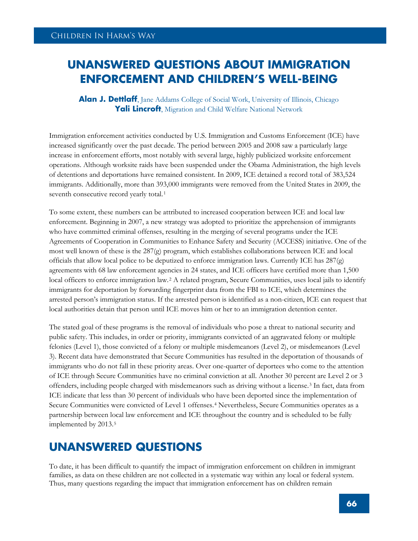# **UNANSWERED QUESTIONS ABOUT IMMIGRATION ENFORCEMENT AND CHILDREN'S WELL-BEING**

**Alan J. Dettlaff**, Jane Addams College of Social Work, University of Illinois, Chicago **Yali Lincroft**, Migration and Child Welfare National Network

Immigration enforcement activities conducted by U.S. Immigration and Customs Enforcement (ICE) have increased significantly over the past decade. The period between 2005 and 2008 saw a particularly large increase in enforcement efforts, most notably with several large, highly publicized worksite enforcement operations. Although worksite raids have been suspended under the Obama Administration, the high levels of detentions and deportations have remained consistent. In 2009, ICE detained a record total of 383,524 immigrants. Additionally, more than 393,000 immigrants were removed from the United States in 2009, the seventh consecutive record yearly total.<sup>[1](#page-72-86)</sup>

<span id="page-68-2"></span><span id="page-68-1"></span><span id="page-68-0"></span>To some extent, these numbers can be attributed to increased cooperation between ICE and local law enforcement. Beginning in 2007, a new strategy was adopted to prioritize the apprehension of immigrants who have committed criminal offenses, resulting in the merging of several programs under the ICE Agreements of Cooperation in Communities to Enhance Safety and Security (ACCESS) initiative. One of the most well known of these is the 287(g) program, which establishes collaborations between ICE and local officials that allow local police to be deputized to enforce immigration laws. Currently ICE has 287(g) agreements with 68 law enforcement agencies in 24 states, and ICE officers have certified more than 1,500 local officers to enforce immigration law.[2](#page-72-45) A related program, Secure Communities, uses local jails to identify immigrants for deportation by forwarding fingerprint data from the FBI to ICE, which determines the arrested person's immigration status. If the arrested person is identified as a non-citizen, ICE can request that local authorities detain that person until ICE moves him or her to an immigration detention center.

The stated goal of these programs is the removal of individuals who pose a threat to national security and public safety. This includes, in order or priority, immigrants convicted of an aggravated felony or multiple felonies (Level 1), those convicted of a felony or multiple misdemeanors (Level 2), or misdemeanors (Level 3). Recent data have demonstrated that Secure Communities has resulted in the deportation of thousands of immigrants who do not fall in these priority areas. Over one-quarter of deportees who come to the attention of ICE through Secure Communities have no criminal conviction at all. Another 30 percent are Level 2 or 3 offenders, including people charged with misdemeanors such as driving without a license.[3](#page-72-87) In fact, data from ICE indicate that less than 30 percent of individuals who have been deported since the implementation of Secure Communities were convicted of Level 1 offenses.[4](#page-72-88) Nevertheless, Secure Communities operates as a partnership between local law enforcement and ICE throughout the country and is scheduled to be fully implemented by 2013.[5](#page-72-89)

## **UNANSWERED QUESTIONS**

To date, it has been difficult to quantify the impact of immigration enforcement on children in immigrant families, as data on these children are not collected in a systematic way within any local or federal system. Thus, many questions regarding the impact that immigration enforcement has on children remain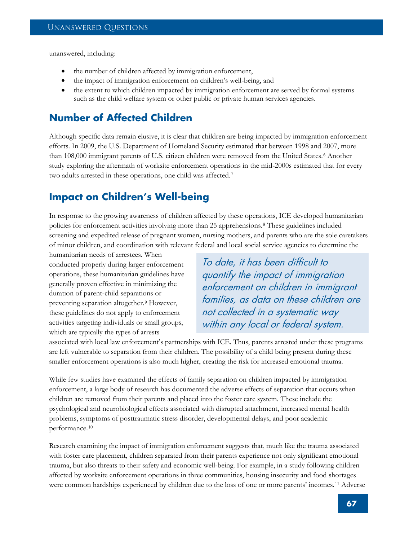unanswered, including:

- the number of children affected by immigration enforcement,
- the impact of immigration enforcement on children's well-being, and
- the extent to which children impacted by immigration enforcement are served by formal systems such as the child welfare system or other public or private human services agencies.

### **Number of Affected Children**

Although specific data remain elusive, it is clear that children are being impacted by immigration enforcement efforts. In 2009, the U.S. Department of Homeland Security estimated that between 1998 and 2007, more than 108,000 immigrant parents of U.S. citizen children were removed from the United States.[6](#page-72-90) Another study exploring the aftermath of worksite enforcement operations in the mid-2000s estimated that for every two adults arrested in these operations, one child was affected.[7](#page-72-47)

### **Impact on Children's Well-being**

<span id="page-69-0"></span>In response to the growing awareness of children affected by these operations, ICE developed humanitarian policies for enforcement activities involving more than 25 apprehensions.[8](#page-72-91) These guidelines included screening and expedited release of pregnant women, nursing mothers, and parents who are the sole caretakers of minor children, and coordination with relevant federal and local social service agencies to determine the

<span id="page-69-6"></span><span id="page-69-5"></span><span id="page-69-4"></span><span id="page-69-3"></span><span id="page-69-2"></span><span id="page-69-1"></span>humanitarian needs of arrestees. When conducted properly during larger enforcement operations, these humanitarian guidelines have generally proven effective in minimizing the duration of parent-child separations or preventing separation altogether.[9](#page-72-49) However, these guidelines do not apply to enforcement activities targeting individuals or small groups, which are typically the types of arrests

To date, it has been difficult to quantify the impact of immigration enforcement on children in immigrant families, as data on these children are not collected in a systematic way within any local or federal system.

<span id="page-69-10"></span><span id="page-69-9"></span><span id="page-69-8"></span><span id="page-69-7"></span>associated with local law enforcement's partnerships with ICE. Thus, parents arrested under these programs are left vulnerable to separation from their children. The possibility of a child being present during these smaller enforcement operations is also much higher, creating the risk for increased emotional trauma.

While few studies have examined the effects of family separation on children impacted by immigration enforcement, a large body of research has documented the adverse effects of separation that occurs when children are removed from their parents and placed into the foster care system. These include the psychological and neurobiological effects associated with disrupted attachment, increased mental health problems, symptoms of posttraumatic stress disorder, developmental delays, and poor academic performance.[10](#page-72-92)

Research examining the impact of immigration enforcement suggests that, much like the trauma associated with foster care placement, children separated from their parents experience not only significant emotional trauma, but also threats to their safety and economic well-being. For example, in a study following children affected by worksite enforcement operations in three communities, housing insecurity and food shortages were common hardships experienced by children due to the loss of one or more parents' incomes.[11](#page-72-93) Adverse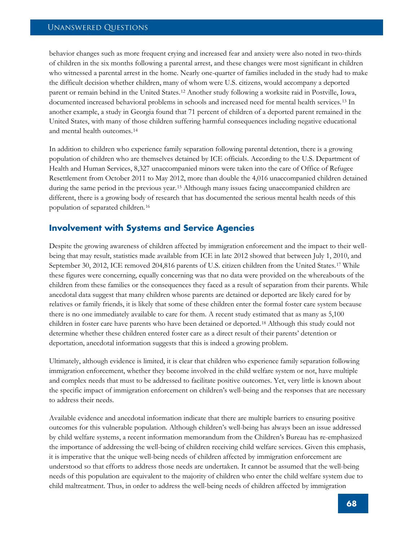behavior changes such as more frequent crying and increased fear and anxiety were also noted in two-thirds of children in the six months following a parental arrest, and these changes were most significant in children who witnessed a parental arrest in the home. Nearly one-quarter of families included in the study had to make the difficult decision whether children, many of whom were U.S. citizens, would accompany a deported parent or remain behind in the United States.[12](#page-72-94) Another study following a worksite raid in Postville, Iowa, documented increased behavioral problems in schools and increased need for mental health services.[13](#page-72-52) In another example, a study in Georgia found that 71 percent of children of a deported parent remained in the United States, with many of those children suffering harmful consequences including negative educational and mental health outcomes.[14](#page-72-77)

In addition to children who experience family separation following parental detention, there is a growing population of children who are themselves detained by ICE officials. According to the U.S. Department of Health and Human Services, 8,327 unaccompanied minors were taken into the care of Office of Refugee Resettlement from October 2011 to May 2012, more than double the 4,016 unaccompanied children detained during the same period in the previous year.[15](#page-72-53) Although many issues facing unaccompanied children are different, there is a growing body of research that has documented the serious mental health needs of this population of separated children.[16](#page-72-28)

#### **Involvement with Systems and Service Agencies**

Despite the growing awareness of children affected by immigration enforcement and the impact to their wellbeing that may result, statistics made available from ICE in late 2012 showed that between July 1, 2010, and September 30, 2012, ICE removed 204,816 parents of U.S. citizen children from the United States.[17](#page-72-54) While these figures were concerning, equally concerning was that no data were provided on the whereabouts of the children from these families or the consequences they faced as a result of separation from their parents. While anecdotal data suggest that many children whose parents are detained or deported are likely cared for by relatives or family friends, it is likely that some of these children enter the formal foster care system because there is no one immediately available to care for them. A recent study estimated that as many as 5,100 children in foster care have parents who have been detained or deported.[18](#page-72-95) Although this study could not determine whether these children entered foster care as a direct result of their parents' detention or deportation, anecdotal information suggests that this is indeed a growing problem.

<span id="page-70-3"></span><span id="page-70-2"></span><span id="page-70-1"></span><span id="page-70-0"></span>Ultimately, although evidence is limited, it is clear that children who experience family separation following immigration enforcement, whether they become involved in the child welfare system or not, have multiple and complex needs that must to be addressed to facilitate positive outcomes. Yet, very little is known about the specific impact of immigration enforcement on children's well-being and the responses that are necessary to address their needs.

Available evidence and anecdotal information indicate that there are multiple barriers to ensuring positive outcomes for this vulnerable population. Although children's well-being has always been an issue addressed by child welfare systems, a recent information memorandum from the Children's Bureau has re-emphasized the importance of addressing the well-being of children receiving child welfare services. Given this emphasis, it is imperative that the unique well-being needs of children affected by immigration enforcement are understood so that efforts to address those needs are undertaken. It cannot be assumed that the well-being needs of this population are equivalent to the majority of children who enter the child welfare system due to child maltreatment. Thus, in order to address the well-being needs of children affected by immigration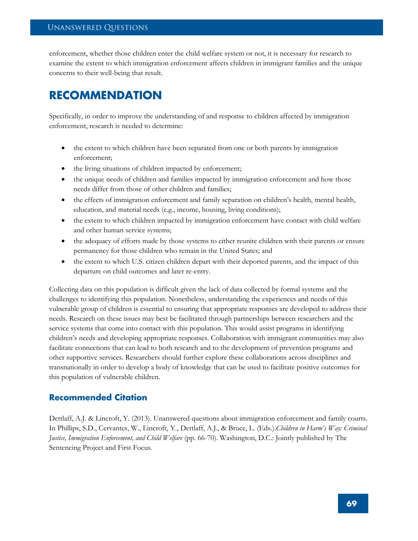enforcement, whether those children enter the child welfare system or not, it is necessary for research to examine the extent to which immigration enforcement affects children in immigrant families and the unique concerns to their well-being that result.

# **RECOMMENDATION**

Specifically, in order to improve the understanding of and response to children affected by immigration enforcement, research is needed to determine:

- the extent to which children have been separated from one or both parents by immigration enforcement;
- the living situations of children impacted by enforcement;
- the unique needs of children and families impacted by immigration enforcement and how those needs differ from those of other children and families;
- the effects of immigration enforcement and family separation on children's health, mental health, education, and material needs (e.g., income, housing, living conditions);
- the extent to which children impacted by immigration enforcement have contact with child welfare and other human service systems;
- the adequacy of efforts made by those systems to either reunite children with their parents or ensure permanency for those children who remain in the United States; and
- the extent to which U.S. citizen children depart with their deported parents, and the impact of this departure on child outcomes and later re-entry.

Collecting data on this population is difficult given the lack of data collected by formal systems and the challenges to identifying this population. Nonetheless, understanding the experiences and needs of this vulnerable group of children is essential to ensuring that appropriate responses are developed to address their needs. Research on these issues may best be facilitated through partnerships between researchers and the service systems that come into contact with this population. This would assist programs in identifying children's needs and developing appropriate responses. Collaboration with immigrant communities may also facilitate connections that can lead to both research and to the development of prevention programs and other supportive services. Researchers should further explore these collaborations across disciplines and transnationally in order to develop a body of knowledge that can be used to facilitate positive outcomes for this population of vulnerable children.

#### <span id="page-71-3"></span><span id="page-71-2"></span><span id="page-71-1"></span><span id="page-71-0"></span>**Recommended Citation**

Dettlaff, A.J. & Lincroft, Y. (2013). Unanswered questions about immigration enforcement and family courts. In Phillips, S.D., Cervantes, W., Lincroft, Y., Dettlaff, A.J., & Bruce, L. (Eds.).*Children in Harm's Way: Criminal Justice, Immigration Enforcement, and Child Welfare* (pp. 66-70). Washington, D.C.: Jointly published by The Sentencing Project and First Focus.